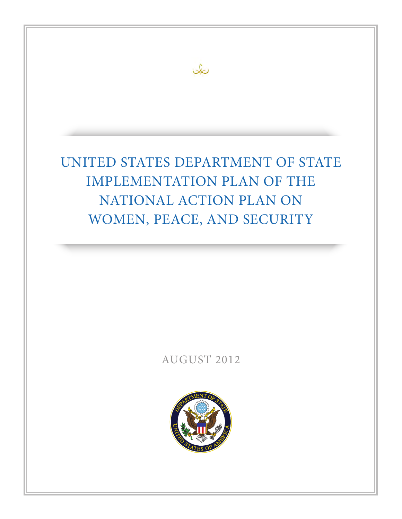

بكك

# AUGUST 2012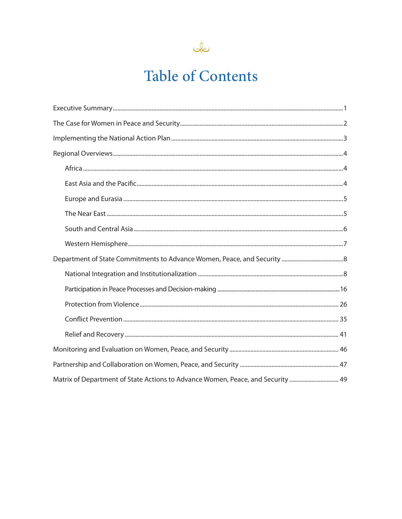

# **Table of Contents**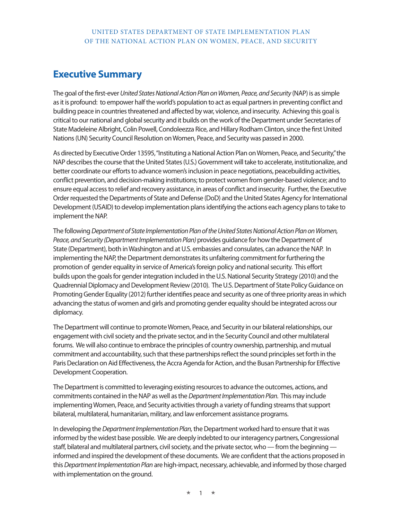## **Executive Summary**

The goal of the first-ever *United States National Action Plan on Women, Peace, and Security* (NAP) is as simple as it is profound: to empower half the world's population to act as equal partners in preventing conflict and building peace in countries threatened and affected by war, violence, and insecurity. Achieving this goal is critical to our national and global security and it builds on the work of the Department under Secretaries of State Madeleine Albright, Colin Powell, Condoleezza Rice, and Hillary Rodham Clinton, since the first United Nations (UN) Security Council Resolution on Women, Peace, and Security was passed in 2000.

As directed by Executive Order 13595, "Instituting a National Action Plan on Women, Peace, and Security," the NAP describes the course that the United States (U.S.) Government will take to accelerate, institutionalize, and better coordinate our efforts to advance women's inclusion in peace negotiations, peacebuilding activities, conflict prevention, and decision-making institutions; to protect women from gender-based violence; and to ensure equal access to relief and recovery assistance, in areas of conflict and insecurity. Further, the Executive Order requested the Departments of State and Defense (DoD) and the United States Agency for International Development (USAID) to develop implementation plans identifying the actions each agency plans to take to implement the NAP.

The following *Department of State Implementation Plan of the United States National Action Plan on Women, Peace, and Security (Department Implementation Plan)* provides guidance for how the Department of State (Department), both in Washington and at U.S. embassies and consulates, can advance the NAP. In implementing the NAP, the Department demonstrates its unfaltering commitment for furthering the promotion of gender equality in service of America's foreign policy and national security. This effort builds upon the goals for gender integration included in the U.S. National Security Strategy (2010) and the Quadrennial Diplomacy and Development Review (2010). The U.S. Department of State Policy Guidance on Promoting Gender Equality (2012) further identifies peace and security as one of three priority areas in which advancing the status of women and girls and promoting gender equality should be integrated across our diplomacy.

The Department will continue to promote Women, Peace, and Security in our bilateral relationships, our engagement with civil society and the private sector, and in the Security Council and other multilateral forums. We will also continue to embrace the principles of country ownership, partnership, and mutual commitment and accountability, such that these partnerships reflect the sound principles set forth in the Paris Declaration on Aid Effectiveness, the Accra Agenda for Action, and the Busan Partnership for Effective Development Cooperation.

The Department is committed to leveraging existing resources to advance the outcomes, actions, and commitments contained in the NAP as well as the *Department Implementation Plan.* This may include implementing Women, Peace, and Security activities through a variety of funding streams that support bilateral, multilateral, humanitarian, military, and law enforcement assistance programs.

In developing the *Department Implementation Plan,* the Department worked hard to ensure that it was informed by the widest base possible. We are deeply indebted to our interagency partners, Congressional staff, bilateral and multilateral partners, civil society, and the private sector, who — from the beginning informed and inspired the development of these documents. We are confident that the actions proposed in this *Department Implementation Plan* are high-impact, necessary, achievable, and informed by those charged with implementation on the ground.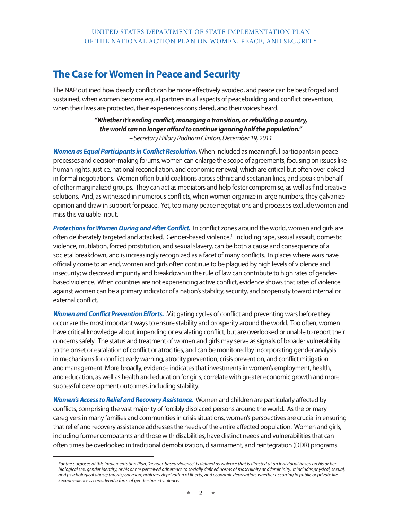# **The Case for Women in Peace and Security**

The NAP outlined how deadly conflict can be more effectively avoided, and peace can be best forged and sustained, when women become equal partners in all aspects of peacebuilding and conflict prevention, when their lives are protected, their experiences considered, and their voices heard.

> *"Whether it's ending conflict, managing a transition, or rebuilding a country, the world can no longer afford to continue ignoring half the population." – Secretary Hillary Rodham Clinton, December 19, 2011*

*Women as Equal Participants in Conflict Resolution.* When included as meaningful participants in peace processes and decision-making forums, women can enlarge the scope of agreements, focusing on issues like human rights, justice, national reconciliation, and economic renewal, which are critical but often overlooked in formal negotiations. Women often build coalitions across ethnic and sectarian lines, and speak on behalf of other marginalized groups. They can act as mediators and help foster compromise, as well as find creative solutions. And, as witnessed in numerous conflicts, when women organize in large numbers, they galvanize opinion and draw in support for peace. Yet, too many peace negotiations and processes exclude women and miss this valuable input.

*Protections for Women During and After Conflict.* In conflict zones around the world, women and girls are often deliberately targeted and attacked. Gender-based violence,<sup>1</sup> including rape, sexual assault, domestic violence, mutilation, forced prostitution, and sexual slavery, can be both a cause and consequence of a societal breakdown, and is increasingly recognized as a facet of many conflicts. In places where wars have officially come to an end, women and girls often continue to be plagued by high levels of violence and insecurity; widespread impunity and breakdown in the rule of law can contribute to high rates of genderbased violence. When countries are not experiencing active conflict, evidence shows that rates of violence against women can be a primary indicator of a nation's stability, security, and propensity toward internal or external conflict.

*Women and Conflict Prevention Efforts.* Mitigating cycles of conflict and preventing wars before they occur are the most important ways to ensure stability and prosperity around the world. Too often, women have critical knowledge about impending or escalating conflict, but are overlooked or unable to report their concerns safely. The status and treatment of women and girls may serve as signals of broader vulnerability to the onset or escalation of conflict or atrocities, and can be monitored by incorporating gender analysis in mechanisms for conflict early warning, atrocity prevention, crisis prevention, and conflict mitigation and management. More broadly, evidence indicates that investments in women's employment, health, and education, as well as health and education for girls, correlate with greater economic growth and more successful development outcomes, including stability.

*Women's Access to Relief and Recovery Assistance.* Women and children are particularly affected by conflicts, comprising the vast majority of forcibly displaced persons around the world. As the primary caregivers in many families and communities in crisis situations, women's perspectives are crucial in ensuring that relief and recovery assistance addresses the needs of the entire affected population. Women and girls, including former combatants and those with disabilities, have distinct needs and vulnerabilities that can often times be overlooked in traditional demobilization, disarmament, and reintegration (DDR) programs.

<sup>1</sup>*For the purposes of this Implementation Plan, "gender-based violence" is defined as violence that is directed at an individual based on his or her biological sex, gender identity, or his or her perceived adherence to socially defined norms of masculinity and femininity. It includes physical, sexual, and psychological abuse; threats; coercion; arbitrary deprivation of liberty; and economic deprivation, whether occurring in public or private life. Sexual violence is considered a form of gender-based violence.*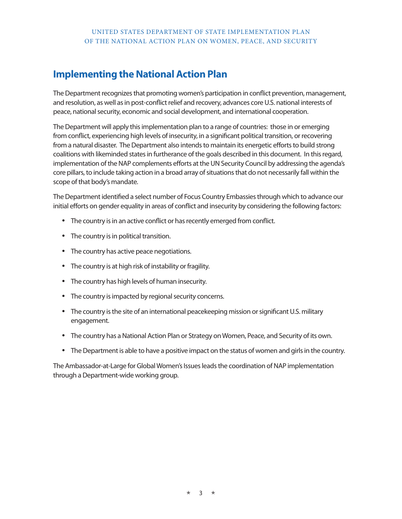# **Implementing the National Action Plan**

The Department recognizes that promoting women's participation in conflict prevention, management, and resolution, as well as in post-conflict relief and recovery, advances core U.S. national interests of peace, national security, economic and social development, and international cooperation.

The Department will apply this implementation plan to a range of countries: those in or emerging from conflict, experiencing high levels of insecurity, in a significant political transition, or recovering from a natural disaster. The Department also intends to maintain its energetic efforts to build strong coalitions with likeminded states in furtherance of the goals described in this document. In this regard, implementation of the NAP complements efforts at the UN Security Council by addressing the agenda's core pillars, to include taking action in a broad array of situations that do not necessarily fall within the scope of that body's mandate.

The Department identified a select number of Focus Country Embassies through which to advance our initial efforts on gender equality in areas of conflict and insecurity by considering the following factors:

- The country is in an active conflict or has recently emerged from conflict.
- The country is in political transition.
- The country has active peace negotiations.
- The country is at high risk of instability or fragility.
- The country has high levels of human insecurity.
- The country is impacted by regional security concerns.
- The country is the site of an international peacekeeping mission or significant U.S. military engagement.
- The country has a National Action Plan or Strategy on Women, Peace, and Security of its own.
- The Department is able to have a positive impact on the status of women and girls in the country.

The Ambassador-at-Large for Global Women's Issues leads the coordination of NAP implementation through a Department-wide working group.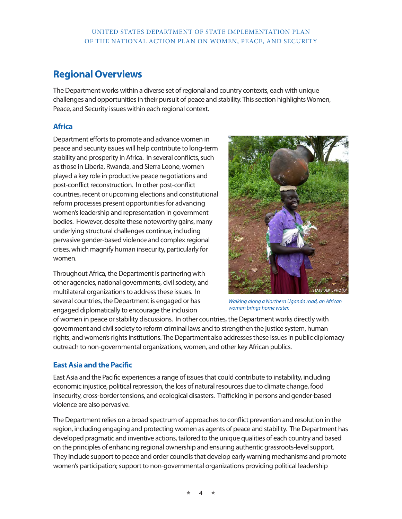# **Regional Overviews**

The Department works within a diverse set of regional and country contexts, each with unique challenges and opportunities in their pursuit of peace and stability. This section highlights Women, Peace, and Security issues within each regional context.

### **Africa**

Department efforts to promote and advance women in peace and security issues will help contribute to long-term stability and prosperity in Africa. In several conflicts, such as those in Liberia, Rwanda, and Sierra Leone, women played a key role in productive peace negotiations and post-conflict reconstruction. In other post-conflict countries, recent or upcoming elections and constitutional reform processes present opportunities for advancing women's leadership and representation in government bodies. However, despite these noteworthy gains, many underlying structural challenges continue, including pervasive gender-based violence and complex regional crises, which magnify human insecurity, particularly for women.

Throughout Africa, the Department is partnering with other agencies, national governments, civil society, and multilateral organizations to address these issues. In several countries, the Department is engaged or has engaged diplomatically to encourage the inclusion



*Walking along a Northern Uganda road, an African woman brings home water.*

of women in peace or stability discussions. In other countries, the Department works directly with government and civil society to reform criminal laws and to strengthen the justice system, human rights, and women's rights institutions. The Department also addresses these issues in public diplomacy outreach to non-governmental organizations, women, and other key African publics.

### **East Asia and the Pacific**

East Asia and the Pacific experiences a range of issues that could contribute to instability, including economic injustice, political repression, the loss of natural resources due to climate change, food insecurity, cross-border tensions, and ecological disasters. Trafficking in persons and gender-based violence are also pervasive.

The Department relies on a broad spectrum of approaches to conflict prevention and resolution in the region, including engaging and protecting women as agents of peace and stability. The Department has developed pragmatic and inventive actions, tailored to the unique qualities of each country and based on the principles of enhancing regional ownership and ensuring authentic grassroots-level support. They include support to peace and order councils that develop early warning mechanisms and promote women's participation; support to non-governmental organizations providing political leadership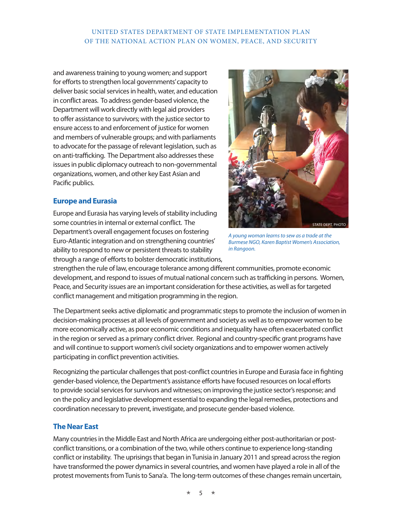and awareness training to young women; and support for efforts to strengthen local governments' capacity to deliver basic social services in health, water, and education in conflict areas. To address gender-based violence, the Department will work directly with legal aid providers to offer assistance to survivors; with the justice sector to ensure access to and enforcement of justice for women and members of vulnerable groups; and with parliaments to advocate for the passage of relevant legislation, such as on anti-trafficking. The Department also addresses these issues in public diplomacy outreach to non-governmental organizations, women, and other key East Asian and Pacific publics.

### **Europe and Eurasia**

Europe and Eurasia has varying levels of stability including some countries in internal or external conflict. The Department's overall engagement focuses on fostering Euro-Atlantic integration and on strengthening countries' ability to respond to new or persistent threats to stability through a range of efforts to bolster democratic institutions,



*A young woman learns to sew as a trade at the Burmese NGO, Karen Baptist Women's Association, in Rangoon.*

strengthen the rule of law, encourage tolerance among different communities, promote economic development, and respond to issues of mutual national concern such as trafficking in persons. Women, Peace, and Security issues are an important consideration for these activities, as well as for targeted conflict management and mitigation programming in the region.

The Department seeks active diplomatic and programmatic steps to promote the inclusion of women in decision-making processes at all levels of government and society as well as to empower women to be more economically active, as poor economic conditions and inequality have often exacerbated conflict in the region or served as a primary conflict driver. Regional and country-specific grant programs have and will continue to support women's civil society organizations and to empower women actively participating in conflict prevention activities.

Recognizing the particular challenges that post-conflict countries in Europe and Eurasia face in fighting gender-based violence, the Department's assistance efforts have focused resources on local efforts to provide social services for survivors and witnesses; on improving the justice sector's response; and on the policy and legislative development essential to expanding the legal remedies, protections and coordination necessary to prevent, investigate, and prosecute gender-based violence.

### **The Near East**

Many countries in the Middle East and North Africa are undergoing either post-authoritarian or postconflict transitions, or a combination of the two, while others continue to experience long-standing conflict or instability. The uprisings that began in Tunisia in January 2011 and spread across the region have transformed the power dynamics in several countries, and women have played a role in all of the protest movements from Tunis to Sana'a. The long-term outcomes of these changes remain uncertain,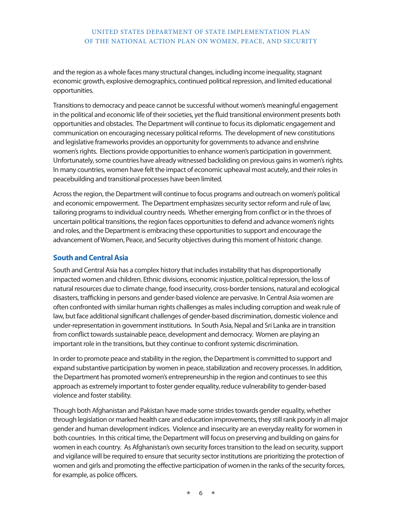and the region as a whole faces many structural changes, including income inequality, stagnant economic growth, explosive demographics, continued political repression, and limited educational opportunities.

Transitions to democracy and peace cannot be successful without women's meaningful engagement in the political and economic life of their societies, yet the fluid transitional environment presents both opportunities and obstacles. The Department will continue to focus its diplomatic engagement and communication on encouraging necessary political reforms. The development of new constitutions and legislative frameworks provides an opportunity for governments to advance and enshrine women's rights. Elections provide opportunities to enhance women's participation in government. Unfortunately, some countries have already witnessed backsliding on previous gains in women's rights. In many countries, women have felt the impact of economic upheaval most acutely, and their roles in peacebuilding and transitional processes have been limited.

Across the region, the Department will continue to focus programs and outreach on women's political and economic empowerment. The Department emphasizes security sector reform and rule of law, tailoring programs to individual country needs. Whether emerging from conflict or in the throes of uncertain political transitions, the region faces opportunities to defend and advance women's rights and roles, and the Department is embracing these opportunities to support and encourage the advancement of Women, Peace, and Security objectives during this moment of historic change.

### **South and Central Asia**

South and Central Asia has a complex history that includes instability that has disproportionally impacted women and children. Ethnic divisions, economic injustice, political repression, the loss of natural resources due to climate change, food insecurity, cross-border tensions, natural and ecological disasters, trafficking in persons and gender-based violence are pervasive. In Central Asia women are often confronted with similar human rights challenges as males including corruption and weak rule of law, but face additional significant challenges of gender-based discrimination, domestic violence and under-representation in government institutions. In South Asia, Nepal and Sri Lanka are in transition from conflict towards sustainable peace, development and democracy. Women are playing an important role in the transitions, but they continue to confront systemic discrimination.

In order to promote peace and stability in the region, the Department is committed to support and expand substantive participation by women in peace, stabilization and recovery processes. In addition, the Department has promoted women's entrepreneurship in the region and continues to see this approach as extremely important to foster gender equality, reduce vulnerability to gender-based violence and foster stability.

Though both Afghanistan and Pakistan have made some strides towards gender equality, whether through legislation or marked health care and education improvements, they still rank poorly in all major gender and human development indices. Violence and insecurity are an everyday reality for women in both countries. In this critical time, the Department will focus on preserving and building on gains for women in each country. As Afghanistan's own security forces transition to the lead on security, support and vigilance will be required to ensure that security sector institutions are prioritizing the protection of women and girls and promoting the effective participation of women in the ranks of the security forces, for example, as police officers.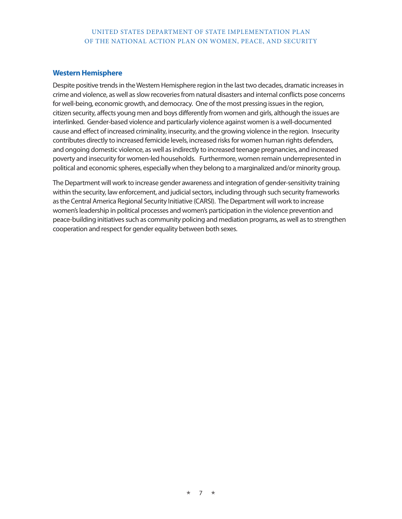### **Western Hemisphere**

Despite positive trends in the Western Hemisphere region in the last two decades, dramatic increases in crime and violence, as well as slow recoveries from natural disasters and internal conflicts pose concerns for well-being, economic growth, and democracy. One of the most pressing issues in the region, citizen security, affects young men and boys differently from women and girls, although the issues are interlinked. Gender-based violence and particularly violence against women is a well-documented cause and effect of increased criminality, insecurity, and the growing violence in the region. Insecurity contributes directly to increased femicide levels, increased risks for women human rights defenders, and ongoing domestic violence, as well as indirectly to increased teenage pregnancies, and increased poverty and insecurity for women-led households. Furthermore, women remain underrepresented in political and economic spheres, especially when they belong to a marginalized and/or minority group.

The Department will work to increase gender awareness and integration of gender-sensitivity training within the security, law enforcement, and judicial sectors, including through such security frameworks as the Central America Regional Security Initiative (CARSI). The Department will work to increase women's leadership in political processes and women's participation in the violence prevention and peace-building initiatives such as community policing and mediation programs, as well as to strengthen cooperation and respect for gender equality between both sexes.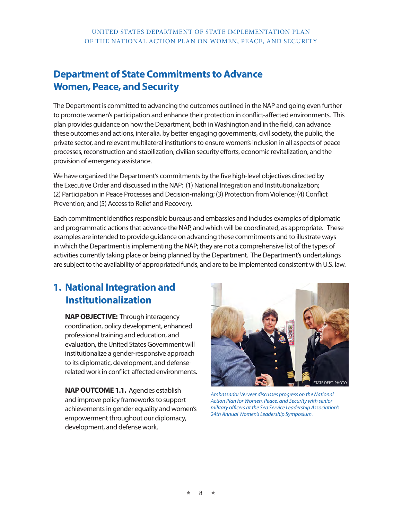# **Department of State Commitments to Advance Women, Peace, and Security**

The Department is committed to advancing the outcomes outlined in the NAP and going even further to promote women's participation and enhance their protection in conflict-affected environments. This plan provides guidance on how the Department, both in Washington and in the field, can advance these outcomes and actions, inter alia, by better engaging governments, civil society, the public, the private sector, and relevant multilateral institutions to ensure women's inclusion in all aspects of peace processes, reconstruction and stabilization, civilian security efforts, economic revitalization, and the provision of emergency assistance.

We have organized the Department's commitments by the five high-level objectives directed by the Executive Order and discussed in the NAP: (1) National Integration and Institutionalization; (2) Participation in Peace Processes and Decision-making; (3) Protection from Violence; (4) Conflict Prevention; and (5) Access to Relief and Recovery.

Each commitment identifies responsible bureaus and embassies and includes examples of diplomatic and programmatic actions that advance the NAP, and which will be coordinated, as appropriate. These examples are intended to provide guidance on advancing these commitments and to illustrate ways in which the Department is implementing the NAP; they are not a comprehensive list of the types of activities currently taking place or being planned by the Department. The Department's undertakings are subject to the availability of appropriated funds, and are to be implemented consistent with U.S. law.

# **1. National Integration and Institutionalization**

**NAP OBJECTIVE:** Through interagency coordination, policy development, enhanced professional training and education, and evaluation, the United States Government will institutionalize a gender-responsive approach to its diplomatic, development, and defenserelated work in conflict-affected environments.

**NAP OUTCOME 1.1.** Agencies establish and improve policy frameworks to support achievements in gender equality and women's empowerment throughout our diplomacy, development, and defense work.



*Ambassador Verveer discusses progress on the National Action Plan for Women, Peace, and Security with senior military officers at the Sea Service Leadership Association's 24th Annual Women's Leadership Symposium.*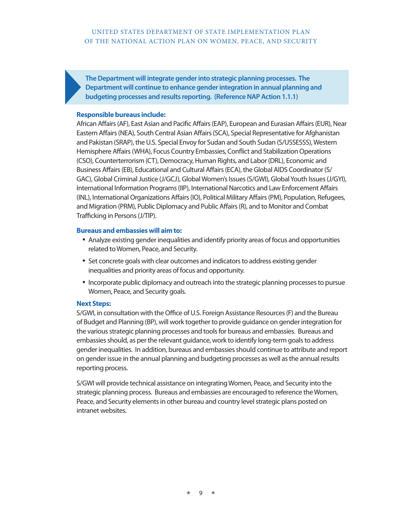**The Department will integrate gender into strategic planning processes. The Department will continue to enhance gender integration in annual planning and budgeting processes and results reporting. (Reference NAP Action 1.1.1)**

### **Responsible bureaus include:**

African Affairs (AF), East Asian and Pacific Affairs (EAP), European and Eurasian Affairs (EUR), Near Eastern Affairs (NEA), South Central Asian Affairs (SCA), Special Representative for Afghanistan and Pakistan (SRAP), the U.S. Special Envoy for Sudan and South Sudan (S/USSESSS), Western Hemisphere Affairs (WHA), Focus Country Embassies, Conflict and Stabilization Operations (CSO), Counterterrorism (CT), Democracy, Human Rights, and Labor (DRL), Economic and Business Affairs (EB), Educational and Cultural Affairs (ECA), the Global AIDS Coordinator (S/ GAC), Global Criminal Justice (J/GCJ), Global Women's Issues (S/GWI), Global Youth Issues (J/GYI), International Information Programs (IIP), International Narcotics and Law Enforcement Affairs (INL), International Organizations Affairs (IO), Political Military Affairs (PM), Population, Refugees, and Migration (PRM), Public Diplomacy and Public Affairs (R), and to Monitor and Combat Trafficking in Persons (J/TIP).

### **Bureaus and embassies will aim to:**

- Analyze existing gender inequalities and identify priority areas of focus and opportunities related to Women, Peace, and Security.
- Set concrete goals with clear outcomes and indicators to address existing gender inequalities and priority areas of focus and opportunity.
- Incorporate public diplomacy and outreach into the strategic planning processes to pursue Women, Peace, and Security goals.

### **Next Steps:**

S/GWI, in consultation with the Office of U.S. Foreign Assistance Resources (F) and the Bureau of Budget and Planning (BP), will work together to provide guidance on gender integration for the various strategic planning processes and tools for bureaus and embassies. Bureaus and embassies should, as per the relevant guidance, work to identify long-term goals to address gender inequalities. In addition, bureaus and embassies should continue to attribute and report on gender issue in the annual planning and budgeting processes as well as the annual results reporting process.

S/GWI will provide technical assistance on integrating Women, Peace, and Security into the strategic planning process. Bureaus and embassies are encouraged to reference the Women, Peace, and Security elements in other bureau and country level strategic plans posted on intranet websites.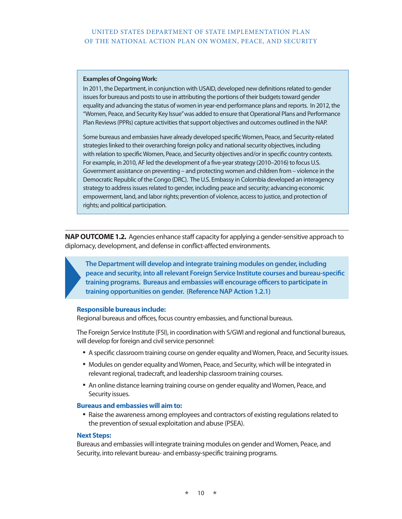### **Examples of Ongoing Work:**

In 2011, the Department, in conjunction with USAID, developed new definitions related to gender issues for bureaus and posts to use in attributing the portions of their budgets toward gender equality and advancing the status of women in year-end performance plans and reports. In 2012, the "Women, Peace, and Security Key Issue" was added to ensure that Operational Plans and Performance Plan Reviews (PPRs) capture activities that support objectives and outcomes outlined in the NAP.

Some bureaus and embassies have already developed specific Women, Peace, and Security-related strategies linked to their overarching foreign policy and national security objectives, including with relation to specific Women, Peace, and Security objectives and/or in specific country contexts. For example, in 2010, AF led the development of a five-year strategy (2010–2016) to focus U.S. Government assistance on preventing – and protecting women and children from – violence in the Democratic Republic of the Congo (DRC). The U.S. Embassy in Colombia developed an interagency strategy to address issues related to gender, including peace and security; advancing economic empowerment, land, and labor rights; prevention of violence, access to justice, and protection of rights; and political participation.

**NAP OUTCOME 1.2.** Agencies enhance staff capacity for applying a gender-sensitive approach to diplomacy, development, and defense in conflict-affected environments.

**The Department will develop and integrate training modules on gender, including peace and security, into all relevant Foreign Service Institute courses and bureau-specific training programs. Bureaus and embassies will encourage officers to participate in training opportunities on gender. (Reference NAP Action 1.2.1)**

### **Responsible bureaus include:**

Regional bureaus and offices, focus country embassies, and functional bureaus.

The Foreign Service Institute (FSI), in coordination with S/GWI and regional and functional bureaus, will develop for foreign and civil service personnel:

- • A specific classroom training course on gender equality and Women, Peace, and Security issues.
- Modules on gender equality and Women, Peace, and Security, which will be integrated in relevant regional, tradecraft, and leadership classroom training courses.
- An online distance learning training course on gender equality and Women, Peace, and Security issues.

### **Bureaus and embassies will aim to:**

• Raise the awareness among employees and contractors of existing regulations related to the prevention of sexual exploitation and abuse (PSEA).

### **Next Steps:**

Bureaus and embassies will integrate training modules on gender and Women, Peace, and Security, into relevant bureau- and embassy-specific training programs.

 $10 \rightarrow$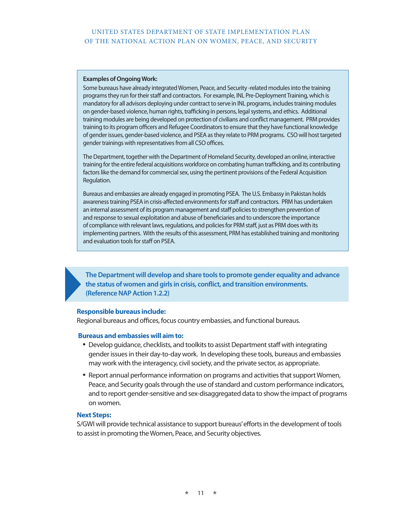### **Examples of Ongoing Work:**

Some bureaus have already integrated Women, Peace, and Security -related modules into the training programs they run for their staff and contractors. For example, INL Pre-Deployment Training, which is mandatory for all advisors deploying under contract to serve in INL programs, includes training modules on gender-based violence, human rights, trafficking in persons, legal systems, and ethics. Additional training modules are being developed on protection of civilians and conflict management. PRM provides training to its program officers and Refugee Coordinators to ensure that they have functional knowledge of gender issues, gender-based violence, and PSEA as they relate to PRM programs. CSO will host targeted gender trainings with representatives from all CSO offices.

The Department, together with the Department of Homeland Security, developed an online, interactive training for the entire federal acquisitions workforce on combating human trafficking, and its contributing factors like the demand for commercial sex, using the pertinent provisions of the Federal Acquisition Regulation.

Bureaus and embassies are already engaged in promoting PSEA. The U.S. Embassy in Pakistan holds awareness training PSEA in crisis-affected environments for staff and contractors. PRM has undertaken an internal assessment of its program management and staff policies to strengthen prevention of and response to sexual exploitation and abuse of beneficiaries and to underscore the importance of compliance with relevant laws, regulations, and policies for PRM staff, just as PRM does with its implementing partners. With the results of this assessment, PRM has established training and monitoring and evaluation tools for staff on PSEA.

**The Department will develop and share tools to promote gender equality and advance the status of women and girls in crisis, conflict, and transition environments. (Reference NAP Action 1.2.2)**

### **Responsible bureaus include:**

Regional bureaus and offices, focus country embassies, and functional bureaus.

### **Bureaus and embassies will aim to:**

- Develop guidance, checklists, and toolkits to assist Department staff with integrating gender issues in their day-to-day work. In developing these tools, bureaus and embassies may work with the interagency, civil society, and the private sector, as appropriate.
- Report annual performance information on programs and activities that support Women, Peace, and Security goals through the use of standard and custom performance indicators, and to report gender-sensitive and sex-disaggregated data to show the impact of programs on women.

### **Next Steps:**

S/GWI will provide technical assistance to support bureaus' efforts in the development of tools to assist in promoting the Women, Peace, and Security objectives.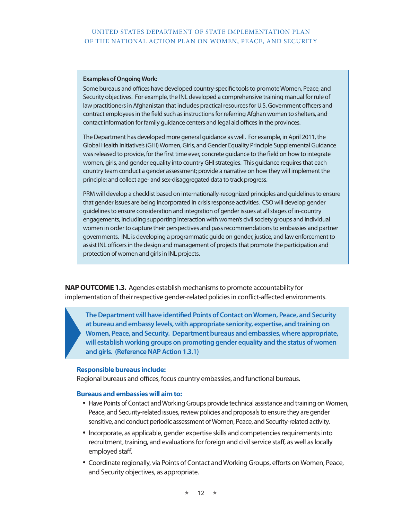### **Examples of Ongoing Work:**

Some bureaus and offices have developed country-specific tools to promote Women, Peace, and Security objectives. For example, the INL developed a comprehensive training manual for rule of law practitioners in Afghanistan that includes practical resources for U.S. Government officers and contract employees in the field such as instructions for referring Afghan women to shelters, and contact information for family guidance centers and legal aid offices in the provinces.

The Department has developed more general guidance as well. For example, in April 2011, the Global Health Initiative's (GHI) Women, Girls, and Gender Equality Principle Supplemental Guidance was released to provide, for the first time ever, concrete guidance to the field on how to integrate women, girls, and gender equality into country GHI strategies. This guidance requires that each country team conduct a gender assessment; provide a narrative on how they will implement the principle; and collect age- and sex-disaggregated data to track progress.

PRM will develop a checklist based on internationally-recognized principles and guidelines to ensure that gender issues are being incorporated in crisis response activities. CSO will develop gender guidelines to ensure consideration and integration of gender issues at all stages of in-country engagements, including supporting interaction with women's civil society groups and individual women in order to capture their perspectives and pass recommendations to embassies and partner governments. INL is developing a programmatic guide on gender, justice, and law enforcement to assist INL officers in the design and management of projects that promote the participation and protection of women and girls in INL projects.

**NAP OUTCOME 1.3.** Agencies establish mechanisms to promote accountability for implementation of their respective gender-related policies in conflict-affected environments.

**The Department will have identified Points of Contact on Women, Peace, and Security at bureau and embassy levels, with appropriate seniority, expertise, and training on Women, Peace, and Security. Department bureaus and embassies, where appropriate, will establish working groups on promoting gender equality and the status of women and girls. (Reference NAP Action 1.3.1)** 

### **Responsible bureaus include:**

Regional bureaus and offices, focus country embassies, and functional bureaus.

- Have Points of Contact and Working Groups provide technical assistance and training on Women, Peace, and Security-related issues, review policies and proposals to ensure they are gender sensitive, and conduct periodic assessment of Women, Peace, and Security-related activity.
- • Incorporate, as applicable, gender expertise skills and competencies requirements into recruitment, training, and evaluations for foreign and civil service staff, as well as locally employed staff.
- • Coordinate regionally, via Points of Contact and Working Groups, efforts on Women, Peace, and Security objectives, as appropriate.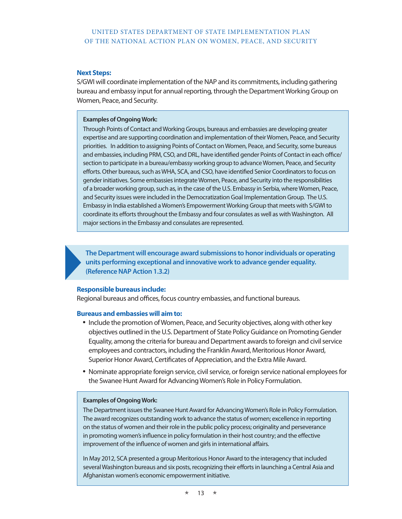### **Next Steps:**

S/GWI will coordinate implementation of the NAP and its commitments, including gathering bureau and embassy input for annual reporting, through the Department Working Group on Women, Peace, and Security.

### **Examples of Ongoing Work:**

Through Points of Contact and Working Groups, bureaus and embassies are developing greater expertise and are supporting coordination and implementation of their Women, Peace, and Security priorities. In addition to assigning Points of Contact on Women, Peace, and Security, some bureaus and embassies, including PRM, CSO, and DRL, have identified gender Points of Contact in each office/ section to participate in a bureau/embassy working group to advance Women, Peace, and Security efforts. Other bureaus, such as WHA, SCA, and CSO, have identified Senior Coordinators to focus on gender initiatives. Some embassies integrate Women, Peace, and Security into the responsibilities of a broader working group, such as, in the case of the U.S. Embassy in Serbia, where Women, Peace, and Security issues were included in the Democratization Goal Implementation Group. The U.S. Embassy in India established a Women's Empowerment Working Group that meets with S/GWI to coordinate its efforts throughout the Embassy and four consulates as well as with Washington. All major sections in the Embassy and consulates are represented.

**The Department will encourage award submissions to honor individuals or operating units performing exceptional and innovative work to advance gender equality. (Reference NAP Action 1.3.2)**

### **Responsible bureaus include:**

Regional bureaus and offices, focus country embassies, and functional bureaus.

### **Bureaus and embassies will aim to:**

- Include the promotion of Women, Peace, and Security objectives, along with other key objectives outlined in the U.S. Department of State Policy Guidance on Promoting Gender Equality, among the criteria for bureau and Department awards to foreign and civil service employees and contractors, including the Franklin Award, Meritorious Honor Award, Superior Honor Award, Certificates of Appreciation, and the Extra Mile Award.
- • Nominate appropriate foreign service, civil service, or foreign service national employees for the Swanee Hunt Award for Advancing Women's Role in Policy Formulation.

### **Examples of Ongoing Work:**

The Department issues the Swanee Hunt Award for Advancing Women's Role in Policy Formulation. The award recognizes outstanding work to advance the status of women; excellence in reporting on the status of women and their role in the public policy process; originality and perseverance in promoting women's influence in policy formulation in their host country; and the effective improvement of the influence of women and girls in international affairs.

In May 2012, SCA presented a group Meritorious Honor Award to the interagency that included several Washington bureaus and six posts, recognizing their efforts in launching a Central Asia and Afghanistan women's economic empowerment initiative.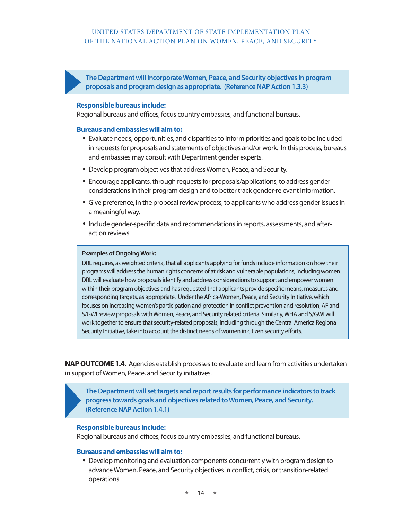**The Department will incorporate Women, Peace, and Security objectives in program proposals and program design as appropriate. (Reference NAP Action 1.3.3)** 

### **Responsible bureaus include:**

Regional bureaus and offices, focus country embassies, and functional bureaus.

### **Bureaus and embassies will aim to:**

- Evaluate needs, opportunities, and disparities to inform priorities and goals to be included in requests for proposals and statements of objectives and/or work. In this process, bureaus and embassies may consult with Department gender experts.
- Develop program objectives that address Women, Peace, and Security.
- Encourage applicants, through requests for proposals/applications, to address gender considerations in their program design and to better track gender-relevant information.
- Give preference, in the proposal review process, to applicants who address gender issues in a meaningful way.
- Include gender-specific data and recommendations in reports, assessments, and afteraction reviews.

### **Examples of Ongoing Work:**

DRL requires, as weighted criteria, that all applicants applying for funds include information on how their programs will address the human rights concerns of at risk and vulnerable populations, including women. DRL will evaluate how proposals identify and address considerations to support and empower women within their program objectives and has requested that applicants provide specific means, measures and corresponding targets, as appropriate. Under the Africa-Women, Peace, and Security Initiative, which focuses on increasing women's participation and protection in conflict prevention and resolution, AF and S/GWI review proposals with Women, Peace, and Security related criteria. Similarly, WHA and S/GWI will work together to ensure that security-related proposals, including through the Central America Regional Security Initiative, take into account the distinct needs of women in citizen security efforts.

**NAP OUTCOME 1.4.** Agencies establish processes to evaluate and learn from activities undertaken in support of Women, Peace, and Security initiatives.

**The Department will set targets and report results for performance indicators to track progress towards goals and objectives related to Women, Peace, and Security. (Reference NAP Action 1.4.1)**

### **Responsible bureaus include:**

Regional bureaus and offices, focus country embassies, and functional bureaus.

### **Bureaus and embassies will aim to:**

• Develop monitoring and evaluation components concurrently with program design to advance Women, Peace, and Security objectives in conflict, crisis, or transition-related operations.

 $14 \rightarrow$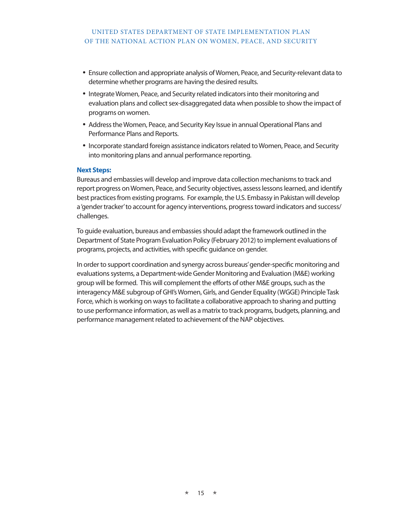- Ensure collection and appropriate analysis of Women, Peace, and Security-relevant data to determine whether programs are having the desired results.
- Integrate Women, Peace, and Security related indicators into their monitoring and evaluation plans and collect sex-disaggregated data when possible to show the impact of programs on women.
- Address the Women, Peace, and Security Key Issue in annual Operational Plans and Performance Plans and Reports.
- • Incorporate standard foreign assistance indicators related to Women, Peace, and Security into monitoring plans and annual performance reporting.

### **Next Steps:**

Bureaus and embassies will develop and improve data collection mechanisms to track and report progress on Women, Peace, and Security objectives, assess lessons learned, and identify best practices from existing programs. For example, the U.S. Embassy in Pakistan will develop a 'gender tracker' to account for agency interventions, progress toward indicators and success/ challenges.

To guide evaluation, bureaus and embassies should adapt the framework outlined in the Department of State Program Evaluation Policy (February 2012) to implement evaluations of programs, projects, and activities, with specific guidance on gender.

In order to support coordination and synergy across bureaus' gender-specific monitoring and evaluations systems, a Department-wide Gender Monitoring and Evaluation (M&E) working group will be formed. This will complement the efforts of other M&E groups, such as the interagency M&E subgroup of GHI's Women, Girls, and Gender Equality (WGGE) Principle Task Force, which is working on ways to facilitate a collaborative approach to sharing and putting to use performance information, as well as a matrix to track programs, budgets, planning, and performance management related to achievement of the NAP objectives.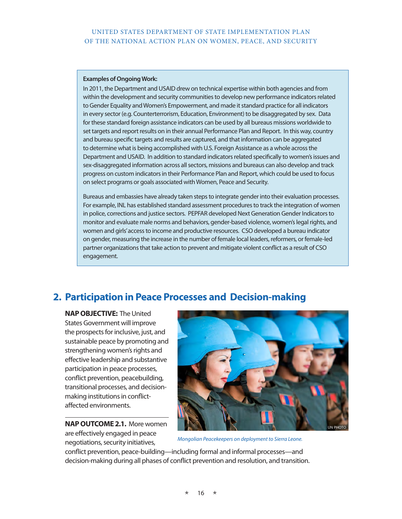### **Examples of Ongoing Work:**

In 2011, the Department and USAID drew on technical expertise within both agencies and from within the development and security communities to develop new performance indicators related to Gender Equality and Women's Empowerment, and made it standard practice for all indicators in every sector (e.g. Counterterrorism, Education, Environment) to be disaggregated by sex. Data for these standard foreign assistance indicators can be used by all bureaus missions worldwide to set targets and report results on in their annual Performance Plan and Report. In this way, country and bureau specific targets and results are captured, and that information can be aggregated to determine what is being accomplished with U.S. Foreign Assistance as a whole across the Department and USAID. In addition to standard indicators related specifically to women's issues and sex-disaggregated information across all sectors, missions and bureaus can also develop and track progress on custom indicators in their Performance Plan and Report, which could be used to focus on select programs or goals associated with Women, Peace and Security.

Bureaus and embassies have already taken steps to integrate gender into their evaluation processes. For example, INL has established standard assessment procedures to track the integration of women in police, corrections and justice sectors. PEPFAR developed Next Generation Gender Indicators to monitor and evaluate male norms and behaviors, gender-based violence, women's legal rights, and women and girls' access to income and productive resources. CSO developed a bureau indicator on gender, measuring the increase in the number of female local leaders, reformers, or female-led partner organizations that take action to prevent and mitigate violent conflict as a result of CSO engagement.

# **2. Participation in Peace Processes and Decision-making**

**NAP OBJECTIVE:** The United States Government will improve the prospects for inclusive, just, and sustainable peace by promoting and strengthening women's rights and effective leadership and substantive participation in peace processes, conflict prevention, peacebuilding, transitional processes, and decisionmaking institutions in conflictaffected environments.

**NAP OUTCOME 2.1.** More women are effectively engaged in peace negotiations, security initiatives,



*Mongolian Peacekeepers on deployment to Sierra Leone.*

conflict prevention, peace-building—including formal and informal processes—and decision-making during all phases of conflict prevention and resolution, and transition.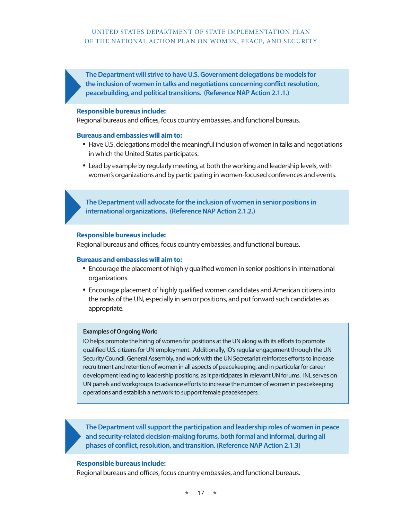**The Department will strive to have U.S. Government delegations be models for the inclusion of women in talks and negotiations concerning conflict resolution, peacebuilding, and political transitions. (Reference NAP Action 2.1.1.)**

### **Responsible bureaus include:**

Regional bureaus and offices, focus country embassies, and functional bureaus.

### **Bureaus and embassies will aim to:**

- Have U.S. delegations model the meaningful inclusion of women in talks and negotiations in which the United States participates.
- • Lead by example by regularly meeting, at both the working and leadership levels, with women's organizations and by participating in women-focused conferences and events.

**The Department will advocate for the inclusion of women in senior positions in international organizations. (Reference NAP Action 2.1.2.)**

### **Responsible bureaus include:**

Regional bureaus and offices, focus country embassies, and functional bureaus.

### **Bureaus and embassies will aim to:**

- Encourage the placement of highly qualified women in senior positions in international organizations.
- Encourage placement of highly qualified women candidates and American citizens into the ranks of the UN, especially in senior positions, and put forward such candidates as appropriate.

### **Examples of Ongoing Work:**

IO helps promote the hiring of women for positions at the UN along with its efforts to promote qualified U.S. citizens for UN employment. Additionally, IO's regular engagement through the UN Security Council, General Assembly, and work with the UN Secretariat reinforces efforts to increase recruitment and retention of women in all aspects of peacekeeping, and in particular for career development leading to leadership positions, as it participates in relevant UN forums. INL serves on UN panels and workgroups to advance efforts to increase the number of women in peacekeeping operations and establish a network to support female peacekeepers.

**The Department will support the participation and leadership roles of women in peace and security-related decision-making forums, both formal and informal, during all phases of conflict, resolution, and transition. (Reference NAP Action 2.1.3)**

### **Responsible bureaus include:**

Regional bureaus and offices, focus country embassies, and functional bureaus.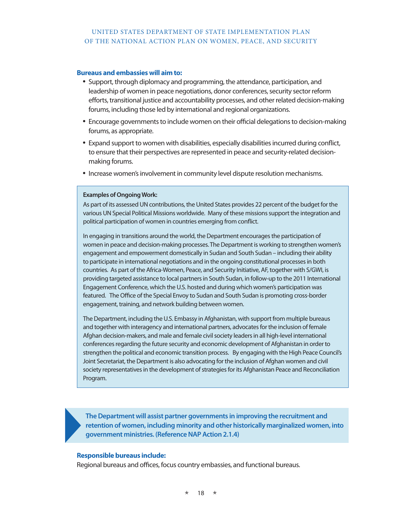### **Bureaus and embassies will aim to:**

- Support, through diplomacy and programming, the attendance, participation, and leadership of women in peace negotiations, donor conferences, security sector reform efforts, transitional justice and accountability processes, and other related decision-making forums, including those led by international and regional organizations.
- Encourage governments to include women on their official delegations to decision-making forums, as appropriate.
- Expand support to women with disabilities, especially disabilities incurred during conflict, to ensure that their perspectives are represented in peace and security-related decisionmaking forums.
- Increase women's involvement in community level dispute resolution mechanisms.

### **Examples of Ongoing Work:**

As part of its assessed UN contributions, the United States provides 22 percent of the budget for the various UN Special Political Missions worldwide. Many of these missions support the integration and political participation of women in countries emerging from conflict.

In engaging in transitions around the world, the Department encourages the participation of women in peace and decision-making processes. The Department is working to strengthen women's engagement and empowerment domestically in Sudan and South Sudan – including their ability to participate in international negotiations and in the ongoing constitutional processes in both countries. As part of the Africa-Women, Peace, and Security Initiative, AF, together with S/GWI, is providing targeted assistance to local partners in South Sudan, in follow-up to the 2011 International Engagement Conference, which the U.S. hosted and during which women's participation was featured. The Office of the Special Envoy to Sudan and South Sudan is promoting cross-border engagement, training, and network building between women.

The Department, including the U.S. Embassy in Afghanistan, with support from multiple bureaus and together with interagency and international partners, advocates for the inclusion of female Afghan decision-makers, and male and female civil society leaders in all high-level international conferences regarding the future security and economic development of Afghanistan in order to strengthen the political and economic transition process. By engaging with the High Peace Council's Joint Secretariat, the Department is also advocating for the inclusion of Afghan women and civil society representatives in the development of strategies for its Afghanistan Peace and Reconciliation Program.

**The Department will assist partner governments in improving the recruitment and retention of women, including minority and other historically marginalized women, into government ministries. (Reference NAP Action 2.1.4)**

### **Responsible bureaus include:**

Regional bureaus and offices, focus country embassies, and functional bureaus.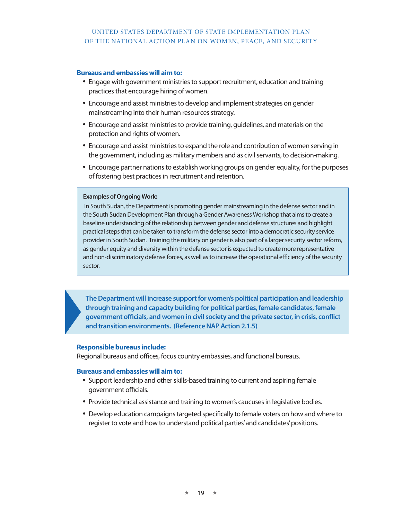### **Bureaus and embassies will aim to:**

- Engage with government ministries to support recruitment, education and training practices that encourage hiring of women.
- Encourage and assist ministries to develop and implement strategies on gender mainstreaming into their human resources strategy.
- Encourage and assist ministries to provide training, quidelines, and materials on the protection and rights of women.
- Encourage and assist ministries to expand the role and contribution of women serving in the government, including as military members and as civil servants, to decision-making.
- Encourage partner nations to establish working groups on gender equality, for the purposes of fostering best practices in recruitment and retention.

### **Examples of Ongoing Work:**

 In South Sudan, the Department is promoting gender mainstreaming in the defense sector and in the South Sudan Development Plan through a Gender Awareness Workshop that aims to create a baseline understanding of the relationship between gender and defense structures and highlight practical steps that can be taken to transform the defense sector into a democratic security service provider in South Sudan. Training the military on gender is also part of a larger security sector reform, as gender equity and diversity within the defense sector is expected to create more representative and non-discriminatory defense forces, as well as to increase the operational efficiency of the security sector.

**The Department will increase support for women's political participation and leadership through training and capacity building for political parties, female candidates, female government officials, and women in civil society and the private sector, in crisis, conflict and transition environments. (Reference NAP Action 2.1.5)**

### **Responsible bureaus include:**

Regional bureaus and offices, focus country embassies, and functional bureaus.

- Support leadership and other skills-based training to current and aspiring female government officials.
- Provide technical assistance and training to women's caucuses in legislative bodies.
- Develop education campaigns targeted specifically to female voters on how and where to register to vote and how to understand political parties' and candidates' positions.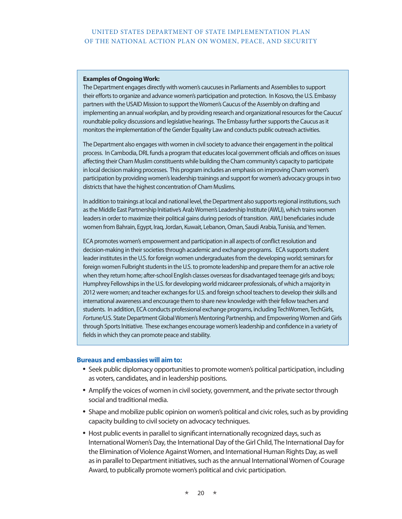### **Examples of Ongoing Work:**

The Department engages directly with women's caucuses in Parliaments and Assemblies to support their efforts to organize and advance women's participation and protection. In Kosovo, the U.S. Embassy partners with the USAID Mission to support the Women's Caucus of the Assembly on drafting and implementing an annual workplan, and by providing research and organizational resources for the Caucus' roundtable policy discussions and legislative hearings. The Embassy further supports the Caucus as it monitors the implementation of the Gender Equality Law and conducts public outreach activities.

The Department also engages with women in civil society to advance their engagement in the political process. In Cambodia, DRL funds a program that educates local government officials and offices on issues affecting their Cham Muslim constituents while building the Cham community's capacity to participate in local decision making processes. This program includes an emphasis on improving Cham women's participation by providing women's leadership trainings and support for women's advocacy groups in two districts that have the highest concentration of Cham Muslims.

In addition to trainings at local and national level, the Department also supports regional institutions, such as the Middle East Partnership Initiative's Arab Women's Leadership Institute (AWLI), which trains women leaders in order to maximize their political gains during periods of transition. AWLI beneficiaries include women from Bahrain, Egypt, Iraq, Jordan, Kuwait, Lebanon, Oman, Saudi Arabia, Tunisia, and Yemen.

ECA promotes women's empowerment and participation in all aspects of conflict resolution and decision-making in their societies through academic and exchange programs. ECA supports student leader institutes in the U.S. for foreign women undergraduates from the developing world; seminars for foreign women Fulbright students in the U.S. to promote leadership and prepare them for an active role when they return home; after-school English classes overseas for disadvantaged teenage girls and boys; Humphrey Fellowships in the U.S. for developing world midcareer professionals, of which a majority in 2012 were women; and teacher exchanges for U.S. and foreign school teachers to develop their skills and international awareness and encourage them to share new knowledge with their fellow teachers and students. In addition, ECA conducts professional exchange programs, including TechWomen, TechGirls, *Fortune/*U.S. State Department Global Women's Mentoring Partnership, and Empowering Women and Girls through Sports Initiative. These exchanges encourage women's leadership and confidence in a variety of fields in which they can promote peace and stability.

- Seek public diplomacy opportunities to promote women's political participation, including as voters, candidates, and in leadership positions.
- Amplify the voices of women in civil society, government, and the private sector through social and traditional media.
- Shape and mobilize public opinion on women's political and civic roles, such as by providing capacity building to civil society on advocacy techniques.
- Host public events in parallel to significant internationally recognized days, such as International Women's Day, the International Day of the Girl Child, The International Day for the Elimination of Violence Against Women, and International Human Rights Day, as well as in parallel to Department initiatives, such as the annual International Women of Courage Award, to publically promote women's political and civic participation.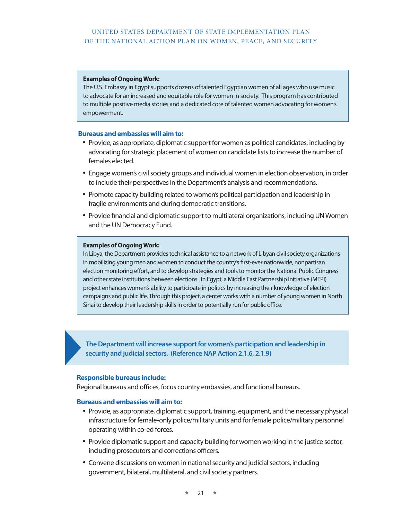### **Examples of Ongoing Work:**

The U.S. Embassy in Egypt supports dozens of talented Egyptian women of all ages who use music to advocate for an increased and equitable role for women in society. This program has contributed to multiple positive media stories and a dedicated core of talented women advocating for women's empowerment.

### **Bureaus and embassies will aim to:**

- Provide, as appropriate, diplomatic support for women as political candidates, including by advocating for strategic placement of women on candidate lists to increase the number of females elected.
- Engage women's civil society groups and individual women in election observation, in order to include their perspectives in the Department's analysis and recommendations.
- Promote capacity building related to women's political participation and leadership in fragile environments and during democratic transitions.
- Provide financial and diplomatic support to multilateral organizations, including UN Women and the UN Democracy Fund.

### **Examples of Ongoing Work:**

In Libya, the Department provides technical assistance to a network of Libyan civil society organizations in mobilizing young men and women to conduct the country's first-ever nationwide, nonpartisan election monitoring effort, and to develop strategies and tools to monitor the National Public Congress and other state institutions between elections. In Egypt, a Middle East Partnership Initiative (MEPI) project enhances women's ability to participate in politics by increasing their knowledge of election campaigns and public life. Through this project, a center works with a number of young women in North Sinai to develop their leadership skills in order to potentially run for public office.

**The Department will increase support for women's participation and leadership in security and judicial sectors. (Reference NAP Action 2.1.6, 2.1.9)**

### **Responsible bureaus include:**

Regional bureaus and offices, focus country embassies, and functional bureaus.

- Provide, as appropriate, diplomatic support, training, equipment, and the necessary physical infrastructure for female-only police/military units and for female police/military personnel operating within co-ed forces.
- Provide diplomatic support and capacity building for women working in the justice sector, including prosecutors and corrections officers.
- Convene discussions on women in national security and judicial sectors, including government, bilateral, multilateral, and civil society partners.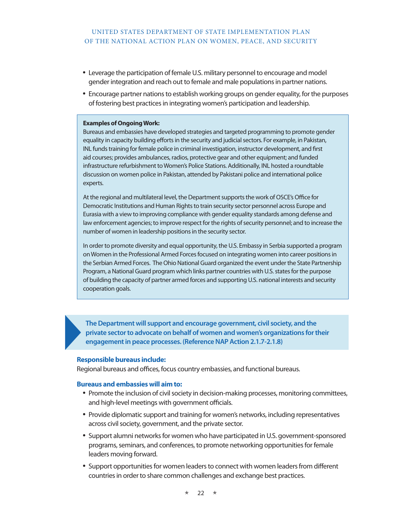- Leverage the participation of female U.S. military personnel to encourage and model gender integration and reach out to female and male populations in partner nations.
- Encourage partner nations to establish working groups on gender equality, for the purposes of fostering best practices in integrating women's participation and leadership.

### **Examples of Ongoing Work:**

Bureaus and embassies have developed strategies and targeted programming to promote gender equality in capacity building efforts in the security and judicial sectors. For example, in Pakistan, INL funds training for female police in criminal investigation, instructor development, and first aid courses; provides ambulances, radios, protective gear and other equipment; and funded infrastructure refurbishment to Women's Police Stations. Additionally, INL hosted a roundtable discussion on women police in Pakistan, attended by Pakistani police and international police experts.

At the regional and multilateral level, the Department supports the work of OSCE's Office for Democratic Institutions and Human Rights to train security sector personnel across Europe and Eurasia with a view to improving compliance with gender equality standards among defense and law enforcement agencies; to improve respect for the rights of security personnel; and to increase the number of women in leadership positions in the security sector.

In order to promote diversity and equal opportunity, the U.S. Embassy in Serbia supported a program on Women in the Professional Armed Forces focused on integrating women into career positions in the Serbian Armed Forces. The Ohio National Guard organized the event under the State Partnership Program, a National Guard program which links partner countries with U.S. states for the purpose of building the capacity of partner armed forces and supporting U.S. national interests and security cooperation goals.

**The Department will support and encourage government, civil society, and the private sector to advocate on behalf of women and women's organizations for their engagement in peace processes. (Reference NAP Action 2.1.7-2.1.8)**

### **Responsible bureaus include:**

Regional bureaus and offices, focus country embassies, and functional bureaus.

- Promote the inclusion of civil society in decision-making processes, monitoring committees, and high-level meetings with government officials.
- Provide diplomatic support and training for women's networks, including representatives across civil society, government, and the private sector.
- Support alumni networks for women who have participated in U.S. government-sponsored programs, seminars, and conferences, to promote networking opportunities for female leaders moving forward.
- Support opportunities for women leaders to connect with women leaders from different countries in order to share common challenges and exchange best practices.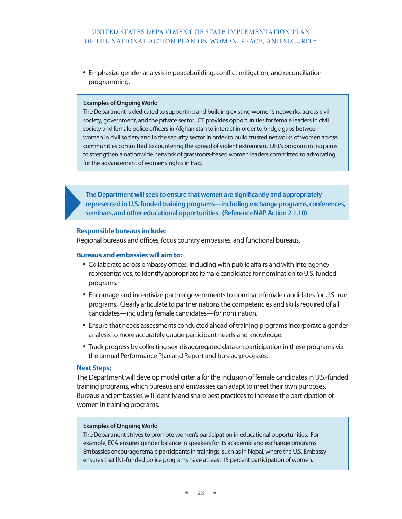• Emphasize gender analysis in peacebuilding, conflict mitigation, and reconciliation programming.

### **Examples of Ongoing Work:**

The Department is dedicated to supporting and building existing women's networks, across civil society, government, and the private sector. CT provides opportunities for female leaders in civil society and female police officers in Afghanistan to interact in order to bridge gaps between women in civil society and in the security sector in order to build trusted networks of women across communities committed to countering the spread of violent extremism. DRL's program in Iraq aims to strengthen a nationwide network of grassroots-based women leaders committed to advocating for the advancement of women's rights in Iraq.

**The Department will seek to ensure that women are significantly and appropriately represented in U.S. funded training programs—including exchange programs, conferences, seminars, and other educational opportunities. (Reference NAP Action 2.1.10)**

### **Responsible bureaus include:**

Regional bureaus and offices, focus country embassies, and functional bureaus.

### **Bureaus and embassies will aim to:**

- Collaborate across embassy offices, including with public affairs and with interagency representatives, to identify appropriate female candidates for nomination to U.S. funded programs.
- Encourage and incentivize partner governments to nominate female candidates for U.S.-run programs. Clearly articulate to partner nations the competencies and skills required of all candidates—including female candidates—for nomination.
- Ensure that needs assessments conducted ahead of training programs incorporate a gender analysis to more accurately gauge participant needs and knowledge.
- Track progress by collecting sex-disaggregated data on participation in these programs via the annual Performance Plan and Report and bureau processes.

### **Next Steps:**

The Department will develop model criteria for the inclusion of female candidates in U.S.-funded training programs, which bureaus and embassies can adapt to meet their own purposes. Bureaus and embassies will identify and share best practices to increase the participation of women in training programs.

### **Examples of Ongoing Work:**

The Department strives to promote women's participation in educational opportunities. For example, ECA ensures gender balance in speakers for its academic and exchange programs. Embassies encourage female participants in trainings, such as in Nepal, where the U.S. Embassy ensures that INL-funded police programs have at least 15 percent participation of women.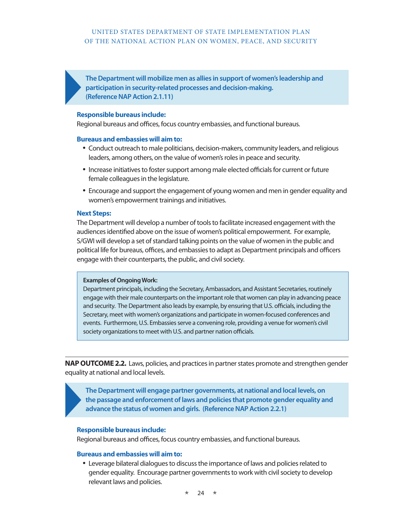**The Department will mobilize men as allies in support of women's leadership and participation in security-related processes and decision-making. (Reference NAP Action 2.1.11)**

### **Responsible bureaus include:**

Regional bureaus and offices, focus country embassies, and functional bureaus.

### **Bureaus and embassies will aim to:**

- • Conduct outreach to male politicians, decision-makers, community leaders, and religious leaders, among others, on the value of women's roles in peace and security.
- Increase initiatives to foster support among male elected officials for current or future female colleagues in the legislature.
- Encourage and support the engagement of young women and men in gender equality and women's empowerment trainings and initiatives.

### **Next Steps:**

The Department will develop a number of tools to facilitate increased engagement with the audiences identified above on the issue of women's political empowerment. For example, S/GWI will develop a set of standard talking points on the value of women in the public and political life for bureaus, offices, and embassies to adapt as Department principals and officers engage with their counterparts, the public, and civil society.

### **Examples of Ongoing Work:**

Department principals, including the Secretary, Ambassadors, and Assistant Secretaries, routinely engage with their male counterparts on the important role that women can play in advancing peace and security. The Department also leads by example, by ensuring that U.S. officials, including the Secretary, meet with women's organizations and participate in women-focused conferences and events. Furthermore, U.S. Embassies serve a convening role, providing a venue for women's civil society organizations to meet with U.S. and partner nation officials.

**NAP OUTCOME 2.2.** Laws, policies, and practices in partner states promote and strengthen gender equality at national and local levels.

**The Department will engage partner governments, at national and local levels, on the passage and enforcement of laws and policies that promote gender equality and advance the status of women and girls. (Reference NAP Action 2.2.1)**

### **Responsible bureaus include:**

Regional bureaus and offices, focus country embassies, and functional bureaus.

### **Bureaus and embassies will aim to:**

• Leverage bilateral dialogues to discuss the importance of laws and policies related to gender equality. Encourage partner governments to work with civil society to develop relevant laws and policies.

 $24 \rightarrow$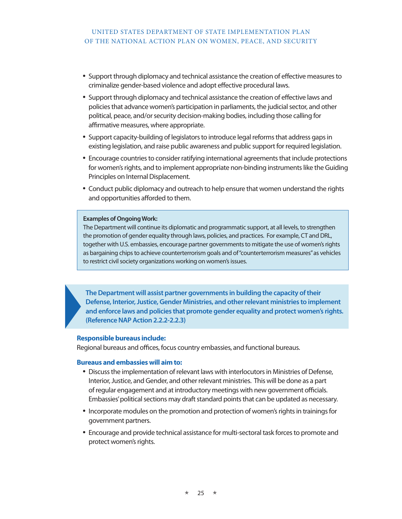- • Support through diplomacy and technical assistance the creation of effective measures to criminalize gender-based violence and adopt effective procedural laws.
- Support through diplomacy and technical assistance the creation of effective laws and policies that advance women's participation in parliaments, the judicial sector, and other political, peace, and/or security decision-making bodies, including those calling for affirmative measures, where appropriate.
- Support capacity-building of legislators to introduce legal reforms that address gaps in existing legislation, and raise public awareness and public support for required legislation.
- Encourage countries to consider ratifying international agreements that include protections for women's rights, and to implement appropriate non-binding instruments like the Guiding Principles on Internal Displacement.
- Conduct public diplomacy and outreach to help ensure that women understand the rights and opportunities afforded to them.

### **Examples of Ongoing Work:**

The Department will continue its diplomatic and programmatic support, at all levels, to strengthen the promotion of gender equality through laws, policies, and practices. For example, CT and DRL, together with U.S. embassies, encourage partner governments to mitigate the use of women's rights as bargaining chips to achieve counterterrorism goals and of "counterterrorism measures" as vehicles to restrict civil society organizations working on women's issues.

**The Department will assist partner governments in building the capacity of their Defense, Interior, Justice, Gender Ministries, and other relevant ministries to implement and enforce laws and policies that promote gender equality and protect women's rights. (Reference NAP Action 2.2.2-2.2.3)**

### **Responsible bureaus include:**

Regional bureaus and offices, focus country embassies, and functional bureaus.

- • Discuss the implementation of relevant laws with interlocutors in Ministries of Defense, Interior, Justice, and Gender, and other relevant ministries. This will be done as a part of regular engagement and at introductory meetings with new government officials. Embassies' political sections may draft standard points that can be updated as necessary.
- Incorporate modules on the promotion and protection of women's rights in trainings for government partners.
- Encourage and provide technical assistance for multi-sectoral task forces to promote and protect women's rights.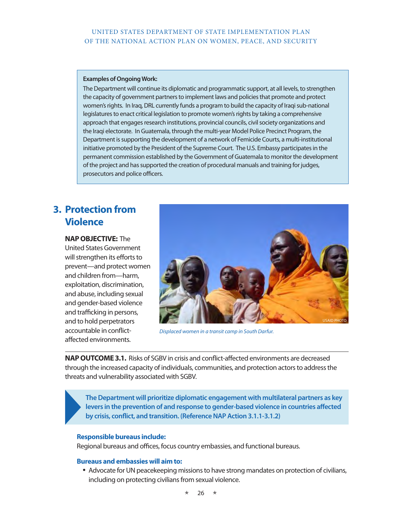### **Examples of Ongoing Work:**

The Department will continue its diplomatic and programmatic support, at all levels, to strengthen the capacity of government partners to implement laws and policies that promote and protect women's rights. In Iraq, DRL currently funds a program to build the capacity of Iraqi sub-national legislatures to enact critical legislation to promote women's rights by taking a comprehensive approach that engages research institutions, provincial councils, civil society organizations and the Iraqi electorate. In Guatemala, through the multi-year Model Police Precinct Program, the Department is supporting the development of a network of Femicide Courts, a multi-institutional initiative promoted by the President of the Supreme Court. The U.S. Embassy participates in the permanent commission established by the Government of Guatemala to monitor the development of the project and has supported the creation of procedural manuals and training for judges, prosecutors and police officers.

# **3. Protection from Violence**

**NAP OBJECTIVE:** The United States Government will strengthen its efforts to prevent—and protect women and children from—harm, exploitation, discrimination, and abuse, including sexual and gender-based violence and trafficking in persons, and to hold perpetrators accountable in conflictaffected environments.



*Displaced women in a transit camp in South Darfur.*

**NAP OUTCOME 3.1.** Risks of SGBV in crisis and conflict-affected environments are decreased through the increased capacity of individuals, communities, and protection actors to address the threats and vulnerability associated with SGBV.

**The Department will prioritize diplomatic engagement with multilateral partners as key levers in the prevention of and response to gender-based violence in countries affected by crisis, conflict, and transition. (Reference NAP Action 3.1.1-3.1.2)**

### **Responsible bureaus include:**

Regional bureaus and offices, focus country embassies, and functional bureaus.

### **Bureaus and embassies will aim to:**

• Advocate for UN peacekeeping missions to have strong mandates on protection of civilians, including on protecting civilians from sexual violence.

 $26 \times$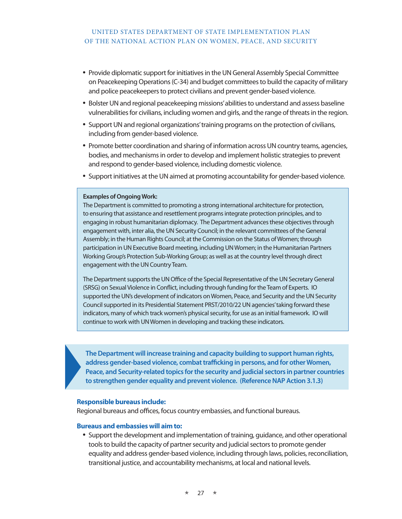- Provide diplomatic support for initiatives in the UN General Assembly Special Committee on Peacekeeping Operations (C-34) and budget committees to build the capacity of military and police peacekeepers to protect civilians and prevent gender-based violence.
- Bolster UN and regional peacekeeping missions' abilities to understand and assess baseline vulnerabilities for civilians, including women and girls, and the range of threats in the region.
- • Support UN and regional organizations' training programs on the protection of civilians, including from gender-based violence.
- Promote better coordination and sharing of information across UN country teams, agencies, bodies, and mechanisms in order to develop and implement holistic strategies to prevent and respond to gender-based violence, including domestic violence.
- • Support initiatives at the UN aimed at promoting accountability for gender-based violence.

### **Examples of Ongoing Work:**

The Department is committed to promoting a strong international architecture for protection, to ensuring that assistance and resettlement programs integrate protection principles, and to engaging in robust humanitarian diplomacy. The Department advances these objectives through engagement with, inter alia, the UN Security Council; in the relevant committees of the General Assembly; in the Human Rights Council; at the Commission on the Status of Women; through participation in UN Executive Board meeting, including UN Women; in the Humanitarian Partners Working Group's Protection Sub-Working Group; as well as at the country level through direct engagement with the UN Country Team.

The Department supports the UN Office of the Special Representative of the UN Secretary General (SRSG) on Sexual Violence in Conflict, including through funding for the Team of Experts. IO supported the UN's development of indicators on Women, Peace, and Security and the UN Security Council supported in its Presidential Statement PRST/2010/22 UN agencies' taking forward these indicators, many of which track women's physical security, for use as an initial framework. IO will continue to work with UN Women in developing and tracking these indicators.

**The Department will increase training and capacity building to support human rights, address gender-based violence, combat trafficking in persons, and for other Women, Peace, and Security-related topics for the security and judicial sectors in partner countries to strengthen gender equality and prevent violence. (Reference NAP Action 3.1.3)**

### **Responsible bureaus include:**

Regional bureaus and offices, focus country embassies, and functional bureaus.

### **Bureaus and embassies will aim to:**

• Support the development and implementation of training, guidance, and other operational tools to build the capacity of partner security and judicial sectors to promote gender equality and address gender-based violence, including through laws, policies, reconciliation, transitional justice, and accountability mechanisms, at local and national levels.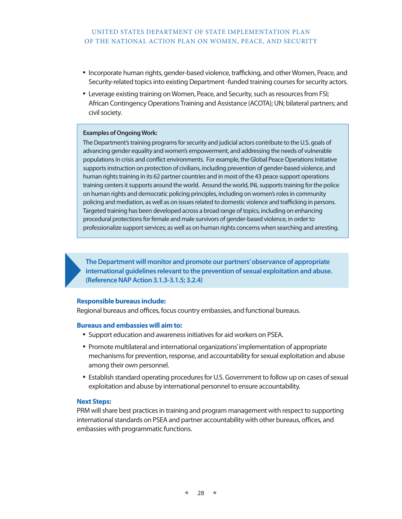- Incorporate human rights, gender-based violence, trafficking, and other Women, Peace, and Security-related topics into existing Department -funded training courses for security actors.
- Leverage existing training on Women, Peace, and Security, such as resources from FSI; African Contingency Operations Training and Assistance (ACOTA); UN; bilateral partners; and civil society.

### **Examples of Ongoing Work:**

The Department's training programs for security and judicial actors contribute to the U.S. goals of advancing gender equality and women's empowerment, and addressing the needs of vulnerable populations in crisis and conflict environments. For example, the Global Peace Operations Initiative supports instruction on protection of civilians, including prevention of gender-based violence, and human rights training in its 62 partner countries and in most of the 43 peace support operations training centers it supports around the world. Around the world, INL supports training for the police on human rights and democratic policing principles, including on women's roles in community policing and mediation, as well as on issues related to domestic violence and trafficking in persons. Targeted training has been developed across a broad range of topics, including on enhancing procedural protections for female and male survivors of gender-based violence, in order to professionalize support services; as well as on human rights concerns when searching and arresting.

**The Department will monitor and promote our partners' observance of appropriate international guidelines relevant to the prevention of sexual exploitation and abuse. (Reference NAP Action 3.1.3-3.1.5; 3.2.4)**

### **Responsible bureaus include:**

Regional bureaus and offices, focus country embassies, and functional bureaus.

### **Bureaus and embassies will aim to:**

- Support education and awareness initiatives for aid workers on PSEA.
- Promote multilateral and international organizations' implementation of appropriate mechanisms for prevention, response, and accountability for sexual exploitation and abuse among their own personnel.
- Establish standard operating procedures for U.S. Government to follow up on cases of sexual exploitation and abuse by international personnel to ensure accountability.

### **Next Steps:**

PRM will share best practices in training and program management with respect to supporting international standards on PSEA and partner accountability with other bureaus, offices, and embassies with programmatic functions.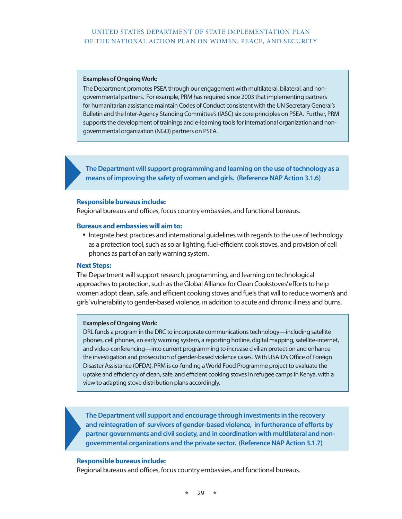### **Examples of Ongoing Work:**

The Department promotes PSEA through our engagement with multilateral, bilateral, and nongovernmental partners. For example, PRM has required since 2003 that implementing partners for humanitarian assistance maintain Codes of Conduct consistent with the UN Secretary General's Bulletin and the Inter-Agency Standing Committee's (IASC) six core principles on PSEA. Further, PRM supports the development of trainings and e-learning tools for international organization and nongovernmental organization (NGO) partners on PSEA.

**The Department will support programming and learning on the use of technology as a means of improving the safety of women and girls. (Reference NAP Action 3.1.6)**

### **Responsible bureaus include:**

Regional bureaus and offices, focus country embassies, and functional bureaus.

### **Bureaus and embassies will aim to:**

• Integrate best practices and international guidelines with regards to the use of technology as a protection tool, such as solar lighting, fuel-efficient cook stoves, and provision of cell phones as part of an early warning system.

### **Next Steps:**

The Department will support research, programming, and learning on technological approaches to protection, such as the Global Alliance for Clean Cookstoves' efforts to help women adopt clean, safe, and efficient cooking stoves and fuels that will to reduce women's and girls' vulnerability to gender-based violence, in addition to acute and chronic illness and burns.

### **Examples of Ongoing Work:**

DRL funds a program in the DRC to incorporate communications technology—including satellite phones, cell phones, an early warning system, a reporting hotline, digital mapping, satellite-internet, and video-conferencing—into current programming to increase civilian protection and enhance the investigation and prosecution of gender-based violence cases. With USAID's Office of Foreign Disaster Assistance (OFDA), PRM is co-funding a World Food Programme project to evaluate the uptake and efficiency of clean, safe, and efficient cooking stoves in refugee camps in Kenya, with a view to adapting stove distribution plans accordingly.

**The Department will support and encourage through investments in the recovery and reintegration of survivors of gender-based violence, in furtherance of efforts by partner governments and civil society, and in coordination with multilateral and nongovernmental organizations and the private sector. (Reference NAP Action 3.1.7)**

### **Responsible bureaus include:**

Regional bureaus and offices, focus country embassies, and functional bureaus.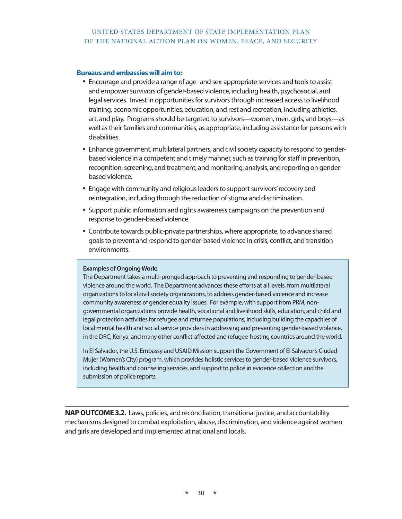### **Bureaus and embassies will aim to:**

- • Encourage and provide a range of age- and sex-appropriate services and tools to assist and empower survivors of gender-based violence, including health, psychosocial, and legal services. Invest in opportunities for survivors through increased access to livelihood training, economic opportunities, education, and rest and recreation, including athletics, art, and play. Programs should be targeted to survivors—women, men, girls, and boys—as well as their families and communities, as appropriate, including assistance for persons with disabilities.
- Enhance government, multilateral partners, and civil society capacity to respond to genderbased violence in a competent and timely manner, such as training for staff in prevention, recognition, screening, and treatment, and monitoring, analysis, and reporting on genderbased violence.
- Engage with community and religious leaders to support survivors' recovery and reintegration, including through the reduction of stigma and discrimination.
- Support public information and rights awareness campaigns on the prevention and response to gender-based violence.
- Contribute towards public-private partnerships, where appropriate, to advance shared goals to prevent and respond to gender-based violence in crisis, conflict, and transition environments.

### **Examples of Ongoing Work:**

The Department takes a multi-pronged approach to preventing and responding to gender-based violence around the world. The Department advances these efforts at all levels, from multilateral organizations to local civil society organizations, to address gender-based violence and increase community awareness of gender equality issues. For example, with support from PRM, nongovernmental organizations provide health, vocational and livelihood skills, education, and child and legal protection activities for refugee and returnee populations, including building the capacities of local mental health and social service providers in addressing and preventing gender-based violence, in the DRC, Kenya, and many other conflict-affected and refugee-hosting countries around the world.

In El Salvador, the U.S. Embassy and USAID Mission support the Government of El Salvador's Ciudad Mujer (Women's City) program, which provides holistic services to gender-based violence survivors, including health and counseling services, and support to police in evidence collection and the submission of police reports.

**NAP OUTCOME 3.2.** Laws, policies, and reconciliation, transitional justice, and accountability mechanisms designed to combat exploitation, abuse, discrimination, and violence against women and girls are developed and implemented at national and locals.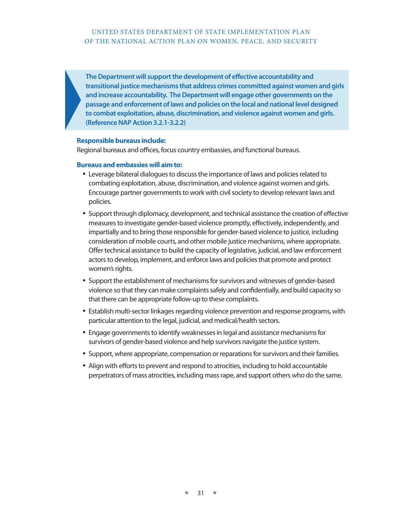**The Department will support the development of effective accountability and transitional justice mechanisms that address crimes committed against women and girls and increase accountability. The Department will engage other governments on the passage and enforcement of laws and policies on the local and national level designed to combat exploitation, abuse, discrimination, and violence against women and girls. (Reference NAP Action 3.2.1-3.2.2)**

### **Responsible bureaus include:**

Regional bureaus and offices, focus country embassies, and functional bureaus.

- • Leverage bilateral dialogues to discuss the importance of laws and policies related to combating exploitation, abuse, discrimination, and violence against women and girls. Encourage partner governments to work with civil society to develop relevant laws and policies.
- Support through diplomacy, development, and technical assistance the creation of effective measures to investigate gender-based violence promptly, effectively, independently, and impartially and to bring those responsible for gender-based violence to justice, including consideration of mobile courts, and other mobile justice mechanisms, where appropriate. Offer technical assistance to build the capacity of legislative, judicial, and law enforcement actors to develop, implement, and enforce laws and policies that promote and protect women's rights.
- Support the establishment of mechanisms for survivors and witnesses of gender-based violence so that they can make complaints safely and confidentially, and build capacity so that there can be appropriate follow-up to these complaints.
- • Establish multi-sector linkages regarding violence prevention and response programs, with particular attention to the legal, judicial, and medical/health sectors.
- Engage governments to identify weaknesses in legal and assistance mechanisms for survivors of gender-based violence and help survivors navigate the justice system.
- • Support, where appropriate, compensation or reparations for survivors and their families.
- Align with efforts to prevent and respond to atrocities, including to hold accountable perpetrators of mass atrocities, including mass rape, and support others who do the same.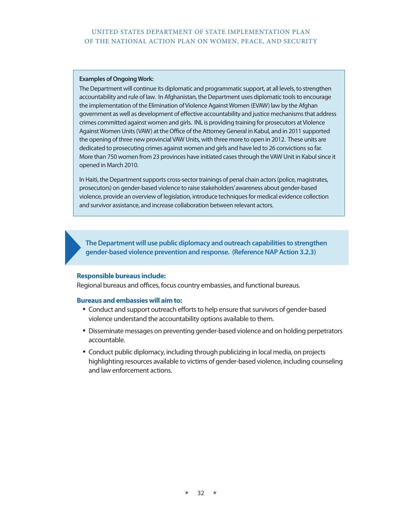### **Examples of Ongoing Work:**

The Department will continue its diplomatic and programmatic support, at all levels, to strengthen accountability and rule of law. In Afghanistan, the Department uses diplomatic tools to encourage the implementation of the Elimination of Violence Against Women (EVAW) law by the Afghan government as well as development of effective accountability and justice mechanisms that address crimes committed against women and girls. INL is providing training for prosecutors at Violence Against Women Units (VAW) at the Office of the Attorney General in Kabul, and in 2011 supported the opening of three new provincial VAW Units, with three more to open in 2012. These units are dedicated to prosecuting crimes against women and girls and have led to 26 convictions so far. More than 750 women from 23 provinces have initiated cases through the VAW Unit in Kabul since it opened in March 2010.

In Haiti, the Department supports cross-sector trainings of penal chain actors (police, magistrates, prosecutors) on gender-based violence to raise stakeholders' awareness about gender-based violence, provide an overview of legislation, introduce techniques for medical evidence collection and survivor assistance, and increase collaboration between relevant actors.

**The Department will use public diplomacy and outreach capabilities to strengthen gender-based violence prevention and response. (Reference NAP Action 3.2.3)**

### **Responsible bureaus include:**

Regional bureaus and offices, focus country embassies, and functional bureaus.

- Conduct and support outreach efforts to help ensure that survivors of gender-based violence understand the accountability options available to them.
- • Disseminate messages on preventing gender-based violence and on holding perpetrators accountable.
- Conduct public diplomacy, including through publicizing in local media, on projects highlighting resources available to victims of gender-based violence, including counseling and law enforcement actions.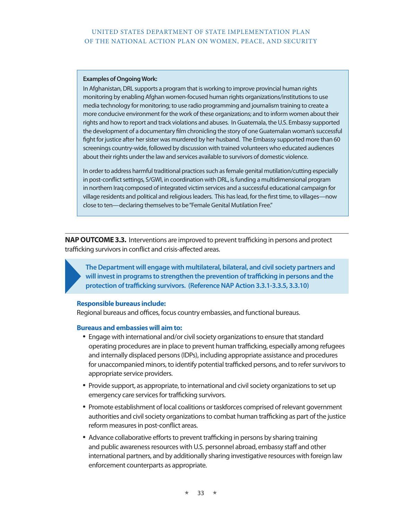### **Examples of Ongoing Work:**

In Afghanistan, DRL supports a program that is working to improve provincial human rights monitoring by enabling Afghan women-focused human rights organizations/institutions to use media technology for monitoring; to use radio programming and journalism training to create a more conducive environment for the work of these organizations; and to inform women about their rights and how to report and track violations and abuses. In Guatemala, the U.S. Embassy supported the development of a documentary film chronicling the story of one Guatemalan woman's successful fight for justice after her sister was murdered by her husband. The Embassy supported more than 60 screenings country-wide, followed by discussion with trained volunteers who educated audiences about their rights under the law and services available to survivors of domestic violence.

In order to address harmful traditional practices such as female genital mutilation/cutting especially in post-conflict settings, S/GWI, in coordination with DRL, is funding a multidimensional program in northern Iraq composed of integrated victim services and a successful educational campaign for village residents and political and religious leaders. This has lead, for the first time, to villages—now close to ten—declaring themselves to be "Female Genital Mutilation Free."

**NAP OUTCOME 3.3.** Interventions are improved to prevent trafficking in persons and protect trafficking survivors in conflict and crisis-affected areas.

**The Department will engage with multilateral, bilateral, and civil society partners and will invest in programs to strengthen the prevention of trafficking in persons and the protection of trafficking survivors. (Reference NAP Action 3.3.1-3.3.5, 3.3.10)**

### **Responsible bureaus include:**

Regional bureaus and offices, focus country embassies, and functional bureaus.

- Engage with international and/or civil society organizations to ensure that standard operating procedures are in place to prevent human trafficking, especially among refugees and internally displaced persons (IDPs), including appropriate assistance and procedures for unaccompanied minors, to identify potential trafficked persons, and to refer survivors to appropriate service providers.
- Provide support, as appropriate, to international and civil society organizations to set up emergency care services for trafficking survivors.
- Promote establishment of local coalitions or taskforces comprised of relevant government authorities and civil society organizations to combat human trafficking as part of the justice reform measures in post-conflict areas.
- Advance collaborative efforts to prevent trafficking in persons by sharing training and public awareness resources with U.S. personnel abroad, embassy staff and other international partners, and by additionally sharing investigative resources with foreign law enforcement counterparts as appropriate.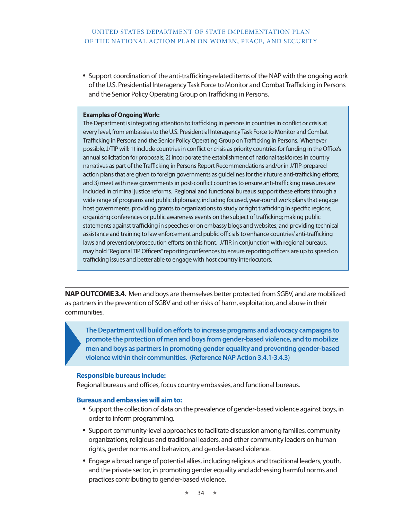• Support coordination of the anti-trafficking-related items of the NAP with the ongoing work of the U.S. Presidential Interagency Task Force to Monitor and Combat Trafficking in Persons and the Senior Policy Operating Group on Trafficking in Persons.

### **Examples of Ongoing Work:**

The Department is integrating attention to trafficking in persons in countries in conflict or crisis at every level, from embassies to the U.S. Presidential Interagency Task Force to Monitor and Combat Trafficking in Persons and the Senior Policy Operating Group on Trafficking in Persons. Whenever possible, J/TIP will: 1) include countries in conflict or crisis as priority countries for funding in the Office's annual solicitation for proposals; 2) incorporate the establishment of national taskforces in country narratives as part of the Trafficking in Persons Report Recommendations and/or in J/TIP-prepared action plans that are given to foreign governments as guidelines for their future anti-trafficking efforts; and 3) meet with new governments in post-conflict countries to ensure anti-trafficking measures are included in criminal justice reforms. Regional and functional bureaus support these efforts through a wide range of programs and public diplomacy, including focused, year-round work plans that engage host governments, providing grants to organizations to study or fight trafficking in specific regions; organizing conferences or public awareness events on the subject of trafficking; making public statements against trafficking in speeches or on embassy blogs and websites; and providing technical assistance and training to law enforcement and public officials to enhance countries' anti-trafficking laws and prevention/prosecution efforts on this front. J/TIP, in conjunction with regional bureaus, may hold "Regional TIP Officers" reporting conferences to ensure reporting officers are up to speed on trafficking issues and better able to engage with host country interlocutors.

**NAP OUTCOME 3.4.** Men and boys are themselves better protected from SGBV, and are mobilized as partners in the prevention of SGBV and other risks of harm, exploitation, and abuse in their communities.

**The Department will build on efforts to increase programs and advocacy campaigns to promote the protection of men and boys from gender-based violence, and to mobilize men and boys as partners in promoting gender equality and preventing gender-based violence within their communities. (Reference NAP Action 3.4.1-3.4.3)**

### **Responsible bureaus include:**

Regional bureaus and offices, focus country embassies, and functional bureaus.

- Support the collection of data on the prevalence of gender-based violence against boys, in order to inform programming.
- • Support community-level approaches to facilitate discussion among families, community organizations, religious and traditional leaders, and other community leaders on human rights, gender norms and behaviors, and gender-based violence.
- Engage a broad range of potential allies, including religious and traditional leaders, youth, and the private sector, in promoting gender equality and addressing harmful norms and practices contributing to gender-based violence.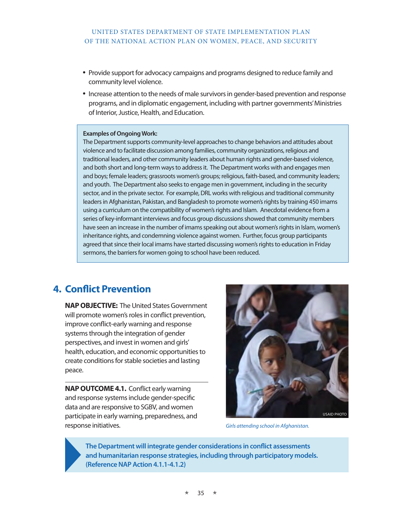- Provide support for advocacy campaigns and programs designed to reduce family and community level violence.
- Increase attention to the needs of male survivors in gender-based prevention and response programs, and in diplomatic engagement, including with partner governments' Ministries of Interior, Justice, Health, and Education.

#### **Examples of Ongoing Work:**

The Department supports community-level approaches to change behaviors and attitudes about violence and to facilitate discussion among families, community organizations, religious and traditional leaders, and other community leaders about human rights and gender-based violence, and both short and long-term ways to address it. The Department works with and engages men and boys; female leaders; grassroots women's groups; religious, faith-based, and community leaders; and youth. The Department also seeks to engage men in government, including in the security sector, and in the private sector. For example, DRL works with religious and traditional community leaders in Afghanistan, Pakistan, and Bangladesh to promote women's rights by training 450 imams using a curriculum on the compatibility of women's rights and Islam. Anecdotal evidence from a series of key-informant interviews and focus group discussions showed that community members have seen an increase in the number of imams speaking out about women's rights in Islam, women's inheritance rights, and condemning violence against women. Further, focus group participants agreed that since their local imams have started discussing women's rights to education in Friday sermons, the barriers for women going to school have been reduced.

# **4. Conflict Prevention**

**NAP OBJECTIVE:** The United States Government will promote women's roles in conflict prevention, improve conflict-early warning and response systems through the integration of gender perspectives, and invest in women and girls' health, education, and economic opportunities to create conditions for stable societies and lasting peace.

**NAP OUTCOME 4.1.** Conflict early warning and response systems include gender-specific data and are responsive to SGBV, and women participate in early warning, preparedness, and response initiatives.



*Girls attending school in Afghanistan.*

**The Department will integrate gender considerations in conflict assessments and humanitarian response strategies, including through participatory models. (Reference NAP Action 4.1.1-4.1.2)**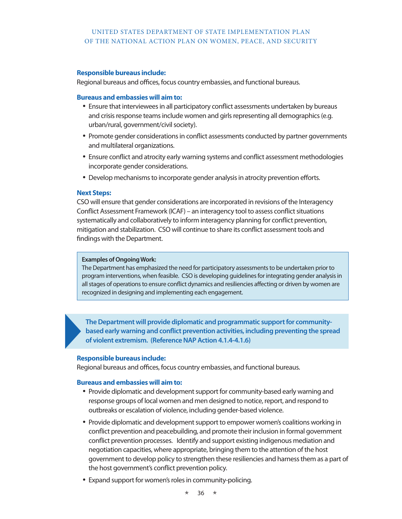## **Responsible bureaus include:**

Regional bureaus and offices, focus country embassies, and functional bureaus.

## **Bureaus and embassies will aim to:**

- Ensure that interviewees in all participatory conflict assessments undertaken by bureaus and crisis response teams include women and girls representing all demographics (e.g. urban/rural, government/civil society).
- Promote gender considerations in conflict assessments conducted by partner governments and multilateral organizations.
- Ensure conflict and atrocity early warning systems and conflict assessment methodologies incorporate gender considerations.
- Develop mechanisms to incorporate gender analysis in atrocity prevention efforts.

## **Next Steps:**

CSO will ensure that gender considerations are incorporated in revisions of the Interagency Conflict Assessment Framework (ICAF) – an interagency tool to assess conflict situations systematically and collaboratively to inform interagency planning for conflict prevention, mitigation and stabilization. CSO will continue to share its conflict assessment tools and findings with the Department.

## **Examples of Ongoing Work:**

The Department has emphasized the need for participatory assessments to be undertaken prior to program interventions, when feasible. CSO is developing guidelines for integrating gender analysis in all stages of operations to ensure conflict dynamics and resiliencies affecting or driven by women are recognized in designing and implementing each engagement.

**The Department will provide diplomatic and programmatic support for communitybased early warning and conflict prevention activities, including preventing the spread of violent extremism. (Reference NAP Action 4.1.4-4.1.6)**

## **Responsible bureaus include:**

Regional bureaus and offices, focus country embassies, and functional bureaus.

## **Bureaus and embassies will aim to:**

- Provide diplomatic and development support for community-based early warning and response groups of local women and men designed to notice, report, and respond to outbreaks or escalation of violence, including gender-based violence.
- Provide diplomatic and development support to empower women's coalitions working in conflict prevention and peacebuilding, and promote their inclusion in formal government conflict prevention processes. Identify and support existing indigenous mediation and negotiation capacities, where appropriate, bringing them to the attention of the host government to develop policy to strengthen these resiliencies and harness them as a part of the host government's conflict prevention policy.
- Expand support for women's roles in community-policing.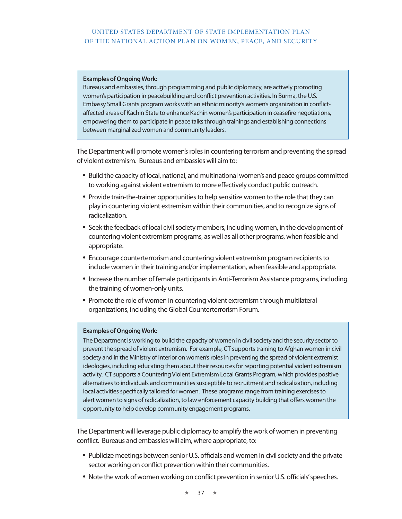#### **Examples of Ongoing Work:**

Bureaus and embassies, through programming and public diplomacy, are actively promoting women's participation in peacebuilding and conflict prevention activities. In Burma, the U.S. Embassy Small Grants program works with an ethnic minority's women's organization in conflictaffected areas of Kachin State to enhance Kachin women's participation in ceasefire negotiations, empowering them to participate in peace talks through trainings and establishing connections between marginalized women and community leaders.

The Department will promote women's roles in countering terrorism and preventing the spread of violent extremism. Bureaus and embassies will aim to:

- • Build the capacity of local, national, and multinational women's and peace groups committed to working against violent extremism to more effectively conduct public outreach.
- Provide train-the-trainer opportunities to help sensitize women to the role that they can play in countering violent extremism within their communities, and to recognize signs of radicalization.
- Seek the feedback of local civil society members, including women, in the development of countering violent extremism programs, as well as all other programs, when feasible and appropriate.
- Encourage counterterrorism and countering violent extremism program recipients to include women in their training and/or implementation, when feasible and appropriate.
- Increase the number of female participants in Anti-Terrorism Assistance programs, including the training of women-only units.
- Promote the role of women in countering violent extremism through multilateral organizations, including the Global Counterterrorism Forum.

## **Examples of Ongoing Work:**

The Department is working to build the capacity of women in civil society and the security sector to prevent the spread of violent extremism. For example, CT supports training to Afghan women in civil society and in the Ministry of Interior on women's roles in preventing the spread of violent extremist ideologies, including educating them about their resources for reporting potential violent extremism activity. CT supports a Countering Violent Extremism Local Grants Program, which provides positive alternatives to individuals and communities susceptible to recruitment and radicalization, including local activities specifically tailored for women. These programs range from training exercises to alert women to signs of radicalization, to law enforcement capacity building that offers women the opportunity to help develop community engagement programs.

The Department will leverage public diplomacy to amplify the work of women in preventing conflict. Bureaus and embassies will aim, where appropriate, to:

- Publicize meetings between senior U.S. officials and women in civil society and the private sector working on conflict prevention within their communities.
- Note the work of women working on conflict prevention in senior U.S. officials' speeches.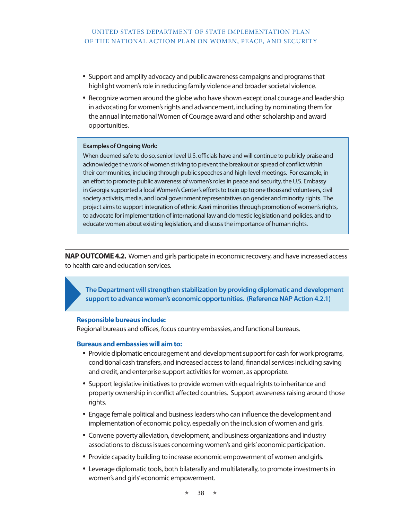- • Support and amplify advocacy and public awareness campaigns and programs that highlight women's role in reducing family violence and broader societal violence.
- Recognize women around the globe who have shown exceptional courage and leadership in advocating for women's rights and advancement, including by nominating them for the annual International Women of Courage award and other scholarship and award opportunities.

#### **Examples of Ongoing Work:**

When deemed safe to do so, senior level U.S. officials have and will continue to publicly praise and acknowledge the work of women striving to prevent the breakout or spread of conflict within their communities, including through public speeches and high-level meetings. For example, in an effort to promote public awareness of women's roles in peace and security, the U.S. Embassy in Georgia supported a local Women's Center's efforts to train up to one thousand volunteers, civil society activists, media, and local government representatives on gender and minority rights. The project aims to support integration of ethnic Azeri minorities through promotion of women's rights, to advocate for implementation of international law and domestic legislation and policies, and to educate women about existing legislation, and discuss the importance of human rights.

**NAP OUTCOME 4.2.** Women and girls participate in economic recovery, and have increased access to health care and education services.

**The Department will strengthen stabilization by providing diplomatic and development support to advance women's economic opportunities. (Reference NAP Action 4.2.1)**

#### **Responsible bureaus include:**

Regional bureaus and offices, focus country embassies, and functional bureaus.

## **Bureaus and embassies will aim to:**

- Provide diplomatic encouragement and development support for cash for work programs, conditional cash transfers, and increased access to land, financial services including saving and credit, and enterprise support activities for women, as appropriate.
- Support legislative initiatives to provide women with equal rights to inheritance and property ownership in conflict affected countries. Support awareness raising around those rights.
- Engage female political and business leaders who can influence the development and implementation of economic policy, especially on the inclusion of women and girls.
- Convene poverty alleviation, development, and business organizations and industry associations to discuss issues concerning women's and girls' economic participation.
- Provide capacity building to increase economic empowerment of women and girls.
- • Leverage diplomatic tools, both bilaterally and multilaterally, to promote investments in women's and girls' economic empowerment.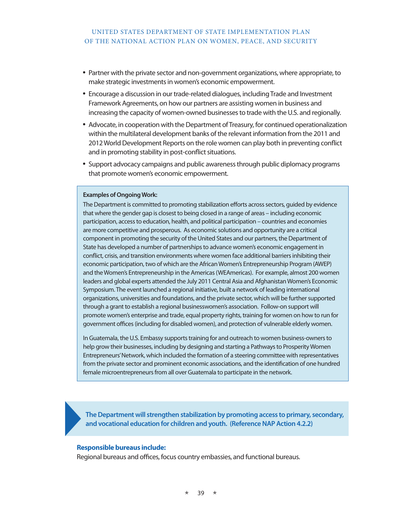- Partner with the private sector and non-government organizations, where appropriate, to make strategic investments in women's economic empowerment.
- Encourage a discussion in our trade-related dialogues, including Trade and Investment Framework Agreements, on how our partners are assisting women in business and increasing the capacity of women-owned businesses to trade with the U.S. and regionally.
- Advocate, in cooperation with the Department of Treasury, for continued operationalization within the multilateral development banks of the relevant information from the 2011 and 2012 World Development Reports on the role women can play both in preventing conflict and in promoting stability in post-conflict situations.
- • Support advocacy campaigns and public awareness through public diplomacy programs that promote women's economic empowerment.

#### **Examples of Ongoing Work:**

The Department is committed to promoting stabilization efforts across sectors, guided by evidence that where the gender gap is closest to being closed in a range of areas – including economic participation, access to education, health, and political participation – countries and economies are more competitive and prosperous. As economic solutions and opportunity are a critical component in promoting the security of the United States and our partners, the Department of State has developed a number of partnerships to advance women's economic engagement in conflict, crisis, and transition environments where women face additional barriers inhibiting their economic participation, two of which are the African Women's Entrepreneurship Program (AWEP) and the Women's Entrepreneurship in the Americas (WEAmericas). For example, almost 200 women leaders and global experts attended the July 2011 Central Asia and Afghanistan Women's Economic Symposium. The event launched a regional initiative, built a network of leading international organizations, universities and foundations, and the private sector, which will be further supported through a grant to establish a regional businesswomen's association. Follow-on support will promote women's enterprise and trade, equal property rights, training for women on how to run for government offices (including for disabled women), and protection of vulnerable elderly women.

In Guatemala, the U.S. Embassy supports training for and outreach to women business-owners to help grow their businesses, including by designing and starting a Pathways to Prosperity Women Entrepreneurs' Network, which included the formation of a steering committee with representatives from the private sector and prominent economic associations, and the identification of one hundred female microentrepreneurs from all over Guatemala to participate in the network.

**The Department will strengthen stabilization by promoting access to primary, secondary, and vocational education for children and youth. (Reference NAP Action 4.2.2)**

#### **Responsible bureaus include:**

Regional bureaus and offices, focus country embassies, and functional bureaus.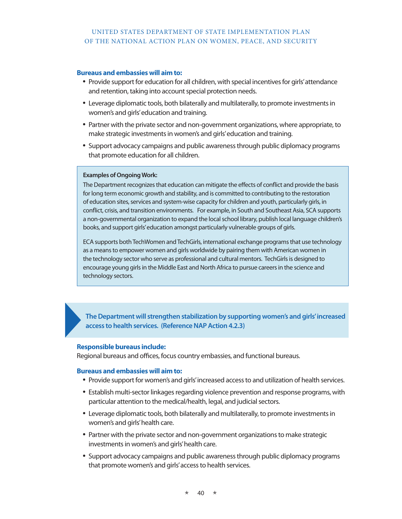## **Bureaus and embassies will aim to:**

- Provide support for education for all children, with special incentives for girls' attendance and retention, taking into account special protection needs.
- • Leverage diplomatic tools, both bilaterally and multilaterally, to promote investments in women's and girls' education and training.
- Partner with the private sector and non-government organizations, where appropriate, to make strategic investments in women's and girls' education and training.
- • Support advocacy campaigns and public awareness through public diplomacy programs that promote education for all children.

## **Examples of Ongoing Work:**

The Department recognizes that education can mitigate the effects of conflict and provide the basis for long term economic growth and stability, and is committed to contributing to the restoration of education sites, services and system-wise capacity for children and youth, particularly girls, in conflict, crisis, and transition environments. For example, in South and Southeast Asia, SCA supports a non-governmental organization to expand the local school library, publish local language children's books, and support girls' education amongst particularly vulnerable groups of girls.

ECA supports both TechWomen and TechGirls, international exchange programs that use technology as a means to empower women and girls worldwide by pairing them with American women in the technology sector who serve as professional and cultural mentors. TechGirls is designed to encourage young girls in the Middle East and North Africa to pursue careers in the science and technology sectors.

**The Department will strengthen stabilization by supporting women's and girls' increased access to health services. (Reference NAP Action 4.2.3)**

## **Responsible bureaus include:**

Regional bureaus and offices, focus country embassies, and functional bureaus.

## **Bureaus and embassies will aim to:**

- Provide support for women's and girls' increased access to and utilization of health services.
- Establish multi-sector linkages regarding violence prevention and response programs, with particular attention to the medical/health, legal, and judicial sectors.
- • Leverage diplomatic tools, both bilaterally and multilaterally, to promote investments in women's and girls' health care.
- Partner with the private sector and non-government organizations to make strategic investments in women's and girls' health care.
- • Support advocacy campaigns and public awareness through public diplomacy programs that promote women's and girls' access to health services.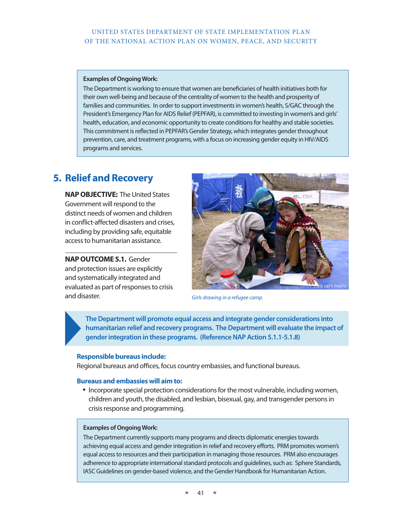## **Examples of Ongoing Work:**

The Department is working to ensure that women are beneficiaries of health initiatives both for their own well-being and because of the centrality of women to the health and prosperity of families and communities. In order to support investments in women's health, S/GAC through the President's Emergency Plan for AIDS Relief (PEPFAR), is committed to investing in women's and girls' health, education, and economic opportunity to create conditions for healthy and stable societies. This commitment is reflected in PEPFAR's Gender Strategy, which integrates gender throughout prevention, care, and treatment programs, with a focus on increasing gender equity in HIV/AIDS programs and services.

# **5. Relief and Recovery**

**NAP OBJECTIVE:** The United States Government will respond to the distinct needs of women and children in conflict-affected disasters and crises, including by providing safe, equitable access to humanitarian assistance.

**NAP OUTCOME 5.1.** Gender and protection issues are explicitly and systematically integrated and evaluated as part of responses to crisis and disaster.



*Girls drawing in a refugee camp.*

**The Department will promote equal access and integrate gender considerations into humanitarian relief and recovery programs. The Department will evaluate the impact of gender integration in these programs. (Reference NAP Action 5.1.1-5.1.8)**

## **Responsible bureaus include:**

Regional bureaus and offices, focus country embassies, and functional bureaus.

#### **Bureaus and embassies will aim to:**

• Incorporate special protection considerations for the most vulnerable, including women, children and youth, the disabled, and lesbian, bisexual, gay, and transgender persons in crisis response and programming.

#### **Examples of Ongoing Work:**

The Department currently supports many programs and directs diplomatic energies towards achieving equal access and gender integration in relief and recovery efforts. PRM promotes women's equal access to resources and their participation in managing those resources. PRM also encourages adherence to appropriate international standard protocols and guidelines, such as: Sphere Standards, IASC Guidelines on gender-based violence, and the Gender Handbook for Humanitarian Action.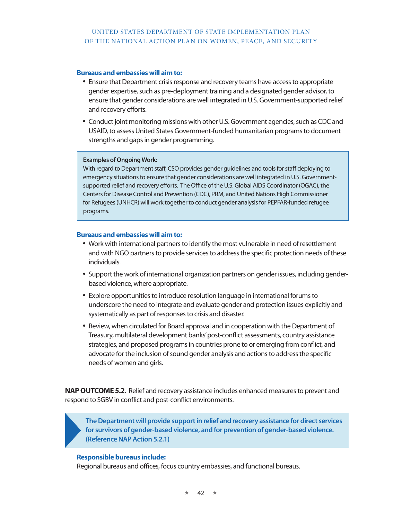## **Bureaus and embassies will aim to:**

- Ensure that Department crisis response and recovery teams have access to appropriate gender expertise, such as pre-deployment training and a designated gender advisor, to ensure that gender considerations are well integrated in U.S. Government-supported relief and recovery efforts.
- • Conduct joint monitoring missions with other U.S. Government agencies, such as CDC and USAID, to assess United States Government-funded humanitarian programs to document strengths and gaps in gender programming.

## **Examples of Ongoing Work:**

With regard to Department staff, CSO provides gender guidelines and tools for staff deploying to emergency situations to ensure that gender considerations are well integrated in U.S. Governmentsupported relief and recovery efforts. The Office of the U.S. Global AIDS Coordinator (OGAC), the Centers for Disease Control and Prevention (CDC), PRM, and United Nations High Commissioner for Refugees (UNHCR) will work together to conduct gender analysis for PEPFAR-funded refugee programs.

## **Bureaus and embassies will aim to:**

- Work with international partners to identify the most vulnerable in need of resettlement and with NGO partners to provide services to address the specific protection needs of these individuals.
- Support the work of international organization partners on gender issues, including genderbased violence, where appropriate.
- Explore opportunities to introduce resolution language in international forums to underscore the need to integrate and evaluate gender and protection issues explicitly and systematically as part of responses to crisis and disaster.
- Review, when circulated for Board approval and in cooperation with the Department of Treasury, multilateral development banks' post-conflict assessments, country assistance strategies, and proposed programs in countries prone to or emerging from conflict, and advocate for the inclusion of sound gender analysis and actions to address the specific needs of women and girls.

**NAP OUTCOME 5.2.** Relief and recovery assistance includes enhanced measures to prevent and respond to SGBV in conflict and post-conflict environments.

**The Department will provide support in relief and recovery assistance for direct services for survivors of gender-based violence, and for prevention of gender-based violence. (Reference NAP Action 5.2.1)**

## **Responsible bureaus include:**

Regional bureaus and offices, focus country embassies, and functional bureaus.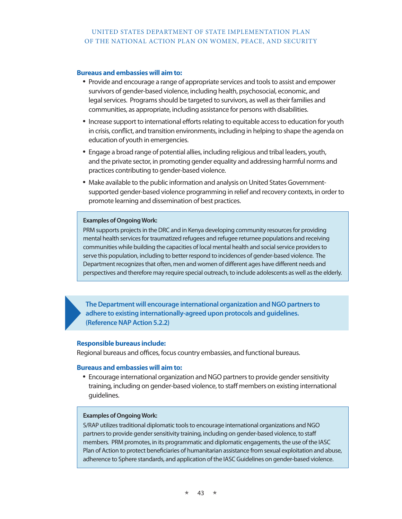### **Bureaus and embassies will aim to:**

- Provide and encourage a range of appropriate services and tools to assist and empower survivors of gender-based violence, including health, psychosocial, economic, and legal services. Programs should be targeted to survivors, as well as their families and communities, as appropriate, including assistance for persons with disabilities.
- • Increase support to international efforts relating to equitable access to education for youth in crisis, conflict, and transition environments, including in helping to shape the agenda on education of youth in emergencies.
- Engage a broad range of potential allies, including religious and tribal leaders, youth, and the private sector, in promoting gender equality and addressing harmful norms and practices contributing to gender-based violence.
- Make available to the public information and analysis on United States Governmentsupported gender-based violence programming in relief and recovery contexts, in order to promote learning and dissemination of best practices.

## **Examples of Ongoing Work:**

PRM supports projects in the DRC and in Kenya developing community resources for providing mental health services for traumatized refugees and refugee returnee populations and receiving communities while building the capacities of local mental health and social service providers to serve this population, including to better respond to incidences of gender-based violence. The Department recognizes that often, men and women of different ages have different needs and perspectives and therefore may require special outreach, to include adolescents as well as the elderly.

**The Department will encourage international organization and NGO partners to adhere to existing internationally-agreed upon protocols and guidelines. (Reference NAP Action 5.2.2)**

#### **Responsible bureaus include:**

Regional bureaus and offices, focus country embassies, and functional bureaus.

### **Bureaus and embassies will aim to:**

• Encourage international organization and NGO partners to provide gender sensitivity training, including on gender-based violence, to staff members on existing international guidelines.

## **Examples of Ongoing Work:**

S/RAP utilizes traditional diplomatic tools to encourage international organizations and NGO partners to provide gender sensitivity training, including on gender-based violence, to staff members. PRM promotes, in its programmatic and diplomatic engagements, the use of the IASC Plan of Action to protect beneficiaries of humanitarian assistance from sexual exploitation and abuse, adherence to Sphere standards, and application of the IASC Guidelines on gender-based violence.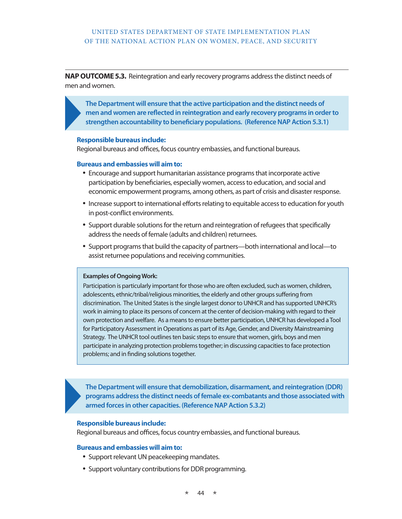**NAP OUTCOME 5.3.** Reintegration and early recovery programs address the distinct needs of men and women.

**The Department will ensure that the active participation and the distinct needs of men and women are reflected in reintegration and early recovery programs in order to strengthen accountability to beneficiary populations. (Reference NAP Action 5.3.1)**

#### **Responsible bureaus include:**

Regional bureaus and offices, focus country embassies, and functional bureaus.

#### **Bureaus and embassies will aim to:**

- Encourage and support humanitarian assistance programs that incorporate active participation by beneficiaries, especially women, access to education, and social and economic empowerment programs, among others, as part of crisis and disaster response.
- • Increase support to international efforts relating to equitable access to education for youth in post-conflict environments.
- • Support durable solutions for the return and reintegration of refugees that specifically address the needs of female (adults and children) returnees.
- Support programs that build the capacity of partners—both international and local—to assist returnee populations and receiving communities.

#### **Examples of Ongoing Work:**

Participation is particularly important for those who are often excluded, such as women, children, adolescents, ethnic/tribal/religious minorities, the elderly and other groups suffering from discrimination. The United States is the single largest donor to UNHCR and has supported UNHCR's work in aiming to place its persons of concern at the center of decision-making with regard to their own protection and welfare. As a means to ensure better participation, UNHCR has developed a Tool for Participatory Assessment in Operations as part of its Age, Gender, and Diversity Mainstreaming Strategy. The UNHCR tool outlines ten basic steps to ensure that women, girls, boys and men participate in analyzing protection problems together; in discussing capacities to face protection problems; and in finding solutions together.

**The Department will ensure that demobilization, disarmament, and reintegration (DDR) programs address the distinct needs of female ex-combatants and those associated with armed forces in other capacities. (Reference NAP Action 5.3.2)**

#### **Responsible bureaus include:**

Regional bureaus and offices, focus country embassies, and functional bureaus.

## **Bureaus and embassies will aim to:**

- Support relevant UN peacekeeping mandates.
- Support voluntary contributions for DDR programming.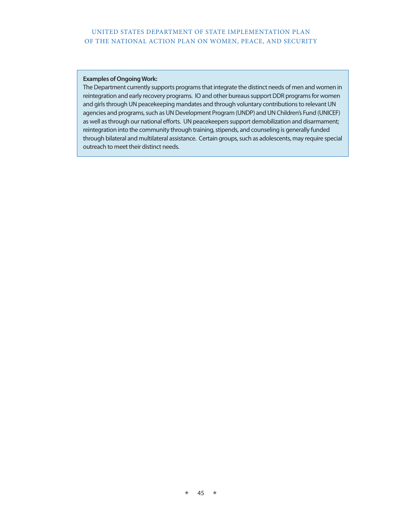#### **Examples of Ongoing Work:**

The Department currently supports programs that integrate the distinct needs of men and women in reintegration and early recovery programs. IO and other bureaus support DDR programs for women and girls through UN peacekeeping mandates and through voluntary contributions to relevant UN agencies and programs, such as UN Development Program (UNDP) and UN Children's Fund (UNICEF) as well as through our national efforts. UN peacekeepers support demobilization and disarmament; reintegration into the community through training, stipends, and counseling is generally funded through bilateral and multilateral assistance. Certain groups, such as adolescents, may require special outreach to meet their distinct needs.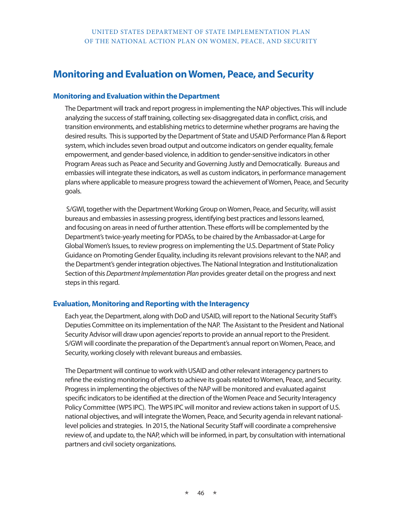# **Monitoring and Evaluation on Women, Peace, and Security**

# **Monitoring and Evaluation within the Department**

The Department will track and report progress in implementing the NAP objectives. This will include analyzing the success of staff training, collecting sex-disaggregated data in conflict, crisis, and transition environments, and establishing metrics to determine whether programs are having the desired results. This is supported by the Department of State and USAID Performance Plan & Report system, which includes seven broad output and outcome indicators on gender equality, female empowerment, and gender-based violence, in addition to gender-sensitive indicators in other Program Areas such as Peace and Security and Governing Justly and Democratically. Bureaus and embassies will integrate these indicators, as well as custom indicators, in performance management plans where applicable to measure progress toward the achievement of Women, Peace, and Security goals.

 S/GWI, together with the Department Working Group on Women, Peace, and Security, will assist bureaus and embassies in assessing progress, identifying best practices and lessons learned, and focusing on areas in need of further attention. These efforts will be complemented by the Department's twice-yearly meeting for PDASs, to be chaired by the Ambassador-at-Large for Global Women's Issues, to review progress on implementing the U.S. Department of State Policy Guidance on Promoting Gender Equality, including its relevant provisions relevant to the NAP, and the Department's gender integration objectives. The National Integration and Institutionalization Section of this *Department Implementation Plan* provides greater detail on the progress and next steps in this regard.

# **Evaluation, Monitoring and Reporting with the Interagency**

Each year, the Department, along with DoD and USAID, will report to the National Security Staff's Deputies Committee on its implementation of the NAP. The Assistant to the President and National Security Advisor will draw upon agencies' reports to provide an annual report to the President. S/GWI will coordinate the preparation of the Department's annual report on Women, Peace, and Security, working closely with relevant bureaus and embassies.

The Department will continue to work with USAID and other relevant interagency partners to refine the existing monitoring of efforts to achieve its goals related to Women, Peace, and Security. Progress in implementing the objectives of the NAP will be monitored and evaluated against specific indicators to be identified at the direction of the Women Peace and Security Interagency Policy Committee (WPS IPC). The WPS IPC will monitor and review actions taken in support of U.S. national objectives, and will integrate the Women, Peace, and Security agenda in relevant nationallevel policies and strategies. In 2015, the National Security Staff will coordinate a comprehensive review of, and update to, the NAP, which will be informed, in part, by consultation with international partners and civil society organizations.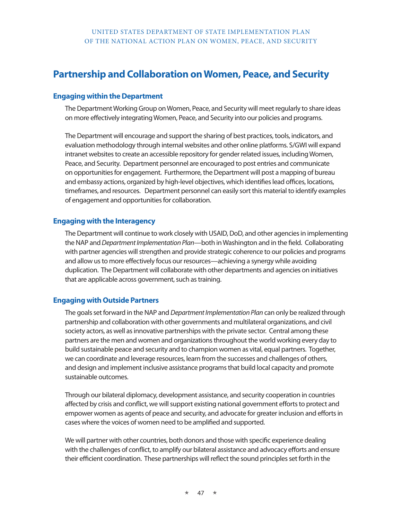# **Partnership and Collaboration on Women, Peace, and Security**

# **Engaging within the Department**

The Department Working Group on Women, Peace, and Security will meet regularly to share ideas on more effectively integrating Women, Peace, and Security into our policies and programs.

The Department will encourage and support the sharing of best practices, tools, indicators, and evaluation methodology through internal websites and other online platforms. S/GWI will expand intranet websites to create an accessible repository for gender related issues, including Women, Peace, and Security. Department personnel are encouraged to post entries and communicate on opportunities for engagement. Furthermore, the Department will post a mapping of bureau and embassy actions, organized by high-level objectives, which identifies lead offices, locations, timeframes, and resources. Department personnel can easily sort this material to identify examples of engagement and opportunities for collaboration.

# **Engaging with the Interagency**

The Department will continue to work closely with USAID, DoD, and other agencies in implementing the NAP and *Department Implementation Plan*—both in Washington and in the field. Collaborating with partner agencies will strengthen and provide strategic coherence to our policies and programs and allow us to more effectively focus our resources—achieving a synergy while avoiding duplication. The Department will collaborate with other departments and agencies on initiatives that are applicable across government, such as training.

# **Engaging with Outside Partners**

The goals set forward in the NAP and *Department Implementation Plan* can only be realized through partnership and collaboration with other governments and multilateral organizations, and civil society actors, as well as innovative partnerships with the private sector. Central among these partners are the men and women and organizations throughout the world working every day to build sustainable peace and security and to champion women as vital, equal partners. Together, we can coordinate and leverage resources, learn from the successes and challenges of others, and design and implement inclusive assistance programs that build local capacity and promote sustainable outcomes.

Through our bilateral diplomacy, development assistance, and security cooperation in countries affected by crisis and conflict, we will support existing national government efforts to protect and empower women as agents of peace and security, and advocate for greater inclusion and efforts in cases where the voices of women need to be amplified and supported.

We will partner with other countries, both donors and those with specific experience dealing with the challenges of conflict, to amplify our bilateral assistance and advocacy efforts and ensure their efficient coordination. These partnerships will reflect the sound principles set forth in the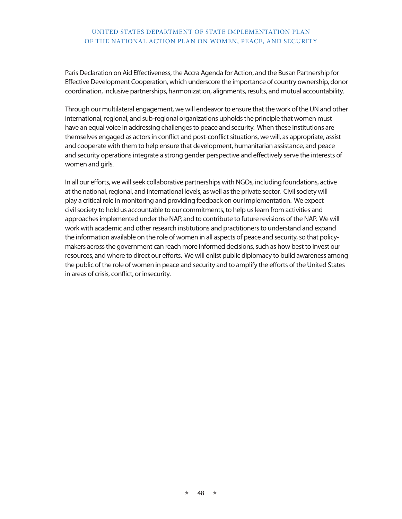Paris Declaration on Aid Effectiveness, the Accra Agenda for Action, and the Busan Partnership for Effective Development Cooperation, which underscore the importance of country ownership, donor coordination, inclusive partnerships, harmonization, alignments, results, and mutual accountability.

Through our multilateral engagement, we will endeavor to ensure that the work of the UN and other international, regional, and sub-regional organizations upholds the principle that women must have an equal voice in addressing challenges to peace and security. When these institutions are themselves engaged as actors in conflict and post-conflict situations, we will, as appropriate, assist and cooperate with them to help ensure that development, humanitarian assistance, and peace and security operations integrate a strong gender perspective and effectively serve the interests of women and girls.

In all our efforts, we will seek collaborative partnerships with NGOs, including foundations, active at the national, regional, and international levels, as well as the private sector. Civil society will play a critical role in monitoring and providing feedback on our implementation. We expect civil society to hold us accountable to our commitments, to help us learn from activities and approaches implemented under the NAP, and to contribute to future revisions of the NAP. We will work with academic and other research institutions and practitioners to understand and expand the information available on the role of women in all aspects of peace and security, so that policymakers across the government can reach more informed decisions, such as how best to invest our resources, and where to direct our efforts. We will enlist public diplomacy to build awareness among the public of the role of women in peace and security and to amplify the efforts of the United States in areas of crisis, conflict, or insecurity.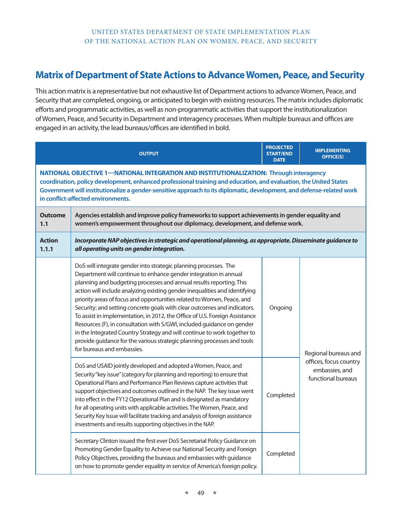# **Matrix of Department of State Actions to Advance Women, Peace, and Security**

This action matrix is a representative but not exhaustive list of Department actions to advance Women, Peace, and Security that are completed, ongoing, or anticipated to begin with existing resources. The matrix includes diplomatic efforts and programmatic activities, as well as non-programmatic activities that support the institutionalization of Women, Peace, and Security in Department and interagency processes. When multiple bureaus and offices are engaged in an activity, the lead bureaus/offices are identified in bold.

|                        | <b>OUTPUT</b>                                                                                                                                                                                                                                                                                                                                                                                                                                                                                                                                                                                                                                                                                                                                                                                 | <b>PROJECTED</b><br><b>START/END</b><br><b>DATE</b> | <b>IMPLEMENTING</b><br><b>OFFICE(S)</b>                                                |  |  |
|------------------------|-----------------------------------------------------------------------------------------------------------------------------------------------------------------------------------------------------------------------------------------------------------------------------------------------------------------------------------------------------------------------------------------------------------------------------------------------------------------------------------------------------------------------------------------------------------------------------------------------------------------------------------------------------------------------------------------------------------------------------------------------------------------------------------------------|-----------------------------------------------------|----------------------------------------------------------------------------------------|--|--|
|                        | NATIONAL OBJECTIVE 1-NATIONAL INTEGRATION AND INSTITUTIONALIZATION: Through interagency<br>coordination, policy development, enhanced professional training and education, and evaluation, the United States<br>Government will institutionalize a gender-sensitive approach to its diplomatic, development, and defense-related work<br>in conflict-affected environments.                                                                                                                                                                                                                                                                                                                                                                                                                   |                                                     |                                                                                        |  |  |
| <b>Outcome</b><br>1.1  | Agencies establish and improve policy frameworks to support achievements in gender equality and<br>women's empowerment throughout our diplomacy, development, and defense work.                                                                                                                                                                                                                                                                                                                                                                                                                                                                                                                                                                                                               |                                                     |                                                                                        |  |  |
| <b>Action</b><br>1.1.1 | Incorporate NAP objectives in strategic and operational planning, as appropriate. Disseminate guidance to<br>all operating units on gender integration.                                                                                                                                                                                                                                                                                                                                                                                                                                                                                                                                                                                                                                       |                                                     |                                                                                        |  |  |
|                        | DoS will integrate gender into strategic planning processes. The<br>Department will continue to enhance gender integration in annual<br>planning and budgeting processes and annual results reporting. This<br>action will include analyzing existing gender inequalities and identifying<br>priority areas of focus and opportunities related to Women, Peace, and<br>Security; and setting concrete goals with clear outcomes and indicators.<br>To assist in implementation, in 2012, the Office of U.S. Foreign Assistance<br>Resources (F), in consultation with S/GWI, included guidance on gender<br>in the Integrated Country Strategy and will continue to work together to<br>provide guidance for the various strategic planning processes and tools<br>for bureaus and embassies. | Ongoing                                             | Regional bureaus and<br>offices, focus country<br>embassies, and<br>functional bureaus |  |  |
|                        | DoS and USAID jointly developed and adopted a Women, Peace, and<br>Security "key issue" (category for planning and reporting) to ensure that<br>Operational Plans and Performance Plan Reviews capture activities that<br>support objectives and outcomes outlined in the NAP. The key issue went<br>into effect in the FY12 Operational Plan and is designated as mandatory<br>for all operating units with applicable activities. The Women, Peace, and<br>Security Key Issue will facilitate tracking and analysis of foreign assistance<br>investments and results supporting objectives in the NAP.                                                                                                                                                                                      | Completed                                           |                                                                                        |  |  |
|                        | Secretary Clinton issued the first ever DoS Secretarial Policy Guidance on<br>Promoting Gender Equality to Achieve our National Security and Foreign<br>Policy Objectives, providing the bureaus and embassies with guidance<br>on how to promote gender equality in service of America's foreign policy.                                                                                                                                                                                                                                                                                                                                                                                                                                                                                     | Completed                                           |                                                                                        |  |  |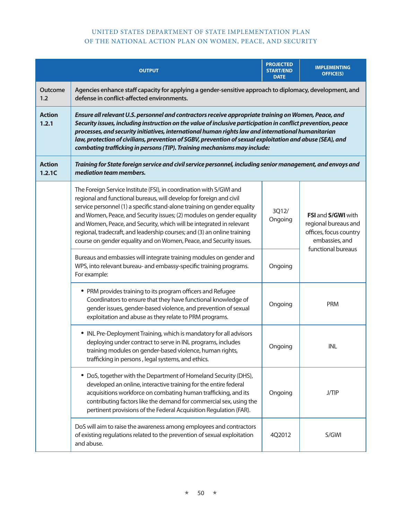|                         | <b>OUTPUT</b>                                                                                                                                                                                                                                                                                                                                                                                                                                                                                                              | <b>PROJECTED</b><br><b>START/END</b><br><b>DATE</b> | <b>IMPLEMENTING</b><br><b>OFFICE(S)</b>                                                |  |
|-------------------------|----------------------------------------------------------------------------------------------------------------------------------------------------------------------------------------------------------------------------------------------------------------------------------------------------------------------------------------------------------------------------------------------------------------------------------------------------------------------------------------------------------------------------|-----------------------------------------------------|----------------------------------------------------------------------------------------|--|
| <b>Outcome</b><br>1.2   | Agencies enhance staff capacity for applying a gender-sensitive approach to diplomacy, development, and<br>defense in conflict-affected environments.                                                                                                                                                                                                                                                                                                                                                                      |                                                     |                                                                                        |  |
| <b>Action</b><br>1.2.1  | Ensure all relevant U.S. personnel and contractors receive appropriate training on Women, Peace, and<br>Security issues, including instruction on the value of inclusive participation in conflict prevention, peace<br>processes, and security initiatives, international human rights law and international humanitarian<br>law, protection of civilians, prevention of SGBV, prevention of sexual exploitation and abuse (SEA), and<br>combating trafficking in persons (TIP). Training mechanisms may include:         |                                                     |                                                                                        |  |
| <b>Action</b><br>1.2.1C | Training for State foreign service and civil service personnel, including senior management, and envoys and<br>mediation team members.                                                                                                                                                                                                                                                                                                                                                                                     |                                                     |                                                                                        |  |
|                         | The Foreign Service Institute (FSI), in coordination with S/GWI and<br>regional and functional bureaus, will develop for foreign and civil<br>service personnel (1) a specific stand-alone training on gender equality<br>and Women, Peace, and Security issues; (2) modules on gender equality<br>and Women, Peace, and Security, which will be integrated in relevant<br>regional, tradecraft, and leadership courses; and (3) an online training<br>course on gender equality and on Women, Peace, and Security issues. | 3Q12/<br>Ongoing                                    | FSI and S/GWI with<br>regional bureaus and<br>offices, focus country<br>embassies, and |  |
|                         | Bureaus and embassies will integrate training modules on gender and<br>WPS, into relevant bureau- and embassy-specific training programs.<br>For example:                                                                                                                                                                                                                                                                                                                                                                  | Ongoing                                             | functional bureaus                                                                     |  |
|                         | • PRM provides training to its program officers and Refugee<br>Coordinators to ensure that they have functional knowledge of<br>gender issues, gender-based violence, and prevention of sexual<br>exploitation and abuse as they relate to PRM programs.                                                                                                                                                                                                                                                                   | Ongoing                                             | <b>PRM</b>                                                                             |  |
|                         | • INL Pre-Deployment Training, which is mandatory for all advisors<br>deploying under contract to serve in INL programs, includes<br>training modules on gender-based violence, human rights,<br>trafficking in persons, legal systems, and ethics.                                                                                                                                                                                                                                                                        | Ongoing                                             | <b>INL</b>                                                                             |  |
|                         | • DoS, together with the Department of Homeland Security (DHS),<br>developed an online, interactive training for the entire federal<br>acquisitions workforce on combating human trafficking, and its<br>contributing factors like the demand for commercial sex, using the<br>pertinent provisions of the Federal Acquisition Regulation (FAR).                                                                                                                                                                           | Ongoing                                             | <b>J/TIP</b>                                                                           |  |
|                         | DoS will aim to raise the awareness among employees and contractors<br>of existing regulations related to the prevention of sexual exploitation<br>and abuse.                                                                                                                                                                                                                                                                                                                                                              | 4Q2012                                              | S/GWI                                                                                  |  |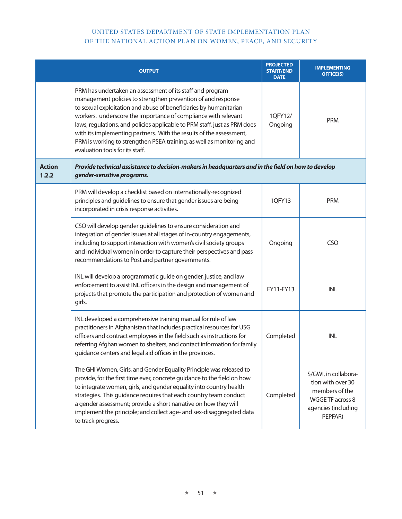|                        | <b>OUTPUT</b>                                                                                                                                                                                                                                                                                                                                                                                                                                                                                                                    | <b>PROJECTED</b><br><b>START/END</b><br><b>DATE</b> | <b>IMPLEMENTING</b><br><b>OFFICE(S)</b>                                                                           |
|------------------------|----------------------------------------------------------------------------------------------------------------------------------------------------------------------------------------------------------------------------------------------------------------------------------------------------------------------------------------------------------------------------------------------------------------------------------------------------------------------------------------------------------------------------------|-----------------------------------------------------|-------------------------------------------------------------------------------------------------------------------|
|                        | PRM has undertaken an assessment of its staff and program<br>management policies to strengthen prevention of and response<br>to sexual exploitation and abuse of beneficiaries by humanitarian<br>workers. underscore the importance of compliance with relevant<br>laws, regulations, and policies applicable to PRM staff, just as PRM does<br>with its implementing partners. With the results of the assessment,<br>PRM is working to strengthen PSEA training, as well as monitoring and<br>evaluation tools for its staff. | 1QFY12/<br>Ongoing                                  | PRM                                                                                                               |
| <b>Action</b><br>1.2.2 | Provide technical assistance to decision-makers in headquarters and in the field on how to develop<br>gender-sensitive programs.                                                                                                                                                                                                                                                                                                                                                                                                 |                                                     |                                                                                                                   |
|                        | PRM will develop a checklist based on internationally-recognized<br>principles and guidelines to ensure that gender issues are being<br>incorporated in crisis response activities.                                                                                                                                                                                                                                                                                                                                              | 1QFY13                                              | <b>PRM</b>                                                                                                        |
|                        | CSO will develop gender guidelines to ensure consideration and<br>integration of gender issues at all stages of in-country engagements,<br>including to support interaction with women's civil society groups<br>and individual women in order to capture their perspectives and pass<br>recommendations to Post and partner governments.                                                                                                                                                                                        | Ongoing                                             | <b>CSO</b>                                                                                                        |
|                        | INL will develop a programmatic guide on gender, justice, and law<br>enforcement to assist INL officers in the design and management of<br>projects that promote the participation and protection of women and<br>girls.                                                                                                                                                                                                                                                                                                         | FY11-FY13                                           | INL                                                                                                               |
|                        | INL developed a comprehensive training manual for rule of law<br>practitioners in Afghanistan that includes practical resources for USG<br>officers and contract employees in the field such as instructions for<br>referring Afghan women to shelters, and contact information for family<br>guidance centers and legal aid offices in the provinces.                                                                                                                                                                           | Completed                                           | INL                                                                                                               |
|                        | The GHI Women, Girls, and Gender Equality Principle was released to<br>provide, for the first time ever, concrete guidance to the field on how<br>to integrate women, girls, and gender equality into country health<br>strategies. This guidance requires that each country team conduct<br>a gender assessment; provide a short narrative on how they will<br>implement the principle; and collect age- and sex-disaggregated data<br>to track progress.                                                                       | Completed                                           | S/GWI, in collabora-<br>tion with over 30<br>members of the<br>WGGE TF across 8<br>agencies (including<br>PEPFAR) |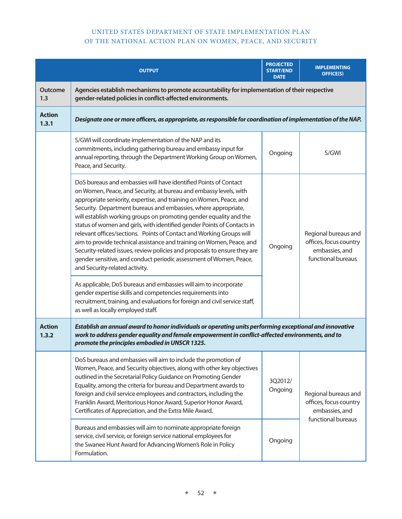|                        | <b>OUTPUT</b>                                                                                                                                                                                                                                                                                                                                                                                                                                                                                                                                                                                                                                                                                                                                                                                                                                                                                                                                                                          | <b>PROJECTED</b><br><b>START/END</b><br><b>DATE</b> | <b>IMPLEMENTING</b><br><b>OFFICE(S)</b>                                                |
|------------------------|----------------------------------------------------------------------------------------------------------------------------------------------------------------------------------------------------------------------------------------------------------------------------------------------------------------------------------------------------------------------------------------------------------------------------------------------------------------------------------------------------------------------------------------------------------------------------------------------------------------------------------------------------------------------------------------------------------------------------------------------------------------------------------------------------------------------------------------------------------------------------------------------------------------------------------------------------------------------------------------|-----------------------------------------------------|----------------------------------------------------------------------------------------|
| Outcome<br>1.3         | Agencies establish mechanisms to promote accountability for implementation of their respective<br>gender-related policies in conflict-affected environments.                                                                                                                                                                                                                                                                                                                                                                                                                                                                                                                                                                                                                                                                                                                                                                                                                           |                                                     |                                                                                        |
| <b>Action</b><br>1.3.1 | Designate one or more officers, as appropriate, as responsible for coordination of implementation of the NAP.                                                                                                                                                                                                                                                                                                                                                                                                                                                                                                                                                                                                                                                                                                                                                                                                                                                                          |                                                     |                                                                                        |
|                        | S/GWI will coordinate implementation of the NAP and its<br>commitments, including gathering bureau and embassy input for<br>annual reporting, through the Department Working Group on Women,<br>Peace, and Security.                                                                                                                                                                                                                                                                                                                                                                                                                                                                                                                                                                                                                                                                                                                                                                   | Ongoing                                             | S/GWI                                                                                  |
|                        | DoS bureaus and embassies will have identified Points of Contact<br>on Women, Peace, and Security, at bureau and embassy levels, with<br>appropriate seniority, expertise, and training on Women, Peace, and<br>Security. Department bureaus and embassies, where appropriate,<br>will establish working groups on promoting gender equality and the<br>status of women and girls, with identified gender Points of Contacts in<br>relevant offices/sections. Points of Contact and Working Groups will<br>aim to provide technical assistance and training on Women, Peace, and<br>Security-related issues, review policies and proposals to ensure they are<br>gender sensitive, and conduct periodic assessment of Women, Peace,<br>and Security-related activity.<br>As applicable, DoS bureaus and embassies will aim to incorporate<br>gender expertise skills and competencies requirements into<br>recruitment, training, and evaluations for foreign and civil service staff, | Ongoing                                             | Regional bureaus and<br>offices, focus country<br>embassies, and<br>functional bureaus |
| <b>Action</b><br>1.3.2 | as well as locally employed staff.<br>Establish an annual award to honor individuals or operating units performing exceptional and innovative<br>work to address gender equality and female empowerment in conflict-affected environments, and to<br>promote the principles embodied in UNSCR 1325.                                                                                                                                                                                                                                                                                                                                                                                                                                                                                                                                                                                                                                                                                    |                                                     |                                                                                        |
|                        | DoS bureaus and embassies will aim to include the promotion of<br>Women, Peace, and Security objectives, along with other key objectives<br>outlined in the Secretarial Policy Guidance on Promoting Gender<br>Equality, among the criteria for bureau and Department awards to<br>foreign and civil service employees and contractors, including the<br>Franklin Award, Meritorious Honor Award, Superior Honor Award,<br>Certificates of Appreciation, and the Extra Mile Award.                                                                                                                                                                                                                                                                                                                                                                                                                                                                                                     | 3Q2012/<br>Ongoing                                  | Regional bureaus and<br>offices, focus country<br>embassies, and<br>functional bureaus |
|                        | Bureaus and embassies will aim to nominate appropriate foreign<br>service, civil service, or foreign service national employees for<br>the Swanee Hunt Award for Advancing Women's Role in Policy<br>Formulation.                                                                                                                                                                                                                                                                                                                                                                                                                                                                                                                                                                                                                                                                                                                                                                      | Ongoing                                             |                                                                                        |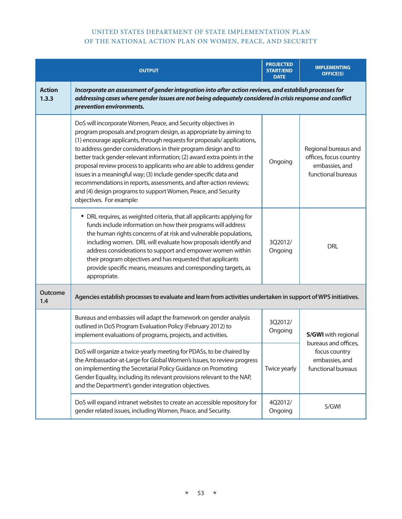|                        | <b>OUTPUT</b>                                                                                                                                                                                                                                                                                                                                                                                                                                                                                                                                                                                                                                                             | <b>PROJECTED</b><br><b>START/END</b><br><b>DATE</b> | <b>IMPLEMENTING</b><br><b>OFFICE(S)</b>                                                                     |  |  |
|------------------------|---------------------------------------------------------------------------------------------------------------------------------------------------------------------------------------------------------------------------------------------------------------------------------------------------------------------------------------------------------------------------------------------------------------------------------------------------------------------------------------------------------------------------------------------------------------------------------------------------------------------------------------------------------------------------|-----------------------------------------------------|-------------------------------------------------------------------------------------------------------------|--|--|
| <b>Action</b><br>1.3.3 | Incorporate an assessment of gender integration into after action reviews, and establish processes for<br>addressing cases where gender issues are not being adequately considered in crisis response and conflict<br>prevention environments.                                                                                                                                                                                                                                                                                                                                                                                                                            |                                                     |                                                                                                             |  |  |
|                        | DoS will incorporate Women, Peace, and Security objectives in<br>program proposals and program design, as appropriate by aiming to<br>(1) encourage applicants, through requests for proposals/applications,<br>to address gender considerations in their program design and to<br>better track gender-relevant information; (2) award extra points in the<br>proposal review process to applicants who are able to address gender<br>issues in a meaningful way; (3) include gender-specific data and<br>recommendations in reports, assessments, and after-action reviews;<br>and (4) design programs to support Women, Peace, and Security<br>objectives. For example: | Ongoing                                             | Regional bureaus and<br>offices, focus country<br>embassies, and<br>functional bureaus                      |  |  |
|                        | • DRL requires, as weighted criteria, that all applicants applying for<br>funds include information on how their programs will address<br>the human rights concerns of at risk and vulnerable populations,<br>including women. DRL will evaluate how proposals identify and<br>address considerations to support and empower women within<br>their program objectives and has requested that applicants<br>provide specific means, measures and corresponding targets, as<br>appropriate.                                                                                                                                                                                 | 3Q2012/<br>Ongoing                                  | <b>DRL</b>                                                                                                  |  |  |
| <b>Outcome</b><br>1.4  | Agencies establish processes to evaluate and learn from activities undertaken in support of WPS initiatives.                                                                                                                                                                                                                                                                                                                                                                                                                                                                                                                                                              |                                                     |                                                                                                             |  |  |
|                        | Bureaus and embassies will adapt the framework on gender analysis<br>outlined in DoS Program Evaluation Policy (February 2012) to<br>implement evaluations of programs, projects, and activities.                                                                                                                                                                                                                                                                                                                                                                                                                                                                         | 3Q2012/<br>Ongoing                                  | <b>S/GWI</b> with regional<br>bureaus and offices,<br>focus country<br>embassies, and<br>functional bureaus |  |  |
|                        | DoS will organize a twice-yearly meeting for PDASs, to be chaired by<br>the Ambassador-at-Large for Global Women's Issues, to review progress<br>on implementing the Secretarial Policy Guidance on Promoting<br>Gender Equality, including its relevant provisions relevant to the NAP,<br>and the Department's gender integration objectives.                                                                                                                                                                                                                                                                                                                           | Twice yearly                                        |                                                                                                             |  |  |
|                        | DoS will expand intranet websites to create an accessible repository for<br>gender related issues, including Women, Peace, and Security.                                                                                                                                                                                                                                                                                                                                                                                                                                                                                                                                  | 4Q2012/<br>Ongoing                                  | S/GWI                                                                                                       |  |  |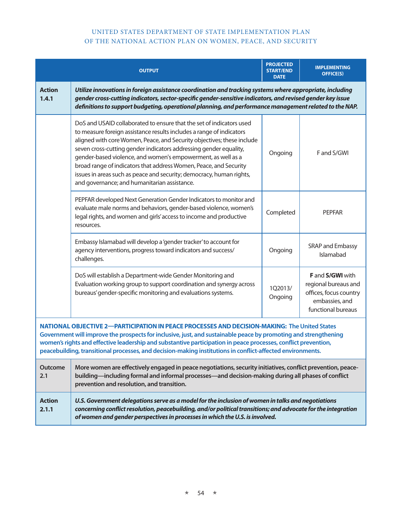|                                                                                                                                                                                                                                                                                                                                                                                                                                                 | <b>OUTPUT</b>                                                                                                                                                                                                                                                                                                                                                                                                                                                                                                                                            | <b>PROJECTED</b><br><b>START/END</b><br><b>DATE</b> | <b>IMPLEMENTING</b><br><b>OFFICE(S)</b>                                                                    |  |  |
|-------------------------------------------------------------------------------------------------------------------------------------------------------------------------------------------------------------------------------------------------------------------------------------------------------------------------------------------------------------------------------------------------------------------------------------------------|----------------------------------------------------------------------------------------------------------------------------------------------------------------------------------------------------------------------------------------------------------------------------------------------------------------------------------------------------------------------------------------------------------------------------------------------------------------------------------------------------------------------------------------------------------|-----------------------------------------------------|------------------------------------------------------------------------------------------------------------|--|--|
| <b>Action</b><br>1.4.1                                                                                                                                                                                                                                                                                                                                                                                                                          | Utilize innovations in foreign assistance coordination and tracking systems where appropriate, including<br>gender cross-cutting indicators, sector-specific gender-sensitive indicators, and revised gender key issue<br>definitions to support budgeting, operational planning, and performance management related to the NAP.                                                                                                                                                                                                                         |                                                     |                                                                                                            |  |  |
|                                                                                                                                                                                                                                                                                                                                                                                                                                                 | DoS and USAID collaborated to ensure that the set of indicators used<br>to measure foreign assistance results includes a range of indicators<br>aligned with core Women, Peace, and Security objectives; these include<br>seven cross-cutting gender indicators addressing gender equality,<br>gender-based violence, and women's empowerment, as well as a<br>broad range of indicators that address Women, Peace, and Security<br>issues in areas such as peace and security; democracy, human rights,<br>and governance; and humanitarian assistance. | Ongoing                                             | F and S/GWI                                                                                                |  |  |
|                                                                                                                                                                                                                                                                                                                                                                                                                                                 | PEPFAR developed Next Generation Gender Indicators to monitor and<br>evaluate male norms and behaviors, gender-based violence, women's<br>legal rights, and women and girls' access to income and productive<br>resources.                                                                                                                                                                                                                                                                                                                               | Completed                                           | <b>PEPFAR</b>                                                                                              |  |  |
|                                                                                                                                                                                                                                                                                                                                                                                                                                                 | Embassy Islamabad will develop a 'gender tracker' to account for<br>agency interventions, progress toward indicators and success/<br>challenges.                                                                                                                                                                                                                                                                                                                                                                                                         | Ongoing                                             | SRAP and Embassy<br>Islamabad                                                                              |  |  |
|                                                                                                                                                                                                                                                                                                                                                                                                                                                 | DoS will establish a Department-wide Gender Monitoring and<br>Evaluation working group to support coordination and synergy across<br>bureaus' gender-specific monitoring and evaluations systems.                                                                                                                                                                                                                                                                                                                                                        | 1Q2013/<br>Ongoing                                  | F and S/GWI with<br>regional bureaus and<br>offices, focus country<br>embassies, and<br>functional bureaus |  |  |
| NATIONAL OBJECTIVE 2-PARTICIPATION IN PEACE PROCESSES AND DECISION-MAKING: The United States<br>Government will improve the prospects for inclusive, just, and sustainable peace by promoting and strengthening<br>women's rights and effective leadership and substantive participation in peace processes, conflict prevention,<br>peacebuilding, transitional processes, and decision-making institutions in conflict-affected environments. |                                                                                                                                                                                                                                                                                                                                                                                                                                                                                                                                                          |                                                     |                                                                                                            |  |  |
| Outcome<br>2.1                                                                                                                                                                                                                                                                                                                                                                                                                                  | More women are effectively engaged in peace negotiations, security initiatives, conflict prevention, peace-<br>building—including formal and informal processes—and decision-making during all phases of conflict<br>prevention and resolution, and transition.                                                                                                                                                                                                                                                                                          |                                                     |                                                                                                            |  |  |
| <b>Action</b><br>2.1.1                                                                                                                                                                                                                                                                                                                                                                                                                          | U.S. Government delegations serve as a model for the inclusion of women in talks and negotiations<br>concerning conflict resolution, peacebuilding, and/or political transitions; and advocate for the integration<br>of women and gender perspectives in processes in which the U.S. is involved.                                                                                                                                                                                                                                                       |                                                     |                                                                                                            |  |  |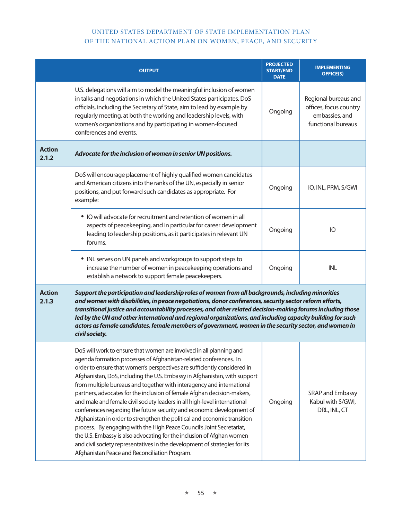|                        | <b>OUTPUT</b>                                                                                                                                                                                                                                                                                                                                                                                                                                                                                                                                                                                                                                                                                                                                                                                                                                                                                                                                                            | <b>PROJECTED</b><br><b>START/END</b><br><b>DATE</b> | <b>IMPLEMENTING</b><br><b>OFFICE(S)</b>                                                |
|------------------------|--------------------------------------------------------------------------------------------------------------------------------------------------------------------------------------------------------------------------------------------------------------------------------------------------------------------------------------------------------------------------------------------------------------------------------------------------------------------------------------------------------------------------------------------------------------------------------------------------------------------------------------------------------------------------------------------------------------------------------------------------------------------------------------------------------------------------------------------------------------------------------------------------------------------------------------------------------------------------|-----------------------------------------------------|----------------------------------------------------------------------------------------|
|                        | U.S. delegations will aim to model the meaningful inclusion of women<br>in talks and negotiations in which the United States participates. DoS<br>officials, including the Secretary of State, aim to lead by example by<br>regularly meeting, at both the working and leadership levels, with<br>women's organizations and by participating in women-focused<br>conferences and events.                                                                                                                                                                                                                                                                                                                                                                                                                                                                                                                                                                                 | Ongoing                                             | Regional bureaus and<br>offices, focus country<br>embassies, and<br>functional bureaus |
| <b>Action</b><br>2.1.2 | Advocate for the inclusion of women in senior UN positions.                                                                                                                                                                                                                                                                                                                                                                                                                                                                                                                                                                                                                                                                                                                                                                                                                                                                                                              |                                                     |                                                                                        |
|                        | DoS will encourage placement of highly qualified women candidates<br>and American citizens into the ranks of the UN, especially in senior<br>positions, and put forward such candidates as appropriate. For<br>example:                                                                                                                                                                                                                                                                                                                                                                                                                                                                                                                                                                                                                                                                                                                                                  | Ongoing                                             | IO, INL, PRM, S/GWI                                                                    |
|                        | • IO will advocate for recruitment and retention of women in all<br>aspects of peacekeeping, and in particular for career development<br>leading to leadership positions, as it participates in relevant UN<br>forums.                                                                                                                                                                                                                                                                                                                                                                                                                                                                                                                                                                                                                                                                                                                                                   | Ongoing                                             | IO                                                                                     |
|                        | • INL serves on UN panels and workgroups to support steps to<br>increase the number of women in peacekeeping operations and<br>establish a network to support female peacekeepers.                                                                                                                                                                                                                                                                                                                                                                                                                                                                                                                                                                                                                                                                                                                                                                                       | Ongoing                                             | <b>INL</b>                                                                             |
| <b>Action</b><br>2.1.3 | Support the participation and leadership roles of women from all backgrounds, including minorities<br>and women with disabilities, in peace negotiations, donor conferences, security sector reform efforts,<br>transitional justice and accountability processes, and other related decision-making forums including those<br>led by the UN and other international and regional organizations, and including capacity building for such<br>actors as female candidates, female members of government, women in the security sector, and women in<br>civil society.                                                                                                                                                                                                                                                                                                                                                                                                     |                                                     |                                                                                        |
|                        | DoS will work to ensure that women are involved in all planning and<br>agenda formation processes of Afghanistan-related conferences. In<br>order to ensure that women's perspectives are sufficiently considered in<br>Afghanistan, DoS, including the U.S. Embassy in Afghanistan, with support<br>from multiple bureaus and together with interagency and international<br>partners, advocates for the inclusion of female Afghan decision-makers,<br>and male and female civil society leaders in all high-level international<br>conferences regarding the future security and economic development of<br>Afghanistan in order to strengthen the political and economic transition<br>process. By engaging with the High Peace Council's Joint Secretariat,<br>the U.S. Embassy is also advocating for the inclusion of Afghan women<br>and civil society representatives in the development of strategies for its<br>Afghanistan Peace and Reconciliation Program. | Ongoing                                             | SRAP and Embassy<br>Kabul with S/GWI,<br>DRL, INL, CT                                  |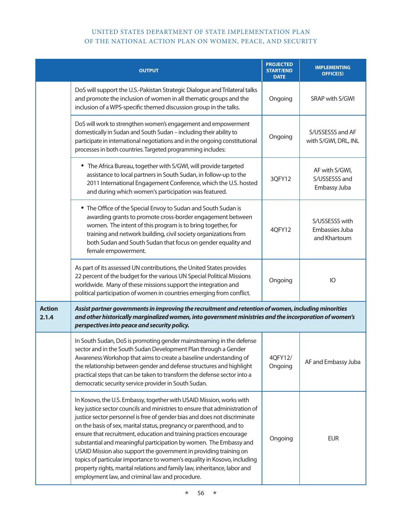|                        | <b>OUTPUT</b>                                                                                                                                                                                                                                                                                                                                                                                                                                                                                                                                                                                                                                                                                                                           | <b>PROJECTED</b><br><b>START/END</b><br><b>DATE</b> | <b>IMPLEMENTING</b><br><b>OFFICE(S)</b>          |
|------------------------|-----------------------------------------------------------------------------------------------------------------------------------------------------------------------------------------------------------------------------------------------------------------------------------------------------------------------------------------------------------------------------------------------------------------------------------------------------------------------------------------------------------------------------------------------------------------------------------------------------------------------------------------------------------------------------------------------------------------------------------------|-----------------------------------------------------|--------------------------------------------------|
|                        | DoS will support the U.S.-Pakistan Strategic Dialogue and Trilateral talks<br>and promote the inclusion of women in all thematic groups and the<br>inclusion of a WPS-specific themed discussion group in the talks.                                                                                                                                                                                                                                                                                                                                                                                                                                                                                                                    | Ongoing                                             | SRAP with S/GWI                                  |
|                        | DoS will work to strengthen women's engagement and empowerment<br>domestically in Sudan and South Sudan - including their ability to<br>participate in international negotiations and in the ongoing constitutional<br>processes in both countries. Targeted programming includes:                                                                                                                                                                                                                                                                                                                                                                                                                                                      | Ongoing                                             | S/USSESSS and AF<br>with S/GWI, DRL, INL         |
|                        | • The Africa Bureau, together with S/GWI, will provide targeted<br>assistance to local partners in South Sudan, in follow-up to the<br>2011 International Engagement Conference, which the U.S. hosted<br>and during which women's participation was featured.                                                                                                                                                                                                                                                                                                                                                                                                                                                                          | 3QFY12                                              | AF with S/GWI,<br>S/USSESSS and<br>Embassy Juba  |
|                        | • The Office of the Special Envoy to Sudan and South Sudan is<br>awarding grants to promote cross-border engagement between<br>women. The intent of this program is to bring together, for<br>training and network building, civil society organizations from<br>both Sudan and South Sudan that focus on gender equality and<br>female empowerment.                                                                                                                                                                                                                                                                                                                                                                                    | 4QFY12                                              | S/USSESSS with<br>Embassies Juba<br>and Khartoum |
|                        | As part of its assessed UN contributions, the United States provides<br>22 percent of the budget for the various UN Special Political Missions<br>worldwide. Many of these missions support the integration and<br>political participation of women in countries emerging from conflict.                                                                                                                                                                                                                                                                                                                                                                                                                                                | Ongoing                                             | IO                                               |
| <b>Action</b><br>2.1.4 | Assist partner governments in improving the recruitment and retention of women, including minorities<br>and other historically marginalized women, into government ministries and the incorporation of women's<br>perspectives into peace and security policy.                                                                                                                                                                                                                                                                                                                                                                                                                                                                          |                                                     |                                                  |
|                        | In South Sudan, DoS is promoting gender mainstreaming in the defense<br>sector and in the South Sudan Development Plan through a Gender<br>Awareness Workshop that aims to create a baseline understanding of<br>the relationship between gender and defense structures and highlight<br>practical steps that can be taken to transform the defense sector into a<br>democratic security service provider in South Sudan.                                                                                                                                                                                                                                                                                                               | 4QFY12/<br>Ongoing                                  | AF and Embassy Juba                              |
|                        | In Kosovo, the U.S. Embassy, together with USAID Mission, works with<br>key justice sector councils and ministries to ensure that administration of<br>justice sector personnel is free of gender bias and does not discriminate<br>on the basis of sex, marital status, pregnancy or parenthood, and to<br>ensure that recruitment, education and training practices encourage<br>substantial and meaningful participation by women. The Embassy and<br>USAID Mission also support the government in providing training on<br>topics of particular importance to women's equality in Kosovo, including<br>property rights, marital relations and family law, inheritance, labor and<br>employment law, and criminal law and procedure. | Ongoing                                             | <b>EUR</b>                                       |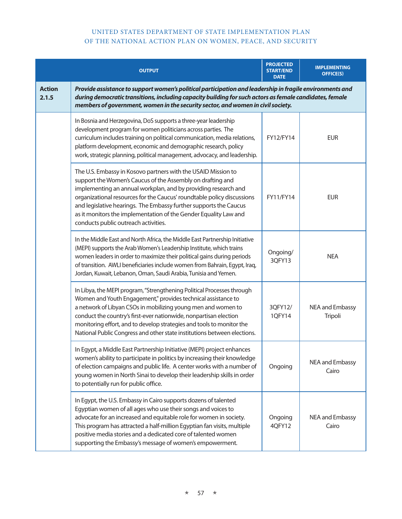|                        | <b>OUTPUT</b>                                                                                                                                                                                                                                                                                                                                                                                                                                            | <b>PROJECTED</b><br><b>START/END</b><br><b>DATE</b> | <b>IMPLEMENTING</b><br><b>OFFICE(S)</b> |
|------------------------|----------------------------------------------------------------------------------------------------------------------------------------------------------------------------------------------------------------------------------------------------------------------------------------------------------------------------------------------------------------------------------------------------------------------------------------------------------|-----------------------------------------------------|-----------------------------------------|
| <b>Action</b><br>2.1.5 | Provide assistance to support women's political participation and leadership in fragile environments and<br>during democratic transitions, including capacity building for such actors as female candidates, female<br>members of government, women in the security sector, and women in civil society.                                                                                                                                                  |                                                     |                                         |
|                        | In Bosnia and Herzegovina, DoS supports a three-year leadership<br>development program for women politicians across parties. The<br>curriculum includes training on political communication, media relations,<br>platform development, economic and demographic research, policy<br>work, strategic planning, political management, advocacy, and leadership.                                                                                            | FY12/FY14                                           | <b>EUR</b>                              |
|                        | The U.S. Embassy in Kosovo partners with the USAID Mission to<br>support the Women's Caucus of the Assembly on drafting and<br>implementing an annual workplan, and by providing research and<br>organizational resources for the Caucus' roundtable policy discussions<br>and legislative hearings. The Embassy further supports the Caucus<br>as it monitors the implementation of the Gender Equality Law and<br>conducts public outreach activities. | FY11/FY14                                           | <b>EUR</b>                              |
|                        | In the Middle East and North Africa, the Middle East Partnership Initiative<br>(MEPI) supports the Arab Women's Leadership Institute, which trains<br>women leaders in order to maximize their political gains during periods<br>of transition. AWLI beneficiaries include women from Bahrain, Egypt, Iraq,<br>Jordan, Kuwait, Lebanon, Oman, Saudi Arabia, Tunisia and Yemen.                                                                           | Ongoing/<br>3QFY13                                  | <b>NEA</b>                              |
|                        | In Libya, the MEPI program, "Strengthening Political Processes through<br>Women and Youth Engagement," provides technical assistance to<br>a network of Libyan CSOs in mobilizing young men and women to<br>conduct the country's first-ever nationwide, nonpartisan election<br>monitoring effort, and to develop strategies and tools to monitor the<br>National Public Congress and other state institutions between elections.                       | 3QFY12/<br>1QFY14                                   | NEA and Embassy<br>Tripoli              |
|                        | In Egypt, a Middle East Partnership Initiative (MEPI) project enhances<br>women's ability to participate in politics by increasing their knowledge<br>of election campaigns and public life. A center works with a number of<br>young women in North Sinai to develop their leadership skills in order<br>to potentially run for public office.                                                                                                          | Ongoing                                             | NEA and Embassy<br>Cairo                |
|                        | In Egypt, the U.S. Embassy in Cairo supports dozens of talented<br>Egyptian women of all ages who use their songs and voices to<br>advocate for an increased and equitable role for women in society.<br>This program has attracted a half-million Egyptian fan visits, multiple<br>positive media stories and a dedicated core of talented women<br>supporting the Embassy's message of women's empowerment.                                            | Ongoing<br>4QFY12                                   | NEA and Embassy<br>Cairo                |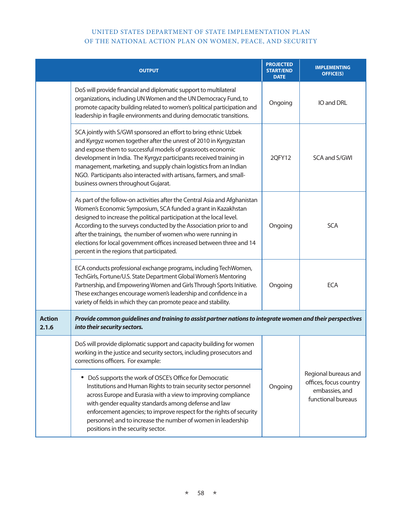|                        | <b>OUTPUT</b>                                                                                                                                                                                                                                                                                                                                                                                                                                                                  | <b>PROJECTED</b><br><b>START/END</b><br><b>DATE</b> | <b>IMPLEMENTING</b><br><b>OFFICE(S)</b>                                                |
|------------------------|--------------------------------------------------------------------------------------------------------------------------------------------------------------------------------------------------------------------------------------------------------------------------------------------------------------------------------------------------------------------------------------------------------------------------------------------------------------------------------|-----------------------------------------------------|----------------------------------------------------------------------------------------|
|                        | DoS will provide financial and diplomatic support to multilateral<br>organizations, including UN Women and the UN Democracy Fund, to<br>promote capacity building related to women's political participation and<br>leadership in fragile environments and during democratic transitions.                                                                                                                                                                                      | Ongoing                                             | IO and DRL                                                                             |
|                        | SCA jointly with S/GWI sponsored an effort to bring ethnic Uzbek<br>and Kyrgyz women together after the unrest of 2010 in Kyrgyzstan<br>and expose them to successful models of grassroots economic<br>development in India. The Kyrgyz participants received training in<br>management, marketing, and supply chain logistics from an Indian<br>NGO. Participants also interacted with artisans, farmers, and small-<br>business owners throughout Gujarat.                   | 2QFY12                                              | SCA and S/GWI                                                                          |
|                        | As part of the follow-on activities after the Central Asia and Afghanistan<br>Women's Economic Symposium, SCA funded a grant in Kazakhstan<br>designed to increase the political participation at the local level.<br>According to the surveys conducted by the Association prior to and<br>after the trainings, the number of women who were running in<br>elections for local government offices increased between three and 14<br>percent in the regions that participated. | Ongoing                                             | <b>SCA</b>                                                                             |
|                        | ECA conducts professional exchange programs, including TechWomen,<br>TechGirls, Fortune/U.S. State Department Global Women's Mentoring<br>Partnership, and Empowering Women and Girls Through Sports Initiative.<br>These exchanges encourage women's leadership and confidence in a<br>variety of fields in which they can promote peace and stability.                                                                                                                       | Ongoing                                             | <b>ECA</b>                                                                             |
| <b>Action</b><br>2.1.6 | Provide common guidelines and training to assist partner nations to integrate women and their perspectives<br>into their security sectors.                                                                                                                                                                                                                                                                                                                                     |                                                     |                                                                                        |
|                        | DoS will provide diplomatic support and capacity building for women<br>working in the justice and security sectors, including prosecutors and<br>corrections officers. For example:                                                                                                                                                                                                                                                                                            |                                                     |                                                                                        |
|                        | DoS supports the work of OSCE's Office for Democratic<br>Institutions and Human Rights to train security sector personnel<br>across Europe and Eurasia with a view to improving compliance<br>with gender equality standards among defense and law<br>enforcement agencies; to improve respect for the rights of security<br>personnel; and to increase the number of women in leadership<br>positions in the security sector.                                                 | Ongoing                                             | Regional bureaus and<br>offices, focus country<br>embassies, and<br>functional bureaus |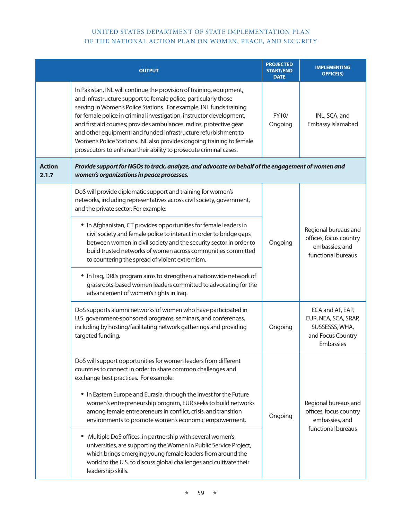|                        | <b>OUTPUT</b>                                                                                                                                                                                                                                                                                                                                                                                                                                                                                                                                                                  | <b>PROJECTED</b><br><b>START/END</b><br><b>DATE</b> | <b>IMPLEMENTING</b><br><b>OFFICE(S)</b>                                                      |
|------------------------|--------------------------------------------------------------------------------------------------------------------------------------------------------------------------------------------------------------------------------------------------------------------------------------------------------------------------------------------------------------------------------------------------------------------------------------------------------------------------------------------------------------------------------------------------------------------------------|-----------------------------------------------------|----------------------------------------------------------------------------------------------|
|                        | In Pakistan, INL will continue the provision of training, equipment,<br>and infrastructure support to female police, particularly those<br>serving in Women's Police Stations. For example, INL funds training<br>for female police in criminal investigation, instructor development,<br>and first aid courses; provides ambulances, radios, protective gear<br>and other equipment; and funded infrastructure refurbishment to<br>Women's Police Stations. INL also provides ongoing training to female<br>prosecutors to enhance their ability to prosecute criminal cases. | FY10/<br>Ongoing                                    | INL, SCA, and<br>Embassy Islamabad                                                           |
| <b>Action</b><br>2.1.7 | Provide support for NGOs to track, analyze, and advocate on behalf of the engagement of women and<br>women's organizations in peace processes.                                                                                                                                                                                                                                                                                                                                                                                                                                 |                                                     |                                                                                              |
|                        | DoS will provide diplomatic support and training for women's<br>networks, including representatives across civil society, government,<br>and the private sector. For example:                                                                                                                                                                                                                                                                                                                                                                                                  | Ongoing                                             |                                                                                              |
|                        | • In Afghanistan, CT provides opportunities for female leaders in<br>civil society and female police to interact in order to bridge gaps<br>between women in civil society and the security sector in order to<br>build trusted networks of women across communities committed<br>to countering the spread of violent extremism.                                                                                                                                                                                                                                               |                                                     | Regional bureaus and<br>offices, focus country<br>embassies, and<br>functional bureaus       |
|                        | • In Iraq, DRL's program aims to strengthen a nationwide network of<br>grassroots-based women leaders committed to advocating for the<br>advancement of women's rights in Iraq.                                                                                                                                                                                                                                                                                                                                                                                                |                                                     |                                                                                              |
|                        | DoS supports alumni networks of women who have participated in<br>U.S. government-sponsored programs, seminars, and conferences,<br>including by hosting/facilitating network gatherings and providing<br>targeted funding.                                                                                                                                                                                                                                                                                                                                                    | Ongoing                                             | ECA and AF, EAP,<br>EUR, NEA, SCA, SRAP,<br>SUSSESSS, WHA,<br>and Focus Country<br>Embassies |
|                        | DoS will support opportunities for women leaders from different<br>countries to connect in order to share common challenges and<br>exchange best practices. For example:                                                                                                                                                                                                                                                                                                                                                                                                       |                                                     | Regional bureaus and<br>offices, focus country<br>embassies, and<br>functional bureaus       |
|                        | • In Eastern Europe and Eurasia, through the Invest for the Future<br>women's entrepreneurship program, EUR seeks to build networks<br>among female entrepreneurs in conflict, crisis, and transition<br>environments to promote women's economic empowerment.                                                                                                                                                                                                                                                                                                                 | Ongoing                                             |                                                                                              |
|                        | Multiple DoS offices, in partnership with several women's<br>universities, are supporting the Women in Public Service Project,<br>which brings emerging young female leaders from around the<br>world to the U.S. to discuss global challenges and cultivate their<br>leadership skills.                                                                                                                                                                                                                                                                                       |                                                     |                                                                                              |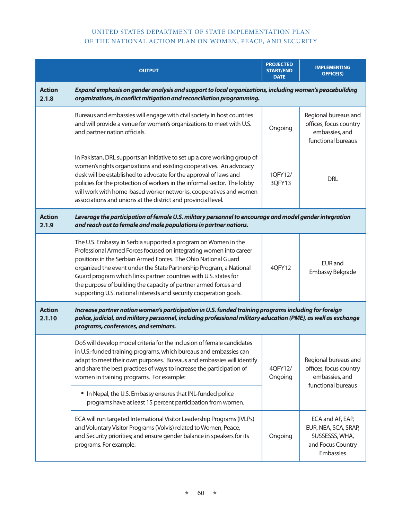|                         | <b>OUTPUT</b>                                                                                                                                                                                                                                                                                                                                                                                                                                                                               | <b>PROJECTED</b><br><b>START/END</b><br><b>DATE</b> | <b>IMPLEMENTING</b><br><b>OFFICE(S)</b>                                                      |  |
|-------------------------|---------------------------------------------------------------------------------------------------------------------------------------------------------------------------------------------------------------------------------------------------------------------------------------------------------------------------------------------------------------------------------------------------------------------------------------------------------------------------------------------|-----------------------------------------------------|----------------------------------------------------------------------------------------------|--|
| <b>Action</b><br>2.1.8  | Expand emphasis on gender analysis and support to local organizations, including women's peacebuilding<br>organizations, in conflict mitigation and reconciliation programming.                                                                                                                                                                                                                                                                                                             |                                                     |                                                                                              |  |
|                         | Bureaus and embassies will engage with civil society in host countries<br>and will provide a venue for women's organizations to meet with U.S.<br>and partner nation officials.                                                                                                                                                                                                                                                                                                             | Ongoing                                             | Regional bureaus and<br>offices, focus country<br>embassies, and<br>functional bureaus       |  |
|                         | In Pakistan, DRL supports an initiative to set up a core working group of<br>women's rights organizations and existing cooperatives. An advocacy<br>desk will be established to advocate for the approval of laws and<br>policies for the protection of workers in the informal sector. The lobby<br>will work with home-based worker networks, cooperatives and women<br>associations and unions at the district and provincial level.                                                     | 1QFY12/<br>3QFY13                                   | <b>DRL</b>                                                                                   |  |
| <b>Action</b><br>2.1.9  | Leverage the participation of female U.S. military personnel to encourage and model gender integration<br>and reach out to female and male populations in partner nations.                                                                                                                                                                                                                                                                                                                  |                                                     |                                                                                              |  |
|                         | The U.S. Embassy in Serbia supported a program on Women in the<br>Professional Armed Forces focused on integrating women into career<br>positions in the Serbian Armed Forces. The Ohio National Guard<br>organized the event under the State Partnership Program, a National<br>Guard program which links partner countries with U.S. states for<br>the purpose of building the capacity of partner armed forces and<br>supporting U.S. national interests and security cooperation goals. | 4QFY12                                              | <b>EUR</b> and<br>Embassy Belgrade                                                           |  |
| <b>Action</b><br>2.1.10 | Increase partner nation women's participation in U.S. funded training programs including for foreign<br>police, judicial, and military personnel, including professional military education (PME), as well as exchange<br>programs, conferences, and seminars.                                                                                                                                                                                                                              |                                                     |                                                                                              |  |
|                         | DoS will develop model criteria for the inclusion of female candidates<br>in U.S.-funded training programs, which bureaus and embassies can<br>adapt to meet their own purposes. Bureaus and embassies will identify<br>and share the best practices of ways to increase the participation of<br>women in training programs. For example:                                                                                                                                                   | 4QFY12/<br>Ongoing                                  | Regional bureaus and<br>offices, focus country<br>embassies, and<br>functional bureaus       |  |
|                         | • In Nepal, the U.S. Embassy ensures that INL-funded police<br>programs have at least 15 percent participation from women.                                                                                                                                                                                                                                                                                                                                                                  |                                                     |                                                                                              |  |
|                         | ECA will run targeted International Visitor Leadership Programs (IVLPs)<br>and Voluntary Visitor Programs (Volvis) related to Women, Peace,<br>and Security priorities; and ensure gender balance in speakers for its<br>programs. For example:                                                                                                                                                                                                                                             | Ongoing                                             | ECA and AF, EAP,<br>EUR, NEA, SCA, SRAP,<br>SUSSESSS, WHA,<br>and Focus Country<br>Embassies |  |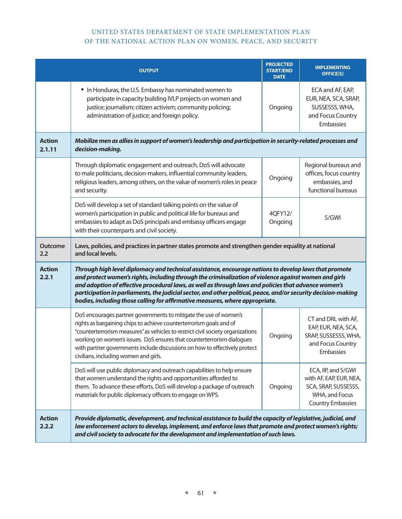|                         | <b>OUTPUT</b>                                                                                                                                                                                                                                                                                                                                                                                                                                                                                                            | <b>PROJECTED</b><br><b>START/END</b><br><b>DATE</b> | <b>IMPLEMENTING</b><br><b>OFFICE(S)</b>                                                                              |
|-------------------------|--------------------------------------------------------------------------------------------------------------------------------------------------------------------------------------------------------------------------------------------------------------------------------------------------------------------------------------------------------------------------------------------------------------------------------------------------------------------------------------------------------------------------|-----------------------------------------------------|----------------------------------------------------------------------------------------------------------------------|
|                         | • In Honduras, the U.S. Embassy has nominated women to<br>participate in capacity building IVLP projects on women and<br>justice; journalism; citizen activism; community policing;<br>administration of justice; and foreign policy.                                                                                                                                                                                                                                                                                    | Ongoing                                             | ECA and AF, EAP,<br>EUR, NEA, SCA, SRAP,<br>SUSSESSS, WHA,<br>and Focus Country<br>Embassies                         |
| <b>Action</b><br>2.1.11 | Mobilize men as allies in support of women's leadership and participation in security-related processes and<br>decision-making.                                                                                                                                                                                                                                                                                                                                                                                          |                                                     |                                                                                                                      |
|                         | Through diplomatic engagement and outreach, DoS will advocate<br>to male politicians, decision-makers, influential community leaders,<br>religious leaders, among others, on the value of women's roles in peace<br>and security.                                                                                                                                                                                                                                                                                        | Ongoing                                             | Regional bureaus and<br>offices, focus country<br>embassies, and<br>functional bureaus                               |
|                         | DoS will develop a set of standard talking points on the value of<br>women's participation in public and political life for bureaus and<br>embassies to adapt as DoS principals and embassy officers engage<br>with their counterparts and civil society.                                                                                                                                                                                                                                                                | 4QFY12/<br>Ongoing                                  | S/GWI                                                                                                                |
| <b>Outcome</b><br>2.2   | Laws, policies, and practices in partner states promote and strengthen gender equality at national<br>and local levels.                                                                                                                                                                                                                                                                                                                                                                                                  |                                                     |                                                                                                                      |
| <b>Action</b><br>2.2.1  | Through high level diplomacy and technical assistance, encourage nations to develop laws that promote<br>and protect women's rights, including through the criminalization of violence against women and girls<br>and adoption of effective procedural laws, as well as through laws and policies that advance women's<br>participation in parliaments, the judicial sector, and other political, peace, and/or security decision-making<br>bodies, including those calling for affirmative measures, where appropriate. |                                                     |                                                                                                                      |
|                         | DoS encourages partner governments to mitigate the use of women's<br>rights as bargaining chips to achieve counterterrorism goals and of<br>"counterterrorism measures" as vehicles to restrict civil society organizations<br>working on women's issues. DoS ensures that counterterrorism dialogues<br>with partner governments include discussions on how to effectively protect<br>civilians, including women and girls.                                                                                             | Ongoing                                             | CT and DRL with AF,<br>EAP, EUR, NEA, SCA,<br>SRAP, SUSSESSS, WHA,<br>and Focus Country<br>Embassies                 |
|                         | DoS will use public diplomacy and outreach capabilities to help ensure<br>that women understand the rights and opportunities afforded to<br>them. To advance these efforts, DoS will develop a package of outreach<br>materials for public diplomacy officers to engage on WPS.                                                                                                                                                                                                                                          | Ongoing                                             | ECA, IIP, and S/GWI<br>with AF, EAP, EUR, NEA,<br>SCA, SRAP, SUSSESSS,<br>WHA, and Focus<br><b>Country Embassies</b> |
| <b>Action</b><br>2.2.2  | Provide diplomatic, development, and technical assistance to build the capacity of legislative, judicial, and<br>law enforcement actors to develop, implement, and enforce laws that promote and protect women's rights;<br>and civil society to advocate for the development and implementation of such laws.                                                                                                                                                                                                           |                                                     |                                                                                                                      |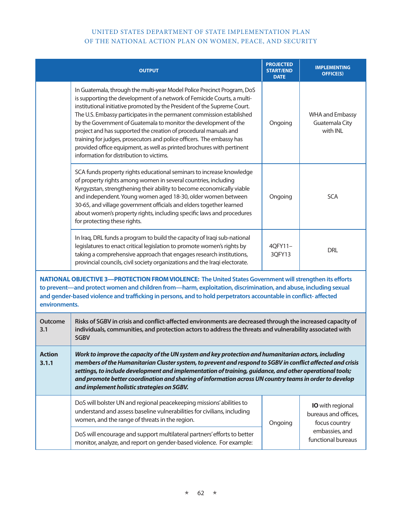|                        | <b>OUTPUT</b>                                                                                                                                                                                                                                                                                                                                                                                                                                                                                                                                                                                                                                  | <b>PROJECTED</b><br><b>START/END</b><br><b>DATE</b> | <b>IMPLEMENTING</b><br><b>OFFICE(S)</b>                          |
|------------------------|------------------------------------------------------------------------------------------------------------------------------------------------------------------------------------------------------------------------------------------------------------------------------------------------------------------------------------------------------------------------------------------------------------------------------------------------------------------------------------------------------------------------------------------------------------------------------------------------------------------------------------------------|-----------------------------------------------------|------------------------------------------------------------------|
|                        | In Guatemala, through the multi-year Model Police Precinct Program, DoS<br>is supporting the development of a network of Femicide Courts, a multi-<br>institutional initiative promoted by the President of the Supreme Court.<br>The U.S. Embassy participates in the permanent commission established<br>by the Government of Guatemala to monitor the development of the<br>project and has supported the creation of procedural manuals and<br>training for judges, prosecutors and police officers. The embassy has<br>provided office equipment, as well as printed brochures with pertinent<br>information for distribution to victims. | Ongoing                                             | <b>WHA and Embassy</b><br>Guatemala City<br>with INL             |
|                        | SCA funds property rights educational seminars to increase knowledge<br>of property rights among women in several countries, including<br>Kyrgyzstan, strengthening their ability to become economically viable<br>and independent. Young women aged 18-30, older women between<br>30-65, and village government officials and elders together learned<br>about women's property rights, including specific laws and procedures<br>for protecting these rights.                                                                                                                                                                                | Ongoing                                             | <b>SCA</b>                                                       |
|                        | In Iraq, DRL funds a program to build the capacity of Iraqi sub-national<br>legislatures to enact critical legislation to promote women's rights by<br>taking a comprehensive approach that engages research institutions,<br>provincial councils, civil society organizations and the Iraqi electorate.                                                                                                                                                                                                                                                                                                                                       | 4QFY11-<br>3QFY13                                   | <b>DRL</b>                                                       |
| environments.          | NATIONAL OBJECTIVE 3-PROTECTION FROM VIOLENCE: The United States Government will strengthen its efforts<br>to prevent-and protect women and children from-harm, exploitation, discrimination, and abuse, including sexual<br>and gender-based violence and trafficking in persons, and to hold perpetrators accountable in conflict-affected                                                                                                                                                                                                                                                                                                   |                                                     |                                                                  |
| <b>Outcome</b><br>3.1  | Risks of SGBV in crisis and conflict-affected environments are decreased through the increased capacity of<br>individuals, communities, and protection actors to address the threats and vulnerability associated with<br><b>SGBV</b>                                                                                                                                                                                                                                                                                                                                                                                                          |                                                     |                                                                  |
| <b>Action</b><br>3.1.1 | Work to improve the capacity of the UN system and key protection and humanitarian actors, including<br>members of the Humanitarian Cluster system, to prevent and respond to SGBV in conflict affected and crisis<br>settings, to include development and implementation of training, guidance, and other operational tools;<br>and promote better coordination and sharing of information across UN country teams in order to develop<br>and implement holistic strategies on SGBV.                                                                                                                                                           |                                                     |                                                                  |
|                        | DoS will bolster UN and regional peacekeeping missions' abilities to<br>understand and assess baseline vulnerabilities for civilians, including<br>women, and the range of threats in the region.                                                                                                                                                                                                                                                                                                                                                                                                                                              | Ongoing                                             | <b>IO</b> with regional<br>bureaus and offices,<br>focus country |
|                        | DoS will encourage and support multilateral partners' efforts to better<br>monitor, analyze, and report on gender-based violence. For example:                                                                                                                                                                                                                                                                                                                                                                                                                                                                                                 |                                                     | embassies, and<br>functional bureaus                             |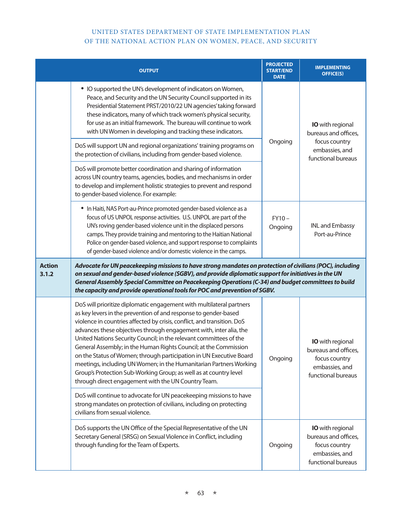|                        | <b>OUTPUT</b>                                                                                                                                                                                                                                                                                                                                                                                                                                                                                                                                                                                                                                                                                               | <b>PROJECTED</b><br><b>START/END</b><br><b>DATE</b> | <b>IMPLEMENTING</b><br><b>OFFICE(S)</b>                                                                  |  |
|------------------------|-------------------------------------------------------------------------------------------------------------------------------------------------------------------------------------------------------------------------------------------------------------------------------------------------------------------------------------------------------------------------------------------------------------------------------------------------------------------------------------------------------------------------------------------------------------------------------------------------------------------------------------------------------------------------------------------------------------|-----------------------------------------------------|----------------------------------------------------------------------------------------------------------|--|
|                        | • IO supported the UN's development of indicators on Women,<br>Peace, and Security and the UN Security Council supported in its<br>Presidential Statement PRST/2010/22 UN agencies' taking forward<br>these indicators, many of which track women's physical security,<br>for use as an initial framework. The bureau will continue to work<br>with UN Women in developing and tracking these indicators.                                                                                                                                                                                                                                                                                                   | Ongoing                                             | <b>IO</b> with regional<br>bureaus and offices,<br>focus country<br>embassies, and<br>functional bureaus |  |
|                        | DoS will support UN and regional organizations' training programs on<br>the protection of civilians, including from gender-based violence.                                                                                                                                                                                                                                                                                                                                                                                                                                                                                                                                                                  |                                                     |                                                                                                          |  |
|                        | DoS will promote better coordination and sharing of information<br>across UN country teams, agencies, bodies, and mechanisms in order<br>to develop and implement holistic strategies to prevent and respond<br>to gender-based violence. For example:                                                                                                                                                                                                                                                                                                                                                                                                                                                      |                                                     |                                                                                                          |  |
|                        | • In Haiti, NAS Port-au-Prince promoted gender-based violence as a<br>focus of US UNPOL response activities. U.S. UNPOL are part of the<br>UN's roving gender-based violence unit in the displaced persons<br>camps. They provide training and mentoring to the Haitian National<br>Police on gender-based violence, and support response to complaints<br>of gender-based violence and/or domestic violence in the camps.                                                                                                                                                                                                                                                                                  | $FY10-$<br>Ongoing                                  | <b>INL and Embassy</b><br>Port-au-Prince                                                                 |  |
| <b>Action</b><br>3.1.2 | Advocate for UN peacekeeping missions to have strong mandates on protection of civilians (POC), including<br>on sexual and gender-based violence (SGBV), and provide diplomatic support for initiatives in the UN<br>General Assembly Special Committee on Peacekeeping Operations (C-34) and budget committees to build<br>the capacity and provide operational tools for POC and prevention of SGBV.                                                                                                                                                                                                                                                                                                      |                                                     |                                                                                                          |  |
|                        | DoS will prioritize diplomatic engagement with multilateral partners<br>as key levers in the prevention of and response to gender-based<br>violence in countries affected by crisis, conflict, and transition. DoS<br>advances these objectives through engagement with, inter alia, the<br>United Nations Security Council; in the relevant committees of the<br>General Assembly; in the Human Rights Council; at the Commission<br>on the Status of Women; through participation in UN Executive Board<br>meetings, including UN Women; in the Humanitarian Partners Working<br>Group's Protection Sub-Working Group; as well as at country level<br>through direct engagement with the UN Country Team. | Ongoing                                             | <b>IO</b> with regional<br>bureaus and offices,<br>focus country<br>embassies, and<br>functional bureaus |  |
|                        | DoS will continue to advocate for UN peacekeeping missions to have<br>strong mandates on protection of civilians, including on protecting<br>civilians from sexual violence.                                                                                                                                                                                                                                                                                                                                                                                                                                                                                                                                |                                                     |                                                                                                          |  |
|                        | DoS supports the UN Office of the Special Representative of the UN<br>Secretary General (SRSG) on Sexual Violence in Conflict, including<br>through funding for the Team of Experts.                                                                                                                                                                                                                                                                                                                                                                                                                                                                                                                        | Ongoing                                             | <b>IO</b> with regional<br>bureaus and offices,<br>focus country<br>embassies, and<br>functional bureaus |  |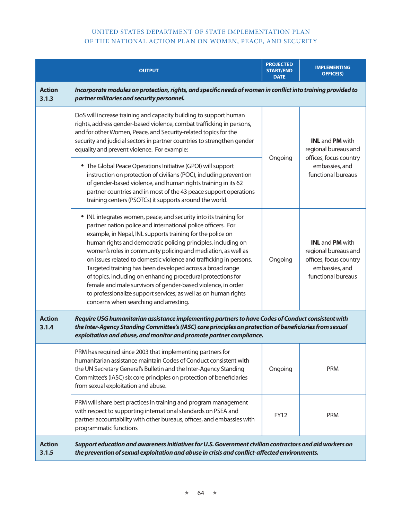|                        | <b>OUTPUT</b>                                                                                                                                                                                                                                                                                                                                                                                                                                                                                                                                                                                                                                                                                                     | <b>PROJECTED</b><br><b>START/END</b><br><b>DATE</b> | <b>IMPLEMENTING</b><br><b>OFFICE(S)</b>                                                                                 |
|------------------------|-------------------------------------------------------------------------------------------------------------------------------------------------------------------------------------------------------------------------------------------------------------------------------------------------------------------------------------------------------------------------------------------------------------------------------------------------------------------------------------------------------------------------------------------------------------------------------------------------------------------------------------------------------------------------------------------------------------------|-----------------------------------------------------|-------------------------------------------------------------------------------------------------------------------------|
| <b>Action</b><br>3.1.3 | Incorporate modules on protection, rights, and specific needs of women in conflict into training provided to<br>partner militaries and security personnel.                                                                                                                                                                                                                                                                                                                                                                                                                                                                                                                                                        |                                                     |                                                                                                                         |
|                        | DoS will increase training and capacity building to support human<br>rights, address gender-based violence, combat trafficking in persons,<br>and for other Women, Peace, and Security-related topics for the<br>security and judicial sectors in partner countries to strengthen gender<br>equality and prevent violence. For example:<br>• The Global Peace Operations Initiative (GPOI) will support<br>instruction on protection of civilians (POC), including prevention<br>of gender-based violence, and human rights training in its 62<br>partner countries and in most of the 43 peace support operations<br>training centers (PSOTCs) it supports around the world.                                     | Ongoing                                             | <b>INL</b> and <b>PM</b> with<br>regional bureaus and<br>offices, focus country<br>embassies, and<br>functional bureaus |
|                        | • INL integrates women, peace, and security into its training for<br>partner nation police and international police officers. For<br>example, in Nepal, INL supports training for the police on<br>human rights and democratic policing principles, including on<br>women's roles in community policing and mediation, as well as<br>on issues related to domestic violence and trafficking in persons.<br>Targeted training has been developed across a broad range<br>of topics, including on enhancing procedural protections for<br>female and male survivors of gender-based violence, in order<br>to professionalize support services; as well as on human rights<br>concerns when searching and arresting. | Ongoing                                             | <b>INL</b> and <b>PM</b> with<br>regional bureaus and<br>offices, focus country<br>embassies, and<br>functional bureaus |
| <b>Action</b><br>3.1.4 | Require USG humanitarian assistance implementing partners to have Codes of Conduct consistent with<br>the Inter-Agency Standing Committee's (IASC) core principles on protection of beneficiaries from sexual<br>exploitation and abuse, and monitor and promote partner compliance.                                                                                                                                                                                                                                                                                                                                                                                                                              |                                                     |                                                                                                                         |
|                        | PRM has required since 2003 that implementing partners for<br>humanitarian assistance maintain Codes of Conduct consistent with<br>the UN Secretary General's Bulletin and the Inter-Agency Standing<br>Committee's (IASC) six core principles on protection of beneficiaries<br>from sexual exploitation and abuse.                                                                                                                                                                                                                                                                                                                                                                                              | Ongoing                                             | <b>PRM</b>                                                                                                              |
|                        | PRM will share best practices in training and program management<br>with respect to supporting international standards on PSEA and<br>partner accountability with other bureaus, offices, and embassies with<br>programmatic functions                                                                                                                                                                                                                                                                                                                                                                                                                                                                            | <b>FY12</b>                                         | <b>PRM</b>                                                                                                              |
| <b>Action</b><br>3.1.5 | Support education and awareness initiatives for U.S. Government civilian contractors and aid workers on<br>the prevention of sexual exploitation and abuse in crisis and conflict-affected environments.                                                                                                                                                                                                                                                                                                                                                                                                                                                                                                          |                                                     |                                                                                                                         |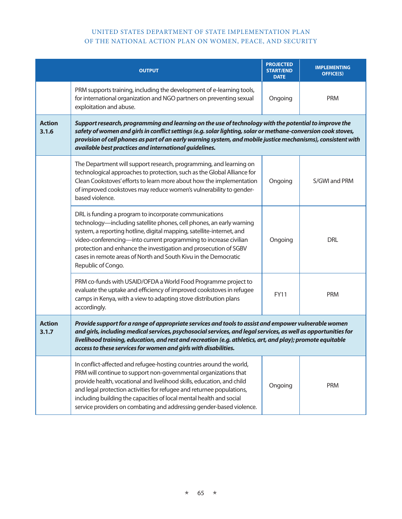|                        | <b>OUTPUT</b>                                                                                                                                                                                                                                                                                                                                                                                                                              | <b>PROJECTED</b><br><b>START/END</b><br><b>DATE</b> | <b>IMPLEMENTING</b><br><b>OFFICE(S)</b> |
|------------------------|--------------------------------------------------------------------------------------------------------------------------------------------------------------------------------------------------------------------------------------------------------------------------------------------------------------------------------------------------------------------------------------------------------------------------------------------|-----------------------------------------------------|-----------------------------------------|
|                        | PRM supports training, including the development of e-learning tools,<br>for international organization and NGO partners on preventing sexual<br>exploitation and abuse.                                                                                                                                                                                                                                                                   | Ongoing                                             | <b>PRM</b>                              |
| <b>Action</b><br>3.1.6 | Support research, programming and learning on the use of technology with the potential to improve the<br>safety of women and girls in conflict settings (e.g. solar lighting, solar or methane-conversion cook stoves,<br>provision of cell phones as part of an early warning system, and mobile justice mechanisms), consistent with<br>available best practices and international guidelines.                                           |                                                     |                                         |
|                        | The Department will support research, programming, and learning on<br>technological approaches to protection, such as the Global Alliance for<br>Clean Cookstoves' efforts to learn more about how the implementation<br>of improved cookstoves may reduce women's vulnerability to gender-<br>based violence.                                                                                                                             | Ongoing                                             | S/GWI and PRM                           |
|                        | DRL is funding a program to incorporate communications<br>technology—including satellite phones, cell phones, an early warning<br>system, a reporting hotline, digital mapping, satellite-internet, and<br>video-conferencing-into current programming to increase civilian<br>protection and enhance the investigation and prosecution of SGBV<br>cases in remote areas of North and South Kivu in the Democratic<br>Republic of Congo.   | Ongoing                                             | <b>DRL</b>                              |
|                        | PRM co-funds with USAID/OFDA a World Food Programme project to<br>evaluate the uptake and efficiency of improved cookstoves in refugee<br>camps in Kenya, with a view to adapting stove distribution plans<br>accordingly.                                                                                                                                                                                                                 | <b>FY11</b>                                         | <b>PRM</b>                              |
| <b>Action</b><br>3.1.7 | Provide support for a range of appropriate services and tools to assist and empower vulnerable women<br>and girls, including medical services, psychosocial services, and legal services, as well as opportunities for<br>livelihood training, education, and rest and recreation (e.g. athletics, art, and play); promote equitable<br>access to these services for women and girls with disabilities.                                    |                                                     |                                         |
|                        | In conflict-affected and refugee-hosting countries around the world,<br>PRM will continue to support non-governmental organizations that<br>provide health, vocational and livelihood skills, education, and child<br>and legal protection activities for refugee and returnee populations,<br>including building the capacities of local mental health and social<br>service providers on combating and addressing gender-based violence. | Ongoing                                             | <b>PRM</b>                              |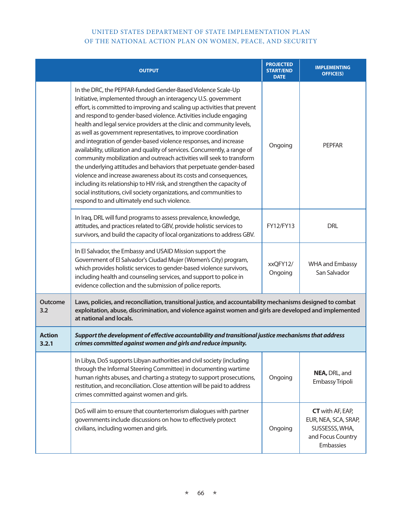|                        | <b>OUTPUT</b>                                                                                                                                                                                                                                                                                                                                                                                                                                                                                                                                                                                                                                                                                                                                                                                                                                                                                                                                                                                         | <b>PROJECTED</b><br><b>START/END</b><br><b>DATE</b> | <b>IMPLEMENTING</b><br><b>OFFICE(S)</b>                                                             |
|------------------------|-------------------------------------------------------------------------------------------------------------------------------------------------------------------------------------------------------------------------------------------------------------------------------------------------------------------------------------------------------------------------------------------------------------------------------------------------------------------------------------------------------------------------------------------------------------------------------------------------------------------------------------------------------------------------------------------------------------------------------------------------------------------------------------------------------------------------------------------------------------------------------------------------------------------------------------------------------------------------------------------------------|-----------------------------------------------------|-----------------------------------------------------------------------------------------------------|
|                        | In the DRC, the PEPFAR-funded Gender-Based Violence Scale-Up<br>Initiative, implemented through an interagency U.S. government<br>effort, is committed to improving and scaling up activities that prevent<br>and respond to gender-based violence. Activities include engaging<br>health and legal service providers at the clinic and community levels,<br>as well as government representatives, to improve coordination<br>and integration of gender-based violence responses, and increase<br>availability, utilization and quality of services. Concurrently, a range of<br>community mobilization and outreach activities will seek to transform<br>the underlying attitudes and behaviors that perpetuate gender-based<br>violence and increase awareness about its costs and consequences,<br>including its relationship to HIV risk, and strengthen the capacity of<br>social institutions, civil society organizations, and communities to<br>respond to and ultimately end such violence. | Ongoing                                             | <b>PEPFAR</b>                                                                                       |
|                        | In Iraq, DRL will fund programs to assess prevalence, knowledge,<br>attitudes, and practices related to GBV, provide holistic services to<br>survivors, and build the capacity of local organizations to address GBV.                                                                                                                                                                                                                                                                                                                                                                                                                                                                                                                                                                                                                                                                                                                                                                                 | FY12/FY13                                           | <b>DRL</b>                                                                                          |
|                        | In El Salvador, the Embassy and USAID Mission support the<br>Government of El Salvador's Ciudad Mujer (Women's City) program,<br>which provides holistic services to gender-based violence survivors,<br>including health and counseling services, and support to police in<br>evidence collection and the submission of police reports.                                                                                                                                                                                                                                                                                                                                                                                                                                                                                                                                                                                                                                                              | xxQFY12/<br>Ongoing                                 | <b>WHA and Embassy</b><br>San Salvador                                                              |
| <b>Outcome</b><br>3.2  | Laws, policies, and reconciliation, transitional justice, and accountability mechanisms designed to combat<br>exploitation, abuse, discrimination, and violence against women and girls are developed and implemented<br>at national and locals.                                                                                                                                                                                                                                                                                                                                                                                                                                                                                                                                                                                                                                                                                                                                                      |                                                     |                                                                                                     |
| <b>Action</b><br>3.2.1 | Support the development of effective accountability and transitional justice mechanisms that address<br>crimes committed against women and girls and reduce impunity.                                                                                                                                                                                                                                                                                                                                                                                                                                                                                                                                                                                                                                                                                                                                                                                                                                 |                                                     |                                                                                                     |
|                        | In Libya, DoS supports Libyan authorities and civil society (including<br>through the Informal Steering Committee) in documenting wartime<br>human rights abuses, and charting a strategy to support prosecutions,<br>restitution, and reconciliation. Close attention will be paid to address<br>crimes committed against women and girls.                                                                                                                                                                                                                                                                                                                                                                                                                                                                                                                                                                                                                                                           | Ongoing                                             | NEA, DRL, and<br>Embassy Tripoli                                                                    |
|                        | DoS will aim to ensure that counterterrorism dialogues with partner<br>governments include discussions on how to effectively protect<br>civilians, including women and girls.                                                                                                                                                                                                                                                                                                                                                                                                                                                                                                                                                                                                                                                                                                                                                                                                                         | Ongoing                                             | <b>CT</b> with AF, EAP,<br>EUR, NEA, SCA, SRAP,<br>SUSSESSS, WHA,<br>and Focus Country<br>Embassies |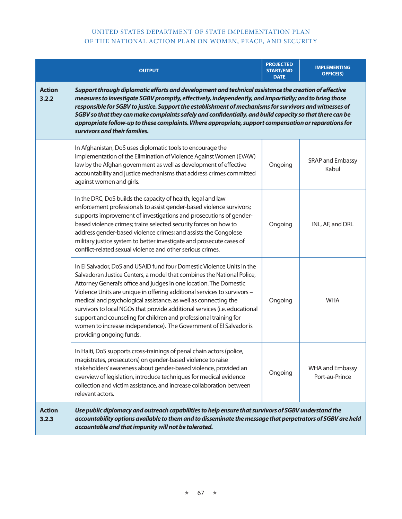|                        | <b>OUTPUT</b>                                                                                                                                                                                                                                                                                                                                                                                                                                                                                                                                                                                                             | <b>PROJECTED</b><br><b>START/END</b><br><b>DATE</b> | <b>IMPLEMENTING</b><br><b>OFFICE(S)</b>  |
|------------------------|---------------------------------------------------------------------------------------------------------------------------------------------------------------------------------------------------------------------------------------------------------------------------------------------------------------------------------------------------------------------------------------------------------------------------------------------------------------------------------------------------------------------------------------------------------------------------------------------------------------------------|-----------------------------------------------------|------------------------------------------|
| <b>Action</b><br>3.2.2 | Support through diplomatic efforts and development and technical assistance the creation of effective<br>measures to investigate SGBV promptly, effectively, independently, and impartially; and to bring those<br>responsible for SGBV to justice. Support the establishment of mechanisms for survivors and witnesses of<br>SGBV so that they can make complaints safely and confidentially, and build capacity so that there can be<br>appropriate follow-up to these complaints. Where appropriate, support compensation or reparations for<br>survivors and their families.                                          |                                                     |                                          |
|                        | In Afghanistan, DoS uses diplomatic tools to encourage the<br>implementation of the Elimination of Violence Against Women (EVAW)<br>law by the Afghan government as well as development of effective<br>accountability and justice mechanisms that address crimes committed<br>against women and girls.                                                                                                                                                                                                                                                                                                                   | Ongoing                                             | SRAP and Embassy<br>Kabul                |
|                        | In the DRC, DoS builds the capacity of health, legal and law<br>enforcement professionals to assist gender-based violence survivors;<br>supports improvement of investigations and prosecutions of gender-<br>based violence crimes; trains selected security forces on how to<br>address gender-based violence crimes; and assists the Congolese<br>military justice system to better investigate and prosecute cases of<br>conflict-related sexual violence and other serious crimes.                                                                                                                                   | Ongoing                                             | INL, AF, and DRL                         |
|                        | In El Salvador, DoS and USAID fund four Domestic Violence Units in the<br>Salvadoran Justice Centers, a model that combines the National Police,<br>Attorney General's office and judges in one location. The Domestic<br>Violence Units are unique in offering additional services to survivors -<br>medical and psychological assistance, as well as connecting the<br>survivors to local NGOs that provide additional services (i.e. educational<br>support and counseling for children and professional training for<br>women to increase independence). The Government of El Salvador is<br>providing ongoing funds. | Ongoing                                             | <b>WHA</b>                               |
|                        | In Haiti, DoS supports cross-trainings of penal chain actors (police,<br>magistrates, prosecutors) on gender-based violence to raise<br>stakeholders' awareness about gender-based violence, provided an<br>overview of legislation, introduce techniques for medical evidence<br>collection and victim assistance, and increase collaboration between<br>relevant actors.                                                                                                                                                                                                                                                | Ongoing                                             | <b>WHA and Embassy</b><br>Port-au-Prince |
| <b>Action</b><br>3.2.3 | Use public diplomacy and outreach capabilities to help ensure that survivors of SGBV understand the<br>accountability options available to them and to disseminate the message that perpetrators of SGBV are held<br>accountable and that impunity will not be tolerated.                                                                                                                                                                                                                                                                                                                                                 |                                                     |                                          |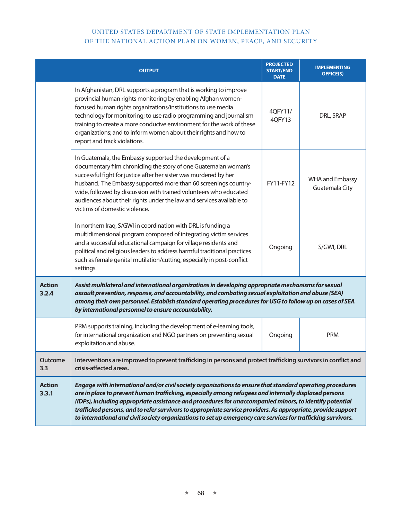|                        | <b>OUTPUT</b>                                                                                                                                                                                                                                                                                                                                                                                                                                                                                                                                                  | <b>PROJECTED</b><br><b>START/END</b><br><b>DATE</b> | <b>IMPLEMENTING</b><br><b>OFFICE(S)</b>  |
|------------------------|----------------------------------------------------------------------------------------------------------------------------------------------------------------------------------------------------------------------------------------------------------------------------------------------------------------------------------------------------------------------------------------------------------------------------------------------------------------------------------------------------------------------------------------------------------------|-----------------------------------------------------|------------------------------------------|
|                        | In Afghanistan, DRL supports a program that is working to improve<br>provincial human rights monitoring by enabling Afghan women-<br>focused human rights organizations/institutions to use media<br>technology for monitoring; to use radio programming and journalism<br>training to create a more conducive environment for the work of these<br>organizations; and to inform women about their rights and how to<br>report and track violations.                                                                                                           | 4QFY11/<br>4QFY13                                   | DRL, SRAP                                |
|                        | In Guatemala, the Embassy supported the development of a<br>documentary film chronicling the story of one Guatemalan woman's<br>successful fight for justice after her sister was murdered by her<br>husband. The Embassy supported more than 60 screenings country-<br>wide, followed by discussion with trained volunteers who educated<br>audiences about their rights under the law and services available to<br>victims of domestic violence.                                                                                                             | FY11-FY12                                           | <b>WHA and Embassy</b><br>Guatemala City |
|                        | In northern Iraq, S/GWI in coordination with DRL is funding a<br>multidimensional program composed of integrating victim services<br>and a successful educational campaign for village residents and<br>political and religious leaders to address harmful traditional practices<br>such as female genital mutilation/cutting, especially in post-conflict<br>settings.                                                                                                                                                                                        | Ongoing                                             | S/GWI, DRL                               |
| <b>Action</b><br>3.2.4 | Assist multilateral and international organizations in developing appropriate mechanisms for sexual<br>assault prevention, response, and accountability, and combating sexual exploitation and abuse (SEA)<br>among their own personnel. Establish standard operating procedures for USG to follow up on cases of SEA<br>by international personnel to ensure accountability.                                                                                                                                                                                  |                                                     |                                          |
|                        | PRM supports training, including the development of e-learning tools,<br>for international organization and NGO partners on preventing sexual<br>exploitation and abuse.                                                                                                                                                                                                                                                                                                                                                                                       | Ongoing                                             | <b>PRM</b>                               |
| <b>Outcome</b><br>3.3  | Interventions are improved to prevent trafficking in persons and protect trafficking survivors in conflict and<br>crisis-affected areas.                                                                                                                                                                                                                                                                                                                                                                                                                       |                                                     |                                          |
| <b>Action</b><br>3.3.1 | Engage with international and/or civil society organizations to ensure that standard operating procedures<br>are in place to prevent human trafficking, especially among refugees and internally displaced persons<br>(IDPs), including appropriate assistance and procedures for unaccompanied minors, to identify potential<br>trafficked persons, and to refer survivors to appropriate service providers. As appropriate, provide support<br>to international and civil society organizations to set up emergency care services for trafficking survivors. |                                                     |                                          |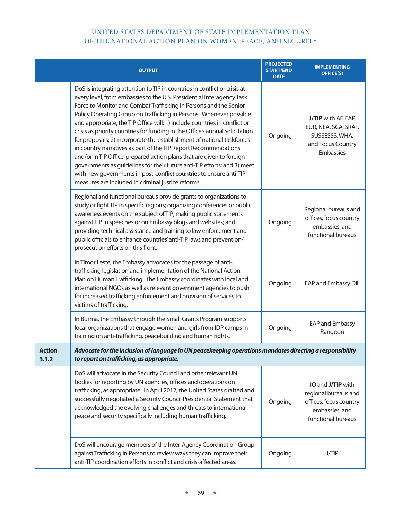|                        | <b>OUTPUT</b>                                                                                                                                                                                                                                                                                                                                                                                                                                                                                                                                                                                                                                                                                                                                                                                                                                                                            | <b>PROJECTED</b><br><b>START/END</b><br><b>DATE</b> | <b>IMPLEMENTING</b><br><b>OFFICE(S)</b>                                                                                   |
|------------------------|------------------------------------------------------------------------------------------------------------------------------------------------------------------------------------------------------------------------------------------------------------------------------------------------------------------------------------------------------------------------------------------------------------------------------------------------------------------------------------------------------------------------------------------------------------------------------------------------------------------------------------------------------------------------------------------------------------------------------------------------------------------------------------------------------------------------------------------------------------------------------------------|-----------------------------------------------------|---------------------------------------------------------------------------------------------------------------------------|
|                        | DoS is integrating attention to TIP in countries in conflict or crisis at<br>every level, from embassies to the U.S. Presidential Interagency Task<br>Force to Monitor and Combat Trafficking in Persons and the Senior<br>Policy Operating Group on Trafficking in Persons. Whenever possible<br>and appropriate, the TIP Office will: 1) include countries in conflict or<br>crisis as priority countries for funding in the Office's annual solicitation<br>for proposals; 2) incorporate the establishment of national taskforces<br>in country narratives as part of the TIP Report Recommendations<br>and/or in TIP Office-prepared action plans that are given to foreign<br>governments as guidelines for their future anti-TIP efforts; and 3) meet<br>with new governments in post-conflict countries to ensure anti-TIP<br>measures are included in criminal justice reforms. | Ongoing                                             | J/TIP with AF, EAP,<br>EUR, NEA, SCA, SRAP,<br>SUSSESSS, WHA,<br>and Focus Country<br>Embassies                           |
|                        | Regional and functional bureaus provide grants to organizations to<br>study or fight TIP in specific regions; organizing conferences or public<br>awareness events on the subject of TIP; making public statements<br>against TIP in speeches or on Embassy blogs and websites; and<br>providing technical assistance and training to law enforcement and<br>public officials to enhance countries' anti-TIP laws and prevention/<br>prosecution efforts on this front.                                                                                                                                                                                                                                                                                                                                                                                                                  | Ongoing                                             | Regional bureaus and<br>offices, focus country<br>embassies, and<br>functional bureaus                                    |
|                        | In Timor Leste, the Embassy advocates for the passage of anti-<br>trafficking legislation and implementation of the National Action<br>Plan on Human Trafficking. The Embassy coordinates with local and<br>international NGOs as well as relevant government agencies to push<br>for increased trafficking enforcement and provision of services to<br>victims of trafficking.                                                                                                                                                                                                                                                                                                                                                                                                                                                                                                          | Ongoing                                             | EAP and Embassy Dili                                                                                                      |
|                        | In Burma, the Embassy through the Small Grants Program supports<br>local organizations that engage women and girls from IDP camps in<br>training on anti-trafficking, peacebuilding and human rights.                                                                                                                                                                                                                                                                                                                                                                                                                                                                                                                                                                                                                                                                                    | Ongoing                                             | EAP and Embassy<br>Rangoon                                                                                                |
| <b>Action</b><br>3.3.2 | Advocate for the inclusion of language in UN peacekeeping operations mandates directing a responsibility<br>to report on trafficking, as appropriate.                                                                                                                                                                                                                                                                                                                                                                                                                                                                                                                                                                                                                                                                                                                                    |                                                     |                                                                                                                           |
|                        | DoS will advocate in the Security Council and other relevant UN<br>bodies for reporting by UN agencies, offices and operations on<br>trafficking, as appropriate. In April 2012, the United States drafted and<br>successfully negotiated a Security Council Presidential Statement that<br>acknowledged the evolving challenges and threats to international<br>peace and security specifically including human trafficking.                                                                                                                                                                                                                                                                                                                                                                                                                                                            | Ongoing                                             | <b>IO</b> and <b>J/TIP</b> with<br>regional bureaus and<br>offices, focus country<br>embassies, and<br>functional bureaus |
|                        | DoS will encourage members of the Inter-Agency Coordination Group<br>against Trafficking in Persons to review ways they can improve their<br>anti-TIP coordination efforts in conflict and crisis-affected areas.                                                                                                                                                                                                                                                                                                                                                                                                                                                                                                                                                                                                                                                                        | Ongoing                                             | J/TIP                                                                                                                     |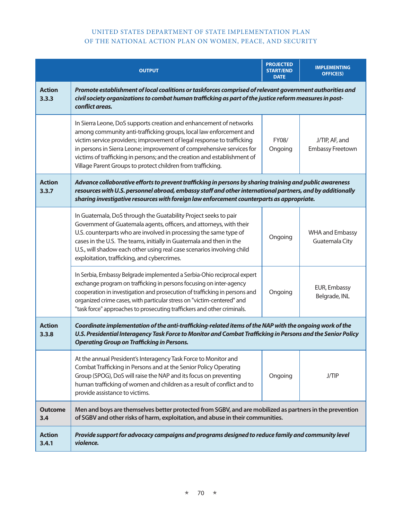|                        | <b>QUTPUT</b>                                                                                                                                                                                                                                                                                                                                                                                                                          | <b>PROJECTED</b><br><b>START/END</b><br><b>DATE</b> | <b>IMPLEMENTING</b><br><b>OFFICE(S)</b>  |
|------------------------|----------------------------------------------------------------------------------------------------------------------------------------------------------------------------------------------------------------------------------------------------------------------------------------------------------------------------------------------------------------------------------------------------------------------------------------|-----------------------------------------------------|------------------------------------------|
| <b>Action</b><br>3.3.3 | Promote establishment of local coalitions or taskforces comprised of relevant government authorities and<br>civil society organizations to combat human trafficking as part of the justice reform measures in post-<br>conflict areas.                                                                                                                                                                                                 |                                                     |                                          |
|                        | In Sierra Leone, DoS supports creation and enhancement of networks<br>among community anti-trafficking groups, local law enforcement and<br>victim service providers; improvement of legal response to trafficking<br>in persons in Sierra Leone; improvement of comprehensive services for<br>victims of trafficking in persons; and the creation and establishment of<br>Village Parent Groups to protect children from trafficking. | FY08/<br>Ongoing                                    | J/TIP, AF, and<br>Embassy Freetown       |
| <b>Action</b><br>3.3.7 | Advance collaborative efforts to prevent trafficking in persons by sharing training and public awareness<br>resources with U.S. personnel abroad, embassy staff and other international partners, and by additionally<br>sharing investigative resources with foreign law enforcement counterparts as appropriate.                                                                                                                     |                                                     |                                          |
|                        | In Guatemala, DoS through the Guatability Project seeks to pair<br>Government of Guatemala agents, officers, and attorneys, with their<br>U.S. counterparts who are involved in processing the same type of<br>cases in the U.S. The teams, initially in Guatemala and then in the<br>U.S., will shadow each other using real case scenarios involving child<br>exploitation, trafficking, and cybercrimes.                            | Ongoing                                             | <b>WHA and Embassy</b><br>Guatemala City |
|                        | In Serbia, Embassy Belgrade implemented a Serbia-Ohio reciprocal expert<br>exchange program on trafficking in persons focusing on inter-agency<br>cooperation in investigation and prosecution of trafficking in persons and<br>organized crime cases, with particular stress on "victim-centered" and<br>"task force" approaches to prosecuting traffickers and other criminals.                                                      | Ongoing                                             | EUR, Embassy<br>Belgrade, INL            |
| <b>Action</b><br>3.3.8 | Coordinate implementation of the anti-trafficking-related items of the NAP with the ongoing work of the<br>U.S. Presidential Interagency Task Force to Monitor and Combat Trafficking in Persons and the Senior Policy<br><b>Operating Group on Trafficking in Persons.</b>                                                                                                                                                            |                                                     |                                          |
|                        | At the annual President's Interagency Task Force to Monitor and<br>Combat Trafficking in Persons and at the Senior Policy Operating<br>Group (SPOG), DoS will raise the NAP and its focus on preventing<br>human trafficking of women and children as a result of conflict and to<br>provide assistance to victims.                                                                                                                    | Ongoing                                             | <b>J/TIP</b>                             |
| <b>Outcome</b><br>3.4  | Men and boys are themselves better protected from SGBV, and are mobilized as partners in the prevention<br>of SGBV and other risks of harm, exploitation, and abuse in their communities.                                                                                                                                                                                                                                              |                                                     |                                          |
| <b>Action</b><br>3.4.1 | Provide support for advocacy campaigns and programs designed to reduce family and community level<br>violence.                                                                                                                                                                                                                                                                                                                         |                                                     |                                          |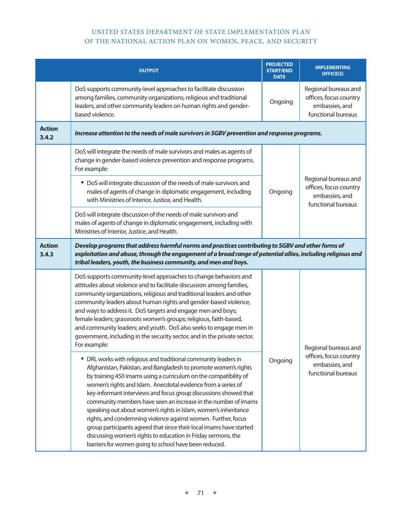|                        | <b>OUTPUT</b>                                                                                                                                                                                                                                                                                                                                                                                                                                                                                                                                                                                                                                                                                                                                      | <b>PROJECTED</b><br><b>START/END</b><br><b>DATE</b> | <b>IMPLEMENTING</b><br><b>OFFICE(S)</b>                                                |
|------------------------|----------------------------------------------------------------------------------------------------------------------------------------------------------------------------------------------------------------------------------------------------------------------------------------------------------------------------------------------------------------------------------------------------------------------------------------------------------------------------------------------------------------------------------------------------------------------------------------------------------------------------------------------------------------------------------------------------------------------------------------------------|-----------------------------------------------------|----------------------------------------------------------------------------------------|
|                        | DoS supports community-level approaches to facilitate discussion<br>among families, community organizations, religious and traditional<br>leaders, and other community leaders on human rights and gender-<br>based violence.                                                                                                                                                                                                                                                                                                                                                                                                                                                                                                                      | Ongoing                                             | Regional bureaus and<br>offices, focus country<br>embassies, and<br>functional bureaus |
| <b>Action</b><br>3.4.2 | Increase attention to the needs of male survivors in SGBV prevention and response programs.                                                                                                                                                                                                                                                                                                                                                                                                                                                                                                                                                                                                                                                        |                                                     |                                                                                        |
|                        | DoS will integrate the needs of male survivors and males as agents of<br>change in gender-based violence prevention and response programs.<br>For example:                                                                                                                                                                                                                                                                                                                                                                                                                                                                                                                                                                                         |                                                     | Regional bureaus and<br>offices, focus country<br>embassies, and<br>functional bureaus |
|                        | • DoS will integrate discussion of the needs of male survivors and<br>males of agents of change in diplomatic engagement, including<br>with Ministries of Interior, Justice, and Health.                                                                                                                                                                                                                                                                                                                                                                                                                                                                                                                                                           | Ongoing                                             |                                                                                        |
|                        | DoS will integrate discussion of the needs of male survivors and<br>males of agents of change in diplomatic engagement, including with<br>Ministries of Interior, Justice, and Health.                                                                                                                                                                                                                                                                                                                                                                                                                                                                                                                                                             |                                                     |                                                                                        |
| <b>Action</b><br>3.4.3 | Develop programs that address harmful norms and practices contributing to SGBV and other forms of<br>exploitation and abuse, through the engagement of a broad range of potential allies, including religious and<br>tribal leaders, youth, the business community, and men and boys.                                                                                                                                                                                                                                                                                                                                                                                                                                                              |                                                     |                                                                                        |
|                        | DoS supports community-level approaches to change behaviors and<br>attitudes about violence and to facilitate discussion among families,<br>community organizations, religious and traditional leaders and other<br>community leaders about human rights and gender-based violence,<br>and ways to address it. DoS targets and engage men and boys;<br>female leaders; grassroots women's groups; religious, faith-based,<br>and community leaders; and youth. DoS also seeks to engage men in<br>government, including in the security sector, and in the private sector.<br>For example:                                                                                                                                                         |                                                     | Regional bureaus and                                                                   |
|                        | • DRL works with religious and traditional community leaders in<br>Afghanistan, Pakistan, and Bangladesh to promote women's rights<br>by training 450 imams using a curriculum on the compatibility of<br>women's rights and Islam. Anecdotal evidence from a series of<br>key-informant interviews and focus group discussions showed that<br>community members have seen an increase in the number of imams<br>speaking out about women's rights in Islam, women's inheritance<br>rights, and condemning violence against women. Further, focus<br>group participants agreed that since their local imams have started<br>discussing women's rights to education in Friday sermons, the<br>barriers for women going to school have been reduced. | Ongoing                                             | offices, focus country<br>embassies, and<br>functional bureaus                         |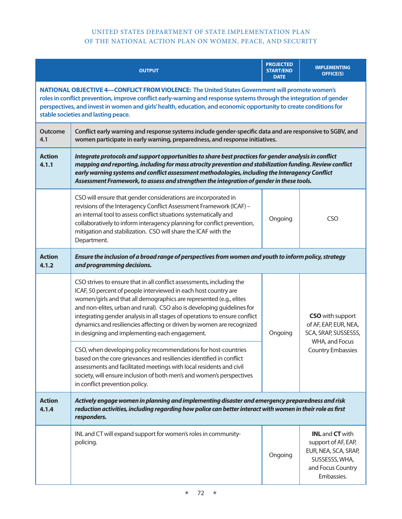|                        | <b>OUTPUT</b>                                                                                                                                                                                                                                                                                                                                                                                                                                                                                       | <b>PROJECTED</b><br><b>START/END</b><br><b>DATE</b> | <b>IMPLEMENTING</b><br><b>OFFICE(S)</b>                                                                                           |
|------------------------|-----------------------------------------------------------------------------------------------------------------------------------------------------------------------------------------------------------------------------------------------------------------------------------------------------------------------------------------------------------------------------------------------------------------------------------------------------------------------------------------------------|-----------------------------------------------------|-----------------------------------------------------------------------------------------------------------------------------------|
|                        | NATIONAL OBJECTIVE 4-CONFLICT FROM VIOLENCE: The United States Government will promote women's<br>roles in conflict prevention, improve conflict early-warning and response systems through the integration of gender<br>perspectives, and invest in women and girls' health, education, and economic opportunity to create conditions for<br>stable societies and lasting peace.                                                                                                                   |                                                     |                                                                                                                                   |
| <b>Outcome</b><br>4.1  | Conflict early warning and response systems include gender-specific data and are responsive to SGBV, and<br>women participate in early warning, preparedness, and response initiatives.                                                                                                                                                                                                                                                                                                             |                                                     |                                                                                                                                   |
| <b>Action</b><br>4.1.1 | Integrate protocols and support opportunities to share best practices for gender analysis in conflict<br>mapping and reporting, including for mass atrocity prevention and stabilization funding. Review conflict<br>early warning systems and conflict assessment methodologies, including the Interagency Conflict<br>Assessment Framework, to assess and strengthen the integration of gender in these tools.                                                                                    |                                                     |                                                                                                                                   |
|                        | CSO will ensure that gender considerations are incorporated in<br>revisions of the Interagency Conflict Assessment Framework (ICAF) -<br>an internal tool to assess conflict situations systematically and<br>collaboratively to inform interagency planning for conflict prevention,<br>mitigation and stabilization. CSO will share the ICAF with the<br>Department.                                                                                                                              | Ongoing                                             | CSO                                                                                                                               |
| <b>Action</b><br>4.1.2 | Ensure the inclusion of a broad range of perspectives from women and youth to inform policy, strategy<br>and programming decisions.                                                                                                                                                                                                                                                                                                                                                                 |                                                     |                                                                                                                                   |
|                        | CSO strives to ensure that in all conflict assessments, including the<br>ICAF, 50 percent of people interviewed in each host country are<br>women/girls and that all demographics are represented (e.g., elites<br>and non-elites, urban and rural). CSO also is developing guidelines for<br>integrating gender analysis in all stages of operations to ensure conflict<br>dynamics and resiliencies affecting or driven by women are recognized<br>in designing and implementing each engagement. | Ongoing                                             | <b>CSO</b> with support<br>of AF, EAP, EUR, NEA,<br>SCA, SRAP, SUSSESSS,<br>WHA, and Focus<br><b>Country Embassies</b>            |
|                        | CSO, when developing policy recommendations for host-countries<br>based on the core grievances and resiliencies identified in conflict<br>assessments and facilitated meetings with local residents and civil<br>society, will ensure inclusion of both men's and women's perspectives<br>in conflict prevention policy.                                                                                                                                                                            |                                                     |                                                                                                                                   |
| <b>Action</b><br>4.1.4 | Actively engage women in planning and implementing disaster and emergency preparedness and risk<br>reduction activities, including regarding how police can better interact with women in their role as first<br>responders.                                                                                                                                                                                                                                                                        |                                                     |                                                                                                                                   |
|                        | INL and CT will expand support for women's roles in community-<br>policing.                                                                                                                                                                                                                                                                                                                                                                                                                         | Ongoing                                             | <b>INL</b> and <b>CT</b> with<br>support of AF, EAP,<br>EUR, NEA, SCA, SRAP,<br>SUSSESSS, WHA,<br>and Focus Country<br>Embassies. |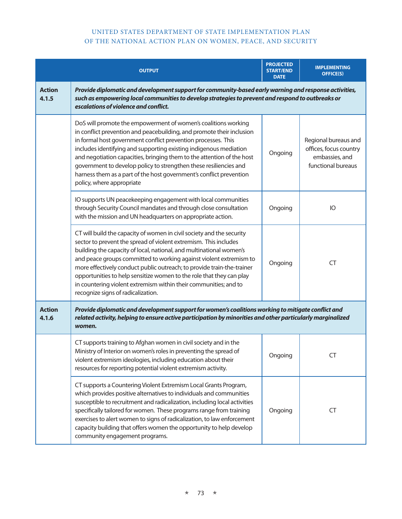|                        | <b>OUTPUT</b>                                                                                                                                                                                                                                                                                                                                                                                                                                                                                                                                      | <b>PROJECTED</b><br><b>START/END</b><br><b>DATE</b> | <b>IMPLEMENTING</b><br><b>OFFICE(S)</b>                                                |
|------------------------|----------------------------------------------------------------------------------------------------------------------------------------------------------------------------------------------------------------------------------------------------------------------------------------------------------------------------------------------------------------------------------------------------------------------------------------------------------------------------------------------------------------------------------------------------|-----------------------------------------------------|----------------------------------------------------------------------------------------|
| <b>Action</b><br>4.1.5 | Provide diplomatic and development support for community-based early warning and response activities,<br>such as empowering local communities to develop strategies to prevent and respond to outbreaks or<br>escalations of violence and conflict.                                                                                                                                                                                                                                                                                                |                                                     |                                                                                        |
|                        | DoS will promote the empowerment of women's coalitions working<br>in conflict prevention and peacebuilding, and promote their inclusion<br>in formal host government conflict prevention processes. This<br>includes identifying and supporting existing indigenous mediation<br>and negotiation capacities, bringing them to the attention of the host<br>government to develop policy to strengthen these resiliencies and<br>harness them as a part of the host government's conflict prevention<br>policy, where appropriate                   | Ongoing                                             | Regional bureaus and<br>offices, focus country<br>embassies, and<br>functional bureaus |
|                        | IO supports UN peacekeeping engagement with local communities<br>through Security Council mandates and through close consultation<br>with the mission and UN headquarters on appropriate action.                                                                                                                                                                                                                                                                                                                                                   | Ongoing                                             | <b>IO</b>                                                                              |
|                        | CT will build the capacity of women in civil society and the security<br>sector to prevent the spread of violent extremism. This includes<br>building the capacity of local, national, and multinational women's<br>and peace groups committed to working against violent extremism to<br>more effectively conduct public outreach; to provide train-the-trainer<br>opportunities to help sensitize women to the role that they can play<br>in countering violent extremism within their communities; and to<br>recognize signs of radicalization. | Ongoing                                             | <b>CT</b>                                                                              |
| <b>Action</b><br>4.1.6 | Provide diplomatic and development support for women's coalitions working to mitigate conflict and<br>related activity, helping to ensure active participation by minorities and other particularly marginalized<br>women.                                                                                                                                                                                                                                                                                                                         |                                                     |                                                                                        |
|                        | CT supports training to Afghan women in civil society and in the<br>Ministry of Interior on women's roles in preventing the spread of<br>violent extremism ideologies, including education about their<br>resources for reporting potential violent extremism activity.                                                                                                                                                                                                                                                                            | Ongoing                                             | <b>CT</b>                                                                              |
|                        | CT supports a Countering Violent Extremism Local Grants Program,<br>which provides positive alternatives to individuals and communities<br>susceptible to recruitment and radicalization, including local activities<br>specifically tailored for women. These programs range from training<br>exercises to alert women to signs of radicalization, to law enforcement<br>capacity building that offers women the opportunity to help develop<br>community engagement programs.                                                                    | Ongoing                                             | <b>CT</b>                                                                              |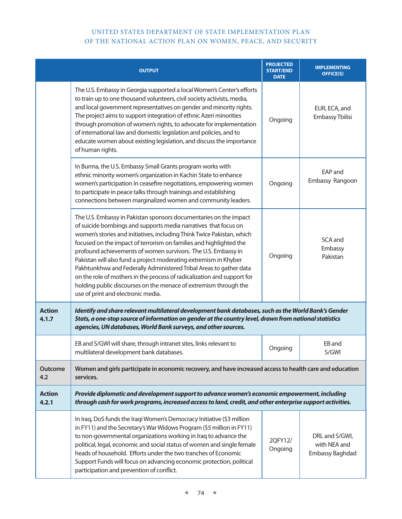|                        | <b>OUTPUT</b>                                                                                                                                                                                                                                                                                                                                                                                                                                                                                                                                                                                                                                                                        | <b>PROJECTED</b><br><b>START/END</b><br><b>DATE</b> | <b>IMPLEMENTING</b><br><b>OFFICE(S)</b>           |
|------------------------|--------------------------------------------------------------------------------------------------------------------------------------------------------------------------------------------------------------------------------------------------------------------------------------------------------------------------------------------------------------------------------------------------------------------------------------------------------------------------------------------------------------------------------------------------------------------------------------------------------------------------------------------------------------------------------------|-----------------------------------------------------|---------------------------------------------------|
|                        | The U.S. Embassy in Georgia supported a local Women's Center's efforts<br>to train up to one thousand volunteers, civil society activists, media,<br>and local government representatives on gender and minority rights.<br>The project aims to support integration of ethnic Azeri minorities<br>through promotion of women's rights, to advocate for implementation<br>of international law and domestic legislation and policies, and to<br>educate women about existing legislation, and discuss the importance<br>of human rights.                                                                                                                                              | Ongoing                                             | EUR, ECA, and<br>Embassy Tbilisi                  |
|                        | In Burma, the U.S. Embassy Small Grants program works with<br>ethnic minority women's organization in Kachin State to enhance<br>women's participation in ceasefire negotiations, empowering women<br>to participate in peace talks through trainings and establishing<br>connections between marginalized women and community leaders.                                                                                                                                                                                                                                                                                                                                              | Ongoing                                             | EAP and<br>Embassy Rangoon                        |
|                        | The U.S. Embassy in Pakistan sponsors documentaries on the impact<br>of suicide bombings and supports media narratives that focus on<br>women's stories and initiatives, including Think Twice Pakistan, which<br>focused on the impact of terrorism on families and highlighted the<br>profound achievements of women survivors. The U.S. Embassy in<br>Pakistan will also fund a project moderating extremism in Khyber<br>Pakhtunkhwa and Federally Administered Tribal Areas to gather data<br>on the role of mothers in the process of radicalization and support for<br>holding public discourses on the menace of extremism through the<br>use of print and electronic media. | Ongoing                                             | SCA and<br>Embassy<br>Pakistan                    |
| <b>Action</b><br>4.1.7 | Identify and share relevant multilateral development bank databases, such as the World Bank's Gender<br>Stats, a one-stop source of information on gender at the country level, drawn from national statistics<br>agencies, UN databases, World Bank surveys, and other sources.                                                                                                                                                                                                                                                                                                                                                                                                     |                                                     |                                                   |
|                        | EB and S/GWI will share, through intranet sites, links relevant to<br>multilateral development bank databases.                                                                                                                                                                                                                                                                                                                                                                                                                                                                                                                                                                       | Ongoing                                             | EB and<br>S/GWI                                   |
| <b>Outcome</b><br>4.2  | Women and girls participate in economic recovery, and have increased access to health care and education<br>services.                                                                                                                                                                                                                                                                                                                                                                                                                                                                                                                                                                |                                                     |                                                   |
| <b>Action</b><br>4.2.1 | Provide diplomatic and development support to advance women's economic empowerment, including<br>through cash for work programs, increased access to land, credit, and other enterprise support activities.                                                                                                                                                                                                                                                                                                                                                                                                                                                                          |                                                     |                                                   |
|                        | In Iraq, DoS funds the Iraqi Women's Democracy Initiative (\$3 million<br>in FY11) and the Secretary's War Widows Program (\$5 million in FY11)<br>to non-governmental organizations working in Iraq to advance the<br>political, legal, economic and social status of women and single female<br>heads of household. Efforts under the two tranches of Economic<br>Support Funds will focus on advancing economic protection, political<br>participation and prevention of conflict.                                                                                                                                                                                                | 2QFY12/<br>Ongoing                                  | DRL and S/GWI,<br>with NEA and<br>Embassy Baghdad |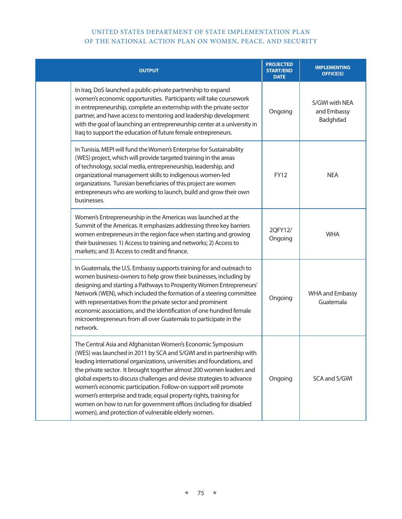| <b>OUTPUT</b>                                                                                                                                                                                                                                                                                                                                                                                                                                                                                                                                                                                                                     | <b>PROJECTED</b><br><b>START/END</b><br><b>DATE</b> | <b>IMPLEMENTING</b><br><b>OFFICE(S)</b>   |
|-----------------------------------------------------------------------------------------------------------------------------------------------------------------------------------------------------------------------------------------------------------------------------------------------------------------------------------------------------------------------------------------------------------------------------------------------------------------------------------------------------------------------------------------------------------------------------------------------------------------------------------|-----------------------------------------------------|-------------------------------------------|
| In Iraq, DoS launched a public-private partnership to expand<br>women's economic opportunities. Participants will take coursework<br>in entrepreneurship, complete an externship with the private sector<br>partner, and have access to mentoring and leadership development<br>with the goal of launching an entrepreneurship center at a university in<br>Iraq to support the education of future female entrepreneurs.                                                                                                                                                                                                         | Ongoing                                             | S/GWI with NEA<br>and Embassy<br>Badghdad |
| In Tunisia, MEPI will fund the Women's Enterprise for Sustainability<br>(WES) project, which will provide targeted training in the areas<br>of technology, social media, entrepreneurship, leadership, and<br>organizational management skills to indigenous women-led<br>organizations. Tunisian beneficiaries of this project are women<br>entrepreneurs who are working to launch, build and grow their own<br>businesses.                                                                                                                                                                                                     | <b>FY12</b>                                         | <b>NEA</b>                                |
| Women's Entrepreneurship in the Americas was launched at the<br>Summit of the Americas. It emphasizes addressing three key barriers<br>women entrepreneurs in the region face when starting and growing<br>their businesses: 1) Access to training and networks; 2) Access to<br>markets; and 3) Access to credit and finance.                                                                                                                                                                                                                                                                                                    | 2QFY12/<br>Ongoing                                  | <b>WHA</b>                                |
| In Guatemala, the U.S. Embassy supports training for and outreach to<br>women business-owners to help grow their businesses, including by<br>designing and starting a Pathways to Prosperity Women Entrepreneurs'<br>Network (WEN), which included the formation of a steering committee<br>with representatives from the private sector and prominent<br>economic associations, and the identification of one hundred female<br>microentrepreneurs from all over Guatemala to participate in the<br>network.                                                                                                                     | Ongoing                                             | <b>WHA and Embassy</b><br>Guatemala       |
| The Central Asia and Afghanistan Women's Economic Symposium<br>(WES) was launched in 2011 by SCA and S/GWI and in partnership with<br>leading international organizations, universities and foundations, and<br>the private sector. It brought together almost 200 women leaders and<br>global experts to discuss challenges and devise strategies to advance<br>women's economic participation. Follow-on support will promote<br>women's enterprise and trade, equal property rights, training for<br>women on how to run for government offices (including for disabled<br>women), and protection of vulnerable elderly women. | Ongoing                                             | SCA and S/GWI                             |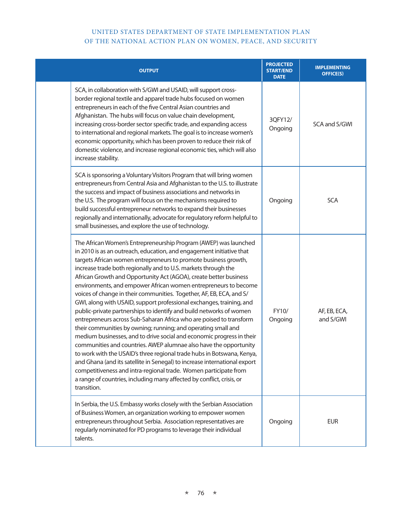| <b>OUTPUT</b>                                                                                                                                                                                                                                                                                                                                                                                                                                                                                                                                                                                                                                                                                                                                                                                                                                                                                                                                                                                                                                                                                                                                                                                                                                         | <b>PROJECTED</b><br><b>START/END</b><br><b>DATE</b> | <b>IMPLEMENTING</b><br><b>OFFICE(S)</b> |
|-------------------------------------------------------------------------------------------------------------------------------------------------------------------------------------------------------------------------------------------------------------------------------------------------------------------------------------------------------------------------------------------------------------------------------------------------------------------------------------------------------------------------------------------------------------------------------------------------------------------------------------------------------------------------------------------------------------------------------------------------------------------------------------------------------------------------------------------------------------------------------------------------------------------------------------------------------------------------------------------------------------------------------------------------------------------------------------------------------------------------------------------------------------------------------------------------------------------------------------------------------|-----------------------------------------------------|-----------------------------------------|
| SCA, in collaboration with S/GWI and USAID, will support cross-<br>border regional textile and apparel trade hubs focused on women<br>entrepreneurs in each of the five Central Asian countries and<br>Afghanistan. The hubs will focus on value chain development,<br>increasing cross-border sector specific trade, and expanding access<br>to international and regional markets. The goal is to increase women's<br>economic opportunity, which has been proven to reduce their risk of<br>domestic violence, and increase regional economic ties, which will also<br>increase stability.                                                                                                                                                                                                                                                                                                                                                                                                                                                                                                                                                                                                                                                         | 3QFY12/<br>Ongoing                                  | SCA and S/GWI                           |
| SCA is sponsoring a Voluntary Visitors Program that will bring women<br>entrepreneurs from Central Asia and Afghanistan to the U.S. to illustrate<br>the success and impact of business associations and networks in<br>the U.S. The program will focus on the mechanisms required to<br>build successful entrepreneur networks to expand their businesses<br>regionally and internationally, advocate for regulatory reform helpful to<br>small businesses, and explore the use of technology.                                                                                                                                                                                                                                                                                                                                                                                                                                                                                                                                                                                                                                                                                                                                                       | Ongoing                                             | <b>SCA</b>                              |
| The African Women's Entrepreneurship Program (AWEP) was launched<br>in 2010 is as an outreach, education, and engagement initiative that<br>targets African women entrepreneurs to promote business growth,<br>increase trade both regionally and to U.S. markets through the<br>African Growth and Opportunity Act (AGOA), create better business<br>environments, and empower African women entrepreneurs to become<br>voices of change in their communities. Together, AF, EB, ECA, and S/<br>GWI, along with USAID, support professional exchanges, training, and<br>public-private partnerships to identify and build networks of women<br>entrepreneurs across Sub-Saharan Africa who are poised to transform<br>their communities by owning; running; and operating small and<br>medium businesses, and to drive social and economic progress in their<br>communities and countries. AWEP alumnae also have the opportunity<br>to work with the USAID's three regional trade hubs in Botswana, Kenya,<br>and Ghana (and its satellite in Senegal) to increase international export<br>competitiveness and intra-regional trade. Women participate from<br>a range of countries, including many affected by conflict, crisis, or<br>transition. | FY10/<br>Ongoing                                    | AF, EB, ECA,<br>and S/GWI               |
| In Serbia, the U.S. Embassy works closely with the Serbian Association<br>of Business Women, an organization working to empower women<br>entrepreneurs throughout Serbia. Association representatives are<br>regularly nominated for PD programs to leverage their individual<br>talents.                                                                                                                                                                                                                                                                                                                                                                                                                                                                                                                                                                                                                                                                                                                                                                                                                                                                                                                                                             | Ongoing                                             | <b>EUR</b>                              |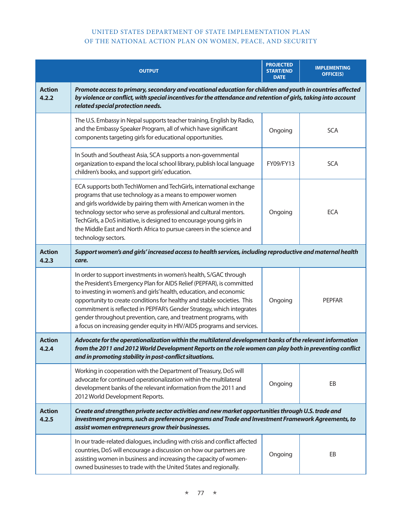|                        | <b>OUTPUT</b>                                                                                                                                                                                                                                                                                                                                                                                                                                                                                                     | <b>PROJECTED</b><br><b>START/END</b><br><b>DATE</b> | <b>IMPLEMENTING</b><br><b>OFFICE(S)</b> |  |
|------------------------|-------------------------------------------------------------------------------------------------------------------------------------------------------------------------------------------------------------------------------------------------------------------------------------------------------------------------------------------------------------------------------------------------------------------------------------------------------------------------------------------------------------------|-----------------------------------------------------|-----------------------------------------|--|
| <b>Action</b><br>4.2.2 | Promote access to primary, secondary and vocational education for children and youth in countries affected<br>by violence or conflict, with special incentives for the attendance and retention of girls, taking into account<br>related special protection needs.                                                                                                                                                                                                                                                |                                                     |                                         |  |
|                        | The U.S. Embassy in Nepal supports teacher training, English by Radio,<br>and the Embassy Speaker Program, all of which have significant<br>components targeting girls for educational opportunities.                                                                                                                                                                                                                                                                                                             | Ongoing                                             | <b>SCA</b>                              |  |
|                        | In South and Southeast Asia, SCA supports a non-governmental<br>organization to expand the local school library, publish local language<br>children's books, and support girls' education.                                                                                                                                                                                                                                                                                                                        | FY09/FY13                                           | <b>SCA</b>                              |  |
|                        | ECA supports both TechWomen and TechGirls, international exchange<br>programs that use technology as a means to empower women<br>and girls worldwide by pairing them with American women in the<br>technology sector who serve as professional and cultural mentors.<br>TechGirls, a DoS initiative, is designed to encourage young girls in<br>the Middle East and North Africa to pursue careers in the science and<br>technology sectors.                                                                      | Ongoing                                             | <b>ECA</b>                              |  |
| <b>Action</b><br>4.2.3 | Support women's and girls' increased access to health services, including reproductive and maternal health<br>care.                                                                                                                                                                                                                                                                                                                                                                                               |                                                     |                                         |  |
|                        | In order to support investments in women's health, S/GAC through<br>the President's Emergency Plan for AIDS Relief (PEPFAR), is committed<br>to investing in women's and girls' health, education, and economic<br>opportunity to create conditions for healthy and stable societies. This<br>commitment is reflected in PEPFAR's Gender Strategy, which integrates<br>gender throughout prevention, care, and treatment programs, with<br>a focus on increasing gender equity in HIV/AIDS programs and services. | Ongoing                                             | <b>PEPFAR</b>                           |  |
| <b>Action</b><br>4.2.4 | Advocate for the operationalization within the multilateral development banks of the relevant information<br>from the 2011 and 2012 World Development Reports on the role women can play both in preventing conflict<br>and in promoting stability in post-conflict situations.                                                                                                                                                                                                                                   |                                                     |                                         |  |
|                        | Working in cooperation with the Department of Treasury, DoS will<br>advocate for continued operationalization within the multilateral<br>development banks of the relevant information from the 2011 and<br>2012 World Development Reports.                                                                                                                                                                                                                                                                       | Ongoing                                             | EB                                      |  |
| <b>Action</b><br>4.2.5 | Create and strengthen private sector activities and new market opportunities through U.S. trade and<br>investment programs, such as preference programs and Trade and Investment Framework Agreements, to<br>assist women entrepreneurs grow their businesses.                                                                                                                                                                                                                                                    |                                                     |                                         |  |
|                        | In our trade-related dialogues, including with crisis and conflict affected<br>countries, DoS will encourage a discussion on how our partners are<br>assisting women in business and increasing the capacity of women-<br>owned businesses to trade with the United States and regionally.                                                                                                                                                                                                                        | Ongoing                                             | EB                                      |  |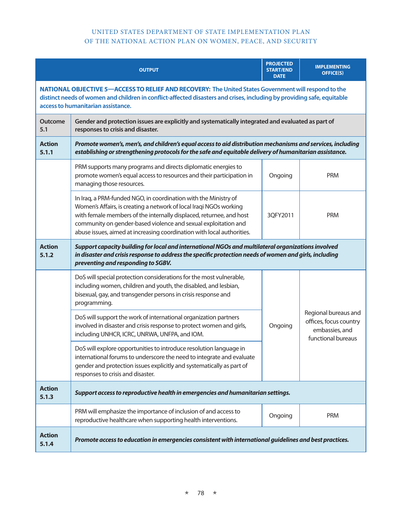|                        | <b>OUTPUT</b>                                                                                                                                                                                                                                                                                                                                            | <b>PROJECTED</b><br><b>START/END</b><br><b>DATE</b> | <b>IMPLEMENTING</b><br><b>OFFICE(S)</b>                                                |  |
|------------------------|----------------------------------------------------------------------------------------------------------------------------------------------------------------------------------------------------------------------------------------------------------------------------------------------------------------------------------------------------------|-----------------------------------------------------|----------------------------------------------------------------------------------------|--|
|                        | NATIONAL OBJECTIVE 5-ACCESS TO RELIEF AND RECOVERY: The United States Government will respond to the<br>distinct needs of women and children in conflict-affected disasters and crises, including by providing safe, equitable<br>access to humanitarian assistance.                                                                                     |                                                     |                                                                                        |  |
| <b>Outcome</b><br>5.1  | Gender and protection issues are explicitly and systematically integrated and evaluated as part of<br>responses to crisis and disaster.                                                                                                                                                                                                                  |                                                     |                                                                                        |  |
| <b>Action</b><br>5.1.1 | Promote women's, men's, and children's equal access to aid distribution mechanisms and services, including<br>establishing or strengthening protocols for the safe and equitable delivery of humanitarian assistance.                                                                                                                                    |                                                     |                                                                                        |  |
|                        | PRM supports many programs and directs diplomatic energies to<br>promote women's equal access to resources and their participation in<br>managing those resources.                                                                                                                                                                                       | Ongoing                                             | <b>PRM</b>                                                                             |  |
|                        | In Iraq, a PRM-funded NGO, in coordination with the Ministry of<br>Women's Affairs, is creating a network of local Iraqi NGOs working<br>with female members of the internally displaced, returnee, and host<br>community on gender-based violence and sexual exploitation and<br>abuse issues, aimed at increasing coordination with local authorities. | 3QFY2011                                            | <b>PRM</b>                                                                             |  |
| <b>Action</b><br>5.1.2 | Support capacity building for local and international NGOs and multilateral organizations involved<br>in disaster and crisis response to address the specific protection needs of women and girls, including<br>preventing and responding to SGBV.                                                                                                       |                                                     |                                                                                        |  |
|                        | DoS will special protection considerations for the most vulnerable,<br>including women, children and youth, the disabled, and lesbian,<br>bisexual, gay, and transgender persons in crisis response and<br>programming.                                                                                                                                  | Ongoing                                             | Regional bureaus and<br>offices, focus country<br>embassies, and<br>functional bureaus |  |
|                        | DoS will support the work of international organization partners<br>involved in disaster and crisis response to protect women and girls,<br>including UNHCR, ICRC, UNRWA, UNFPA, and IOM.                                                                                                                                                                |                                                     |                                                                                        |  |
|                        | DoS will explore opportunities to introduce resolution language in<br>international forums to underscore the need to integrate and evaluate<br>gender and protection issues explicitly and systematically as part of<br>responses to crisis and disaster.                                                                                                |                                                     |                                                                                        |  |
| <b>Action</b><br>5.1.3 | Support access to reproductive health in emergencies and humanitarian settings.                                                                                                                                                                                                                                                                          |                                                     |                                                                                        |  |
|                        | PRM will emphasize the importance of inclusion of and access to<br>reproductive healthcare when supporting health interventions.                                                                                                                                                                                                                         | Ongoing                                             | <b>PRM</b>                                                                             |  |
| <b>Action</b><br>5.1.4 | Promote access to education in emergencies consistent with international guidelines and best practices.                                                                                                                                                                                                                                                  |                                                     |                                                                                        |  |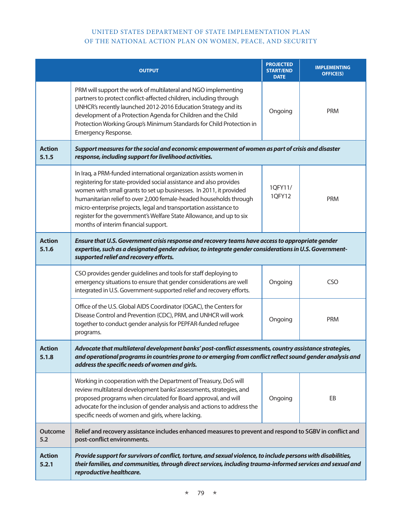|                        | <b>OUTPUT</b>                                                                                                                                                                                                                                                                                                                                                                                                                                                            | <b>PROJECTED</b><br><b>START/END</b><br><b>DATE</b> | <b>IMPLEMENTING</b><br><b>OFFICE(S)</b> |  |
|------------------------|--------------------------------------------------------------------------------------------------------------------------------------------------------------------------------------------------------------------------------------------------------------------------------------------------------------------------------------------------------------------------------------------------------------------------------------------------------------------------|-----------------------------------------------------|-----------------------------------------|--|
|                        | PRM will support the work of multilateral and NGO implementing<br>partners to protect conflict-affected children, including through<br>UNHCR's recently launched 2012-2016 Education Strategy and its<br>development of a Protection Agenda for Children and the Child<br>Protection Working Group's Minimum Standards for Child Protection in<br>Emergency Response.                                                                                                    | Ongoing                                             | <b>PRM</b>                              |  |
| <b>Action</b><br>5.1.5 | Support measures for the social and economic empowerment of women as part of crisis and disaster<br>response, including support for livelihood activities.                                                                                                                                                                                                                                                                                                               |                                                     |                                         |  |
|                        | In Iraq, a PRM-funded international organization assists women in<br>registering for state-provided social assistance and also provides<br>women with small grants to set up businesses. In 2011, it provided<br>humanitarian relief to over 2,000 female-headed households through<br>micro-enterprise projects, legal and transportation assistance to<br>register for the government's Welfare State Allowance, and up to six<br>months of interim financial support. | 10FY11/<br>1QFY12                                   | <b>PRM</b>                              |  |
| <b>Action</b><br>5.1.6 | Ensure that U.S. Government crisis response and recovery teams have access to appropriate gender<br>expertise, such as a designated gender advisor, to integrate gender considerations in U.S. Government-<br>supported relief and recovery efforts.                                                                                                                                                                                                                     |                                                     |                                         |  |
|                        | CSO provides gender guidelines and tools for staff deploying to<br>emergency situations to ensure that gender considerations are well<br>integrated in U.S. Government-supported relief and recovery efforts.                                                                                                                                                                                                                                                            | Ongoing                                             | <b>CSO</b>                              |  |
|                        | Office of the U.S. Global AIDS Coordinator (OGAC), the Centers for<br>Disease Control and Prevention (CDC), PRM, and UNHCR will work<br>together to conduct gender analysis for PEPFAR-funded refugee<br>programs.                                                                                                                                                                                                                                                       | Ongoing                                             | <b>PRM</b>                              |  |
| <b>Action</b><br>5.1.8 | Advocate that multilateral development banks' post-conflict assessments, country assistance strategies,<br>and operational programs in countries prone to or emerging from conflict reflect sound gender analysis and<br>address the specific needs of women and girls.                                                                                                                                                                                                  |                                                     |                                         |  |
|                        | Working in cooperation with the Department of Treasury, DoS will<br>review multilateral development banks' assessments, strategies, and<br>proposed programs when circulated for Board approval, and will<br>advocate for the inclusion of gender analysis and actions to address the<br>specific needs of women and girls, where lacking.                                                                                                                               | Ongoing                                             | EB                                      |  |
| <b>Outcome</b><br>5.2  | Relief and recovery assistance includes enhanced measures to prevent and respond to SGBV in conflict and<br>post-conflict environments.                                                                                                                                                                                                                                                                                                                                  |                                                     |                                         |  |
| <b>Action</b><br>5.2.1 | Provide support for survivors of conflict, torture, and sexual violence, to include persons with disabilities,<br>their families, and communities, through direct services, including trauma-informed services and sexual and<br>reproductive healthcare.                                                                                                                                                                                                                |                                                     |                                         |  |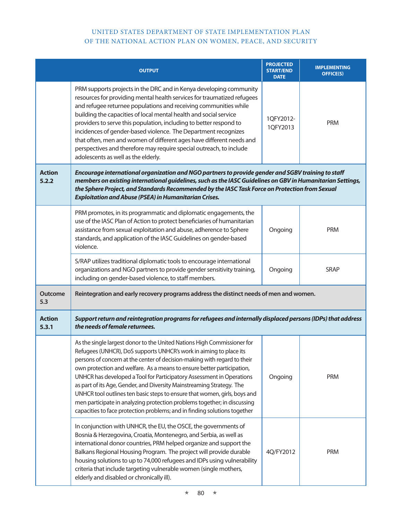|                        | <b>OUTPUT</b>                                                                                                                                                                                                                                                                                                                                                                                                                                                                                                                                                                                                                                                                               | <b>PROJECTED</b><br><b>START/END</b><br><b>DATE</b> | <b>IMPLEMENTING</b><br><b>OFFICE(S)</b> |
|------------------------|---------------------------------------------------------------------------------------------------------------------------------------------------------------------------------------------------------------------------------------------------------------------------------------------------------------------------------------------------------------------------------------------------------------------------------------------------------------------------------------------------------------------------------------------------------------------------------------------------------------------------------------------------------------------------------------------|-----------------------------------------------------|-----------------------------------------|
|                        | PRM supports projects in the DRC and in Kenya developing community<br>resources for providing mental health services for traumatized refugees<br>and refugee returnee populations and receiving communities while<br>building the capacities of local mental health and social service<br>providers to serve this population, including to better respond to<br>incidences of gender-based violence. The Department recognizes<br>that often, men and women of different ages have different needs and<br>perspectives and therefore may require special outreach, to include<br>adolescents as well as the elderly.                                                                        | 1QFY2012-<br>1QFY2013                               | <b>PRM</b>                              |
| <b>Action</b><br>5.2.2 | Encourage international organization and NGO partners to provide gender and SGBV training to staff<br>members on existing international guidelines, such as the IASC Guidelines on GBV in Humanitarian Settings,<br>the Sphere Project, and Standards Recommended by the IASC Task Force on Protection from Sexual<br><b>Exploitation and Abuse (PSEA) in Humanitarian Crises.</b>                                                                                                                                                                                                                                                                                                          |                                                     |                                         |
|                        | PRM promotes, in its programmatic and diplomatic engagements, the<br>use of the IASC Plan of Action to protect beneficiaries of humanitarian<br>assistance from sexual exploitation and abuse, adherence to Sphere<br>standards, and application of the IASC Guidelines on gender-based<br>violence.                                                                                                                                                                                                                                                                                                                                                                                        | Ongoing                                             | <b>PRM</b>                              |
|                        | S/RAP utilizes traditional diplomatic tools to encourage international<br>organizations and NGO partners to provide gender sensitivity training,<br>including on gender-based violence, to staff members.                                                                                                                                                                                                                                                                                                                                                                                                                                                                                   | Ongoing                                             | <b>SRAP</b>                             |
| <b>Outcome</b><br>5.3  | Reintegration and early recovery programs address the distinct needs of men and women.                                                                                                                                                                                                                                                                                                                                                                                                                                                                                                                                                                                                      |                                                     |                                         |
| <b>Action</b><br>5.3.1 | Support return and reintegration programs for refugees and internally displaced persons (IDPs) that address<br>the needs of female returnees.                                                                                                                                                                                                                                                                                                                                                                                                                                                                                                                                               |                                                     |                                         |
|                        | As the single largest donor to the United Nations High Commissioner for<br>Refugees (UNHCR), DoS supports UNHCR's work in aiming to place its<br>persons of concern at the center of decision-making with regard to their<br>own protection and welfare. As a means to ensure better participation,<br>UNHCR has developed a Tool for Participatory Assessment in Operations<br>as part of its Age, Gender, and Diversity Mainstreaming Strategy. The<br>UNHCR tool outlines ten basic steps to ensure that women, girls, boys and<br>men participate in analyzing protection problems together; in discussing<br>capacities to face protection problems; and in finding solutions together | Ongoing                                             | <b>PRM</b>                              |
|                        | In conjunction with UNHCR, the EU, the OSCE, the governments of<br>Bosnia & Herzegovina, Croatia, Montenegro, and Serbia, as well as<br>international donor countries, PRM helped organize and support the<br>Balkans Regional Housing Program. The project will provide durable<br>housing solutions to up to 74,000 refugees and IDPs using vulnerability<br>criteria that include targeting vulnerable women (single mothers,<br>elderly and disabled or chronically ill).                                                                                                                                                                                                               | 4Q/FY2012                                           | <b>PRM</b>                              |